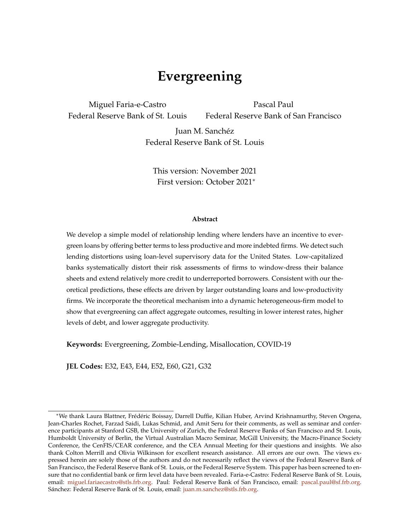# **Evergreening a**

Miguel Faria-e-Castro Federal Reserve Bank of St. Louis

Pascal Paul Federal Reserve Bank of San Francisco

Juan M. Sanchéz Federal Reserve Bank of St. Louis

This version: November 2021 First version: October 2021<sup>∗</sup>

#### **Abstract**

We develop a simple model of relationship lending where lenders have an incentive to evergreen loans by offering better terms to less productive and more indebted firms. We detect such lending distortions using loan-level supervisory data for the United States. Low-capitalized banks systematically distort their risk assessments of firms to window-dress their balance sheets and extend relatively more credit to underreported borrowers. Consistent with our theoretical predictions, these effects are driven by larger outstanding loans and low-productivity firms. We incorporate the theoretical mechanism into a dynamic heterogeneous-firm model to show that evergreening can affect aggregate outcomes, resulting in lower interest rates, higher levels of debt, and lower aggregate productivity.

**Keywords:** Evergreening, Zombie-Lending, Misallocation, COVID-19

**JEL Codes:** E32, E43, E44, E52, E60, G21, G32

<sup>∗</sup>We thank Laura Blattner, Frédéric Boissay, Darrell Duffie, Kilian Huber, Arvind Krishnamurthy, Steven Ongena, Jean-Charles Rochet, Farzad Saidi, Lukas Schmid, and Amit Seru for their comments, as well as seminar and conference participants at Stanford GSB, the University of Zurich, the Federal Reserve Banks of San Francisco and St. Louis, Humboldt University of Berlin, the Virtual Australian Macro Seminar, McGill University, the Macro-Finance Society Conference, the CenFIS/CEAR conference, and the CEA Annual Meeting for their questions and insights. We also thank Colton Merrill and Olivia Wilkinson for excellent research assistance. All errors are our own. The views expressed herein are solely those of the authors and do not necessarily reflect the views of the Federal Reserve Bank of San Francisco, the Federal Reserve Bank of St. Louis, or the Federal Reserve System. This paper has been screened to ensure that no confidential bank or firm level data have been revealed. Faria-e-Castro: Federal Reserve Bank of St. Louis, email: [miguel.fariaecastro@stls.frb.org.](mailto:miguel.fariaecastro@stls.frb.org) Paul: Federal Reserve Bank of San Francisco, email: [pascal.paul@sf.frb.org.](mailto:pascal.paul@sf.frb.org) Sánchez: Federal Reserve Bank of St. Louis, email: [juan.m.sanchez@stls.frb.org.](mailto:juan.m.sanchez@stls.frb.org)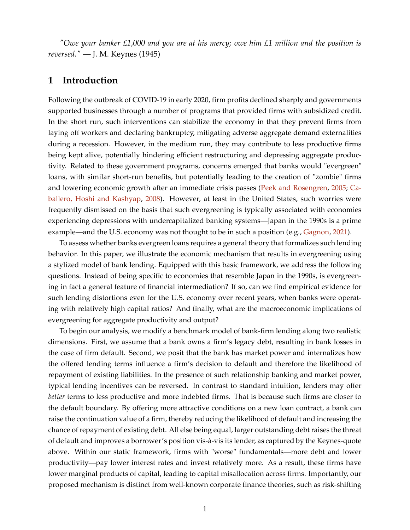*"Owe your banker £1,000 and you are at his mercy; owe him £1 million and the position is reversed."* — J. M. Keynes (1945)

### **1 Introduction**

Following the outbreak of COVID-19 in early 2020, firm profits declined sharply and governments supported businesses through a number of programs that provided firms with subsidized credit. In the short run, such interventions can stabilize the economy in that they prevent firms from laying off workers and declaring bankruptcy, mitigating adverse aggregate demand externalities during a recession. However, in the medium run, they may contribute to less productive firms being kept alive, potentially hindering efficient restructuring and depressing aggregate productivity. Related to these government programs, concerns emerged that banks would "evergreen" loans, with similar short-run benefits, but potentially leading to the creation of "zombie" firms and lowering economic growth after an immediate crisis passes [\(Peek and Rosengren,](#page-38-0) [2005;](#page-38-0) [Ca](#page-37-0)[ballero, Hoshi and Kashyap,](#page-37-0) [2008\)](#page-37-0). However, at least in the United States, such worries were frequently dismissed on the basis that such evergreening is typically associated with economies experiencing depressions with undercapitalized banking systems—Japan in the 1990s is a prime example—and the U.S. economy was not thought to be in such a position (e.g., [Gagnon,](#page-37-1) [2021\)](#page-37-1).

To assess whether banks evergreen loans requires a general theory that formalizes such lending behavior. In this paper, we illustrate the economic mechanism that results in evergreening using a stylized model of bank lending. Equipped with this basic framework, we address the following questions. Instead of being specific to economies that resemble Japan in the 1990s, is evergreening in fact a general feature of financial intermediation? If so, can we find empirical evidence for such lending distortions even for the U.S. economy over recent years, when banks were operating with relatively high capital ratios? And finally, what are the macroeconomic implications of evergreening for aggregate productivity and output?

To begin our analysis, we modify a benchmark model of bank-firm lending along two realistic dimensions. First, we assume that a bank owns a firm's legacy debt, resulting in bank losses in the case of firm default. Second, we posit that the bank has market power and internalizes how the offered lending terms influence a firm's decision to default and therefore the likelihood of repayment of existing liabilities. In the presence of such relationship banking and market power, typical lending incentives can be reversed. In contrast to standard intuition, lenders may offer *better* terms to less productive and more indebted firms. That is because such firms are closer to the default boundary. By offering more attractive conditions on a new loan contract, a bank can raise the continuation value of a firm, thereby reducing the likelihood of default and increasing the chance of repayment of existing debt. All else being equal, larger outstanding debt raises the threat of default and improves a borrower's position vis-à-vis its lender, as captured by the Keynes-quote above. Within our static framework, firms with "worse" fundamentals—more debt and lower productivity—pay lower interest rates and invest relatively more. As a result, these firms have lower marginal products of capital, leading to capital misallocation across firms. Importantly, our proposed mechanism is distinct from well-known corporate finance theories, such as risk-shifting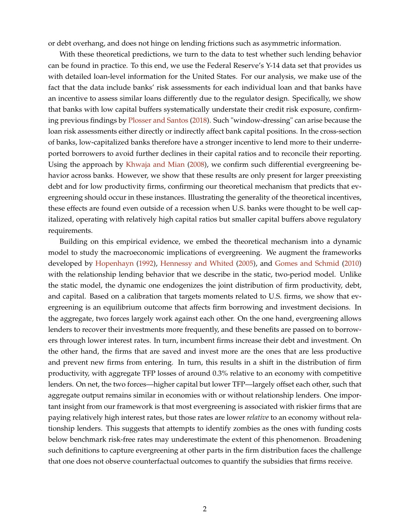or debt overhang, and does not hinge on lending frictions such as asymmetric information.

With these theoretical predictions, we turn to the data to test whether such lending behavior can be found in practice. To this end, we use the Federal Reserve's Y-14 data set that provides us with detailed loan-level information for the United States. For our analysis, we make use of the fact that the data include banks' risk assessments for each individual loan and that banks have an incentive to assess similar loans differently due to the regulator design. Specifically, we show that banks with low capital buffers systematically understate their credit risk exposure, confirming previous findings by [Plosser and Santos](#page-38-1) [\(2018\)](#page-38-1). Such "window-dressing" can arise because the loan risk assessments either directly or indirectly affect bank capital positions. In the cross-section of banks, low-capitalized banks therefore have a stronger incentive to lend more to their underreported borrowers to avoid further declines in their capital ratios and to reconcile their reporting. Using the approach by [Khwaja and Mian](#page-38-2) [\(2008\)](#page-38-2), we confirm such differential evergreening behavior across banks. However, we show that these results are only present for larger preexisting debt and for low productivity firms, confirming our theoretical mechanism that predicts that evergreening should occur in these instances. Illustrating the generality of the theoretical incentives, these effects are found even outside of a recession when U.S. banks were thought to be well capitalized, operating with relatively high capital ratios but smaller capital buffers above regulatory requirements.

Building on this empirical evidence, we embed the theoretical mechanism into a dynamic model to study the macroeconomic implications of evergreening. We augment the frameworks developed by [Hopenhayn](#page-38-3) [\(1992\)](#page-38-3), [Hennessy and Whited](#page-37-2) [\(2005\)](#page-37-2), and [Gomes and Schmid](#page-37-3) [\(2010\)](#page-37-3) with the relationship lending behavior that we describe in the static, two-period model. Unlike the static model, the dynamic one endogenizes the joint distribution of firm productivity, debt, and capital. Based on a calibration that targets moments related to U.S. firms, we show that evergreening is an equilibrium outcome that affects firm borrowing and investment decisions. In the aggregate, two forces largely work against each other. On the one hand, evergreening allows lenders to recover their investments more frequently, and these benefits are passed on to borrowers through lower interest rates. In turn, incumbent firms increase their debt and investment. On the other hand, the firms that are saved and invest more are the ones that are less productive and prevent new firms from entering. In turn, this results in a shift in the distribution of firm productivity, with aggregate TFP losses of around 0.3% relative to an economy with competitive lenders. On net, the two forces—higher capital but lower TFP—largely offset each other, such that aggregate output remains similar in economies with or without relationship lenders. One important insight from our framework is that most evergreening is associated with riskier firms that are paying relatively high interest rates, but those rates are lower *relative* to an economy without relationship lenders. This suggests that attempts to identify zombies as the ones with funding costs below benchmark risk-free rates may underestimate the extent of this phenomenon. Broadening such definitions to capture evergreening at other parts in the firm distribution faces the challenge that one does not observe counterfactual outcomes to quantify the subsidies that firms receive.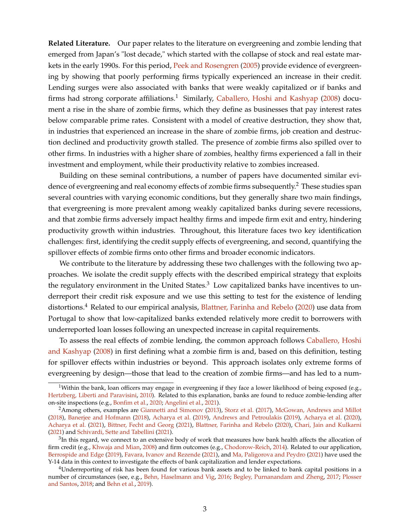**Related Literature.** Our paper relates to the literature on evergreening and zombie lending that emerged from Japan's "lost decade," which started with the collapse of stock and real estate markets in the early 1990s. For this period, [Peek and Rosengren](#page-38-0) [\(2005\)](#page-38-0) provide evidence of evergreening by showing that poorly performing firms typically experienced an increase in their credit. Lending surges were also associated with banks that were weakly capitalized or if banks and firms had strong corporate affiliations.<sup>1</sup> Similarly, [Caballero, Hoshi and Kashyap](#page-37-0) [\(2008\)](#page-37-0) document a rise in the share of zombie firms, which they define as businesses that pay interest rates below comparable prime rates. Consistent with a model of creative destruction, they show that, in industries that experienced an increase in the share of zombie firms, job creation and destruction declined and productivity growth stalled. The presence of zombie firms also spilled over to other firms. In industries with a higher share of zombies, healthy firms experienced a fall in their investment and employment, while their productivity relative to zombies increased.

Building on these seminal contributions, a number of papers have documented similar evidence of evergreening and real economy effects of zombie firms subsequently.<sup>2</sup> These studies span several countries with varying economic conditions, but they generally share two main findings, that evergreening is more prevalent among weakly capitalized banks during severe recessions, and that zombie firms adversely impact healthy firms and impede firm exit and entry, hindering productivity growth within industries. Throughout, this literature faces two key identification challenges: first, identifying the credit supply effects of evergreening, and second, quantifying the spillover effects of zombie firms onto other firms and broader economic indicators.

We contribute to the literature by addressing these two challenges with the following two approaches. We isolate the credit supply effects with the described empirical strategy that exploits the regulatory environment in the United States. $3$  Low capitalized banks have incentives to underreport their credit risk exposure and we use this setting to test for the existence of lending distortions.<sup>4</sup> Related to our empirical analysis, [Blattner, Farinha and Rebelo](#page-37-4) [\(2020\)](#page-37-4) use data from Portugal to show that low-capitalized banks extended relatively more credit to borrowers with underreported loan losses following an unexpected increase in capital requirements.

To assess the real effects of zombie lending, the common approach follows [Caballero, Hoshi](#page-37-0) [and Kashyap](#page-37-0) [\(2008\)](#page-37-0) in first defining what a zombie firm is and, based on this definition, testing for spillover effects within industries or beyond. This approach isolates only extreme forms of evergreening by design—those that lead to the creation of zombie firms—and has led to a num-

<sup>&</sup>lt;sup>1</sup>Within the bank, loan officers may engage in evergreening if they face a lower likelihood of being exposed (e.g., [Hertzberg, Liberti and Paravisini,](#page-38-4) [2010\)](#page-38-4). Related to this explanation, banks are found to reduce zombie-lending after on-site inspections (e.g., [Bonfim et al.,](#page-37-5) [2020;](#page-37-5) [Angelini et al.,](#page-36-0) [2021\)](#page-36-0).

<sup>&</sup>lt;sup>2</sup> Among others, examples are [Giannetti and Simonov](#page-37-6) [\(2013\)](#page-37-6), [Storz et al.](#page-39-0) [\(2017\)](#page-39-0), [McGowan, Andrews and Millot](#page-38-5) [\(2018\)](#page-38-5), [Banerjee and Hofmann](#page-36-1) [\(2018\)](#page-36-1), [Acharya et al.](#page-36-2) [\(2019\)](#page-36-2), [Andrews and Petroulakis](#page-36-3) [\(2019\)](#page-36-3), [Acharya et al.](#page-36-4) [\(2020\)](#page-36-4), [Acharya et al.](#page-36-5) [\(2021\)](#page-36-5), [Bittner, Fecht and Georg](#page-37-7) [\(2021\)](#page-37-7), [Blattner, Farinha and Rebelo](#page-37-4) [\(2020\)](#page-37-4), [Chari, Jain and Kulkarni](#page-37-8) [\(2021\)](#page-37-8) and [Schivardi, Sette and Tabellini](#page-39-1) [\(2021\)](#page-39-1).

 $3$ In this regard, we connect to an extensive body of work that measures how bank health affects the allocation of firm credit (e.g., [Khwaja and Mian,](#page-38-2) [2008\)](#page-38-2) and firm outcomes (e.g., [Chodorow-Reich,](#page-37-9) [2014\)](#page-37-9). Related to our application, [Berrospide and Edge](#page-37-10) [\(2019\)](#page-37-10), [Favara, Ivanov and Rezende](#page-37-11) [\(2021\)](#page-37-11), and [Ma, Paligorova and Peydro](#page-38-6) [\(2021\)](#page-38-6) have used the Y-14 data in this context to investigate the effects of bank capitalization and lender expectations.

 $4$ Underreporting of risk has been found for various bank assets and to be linked to bank capital positions in a number of circumstances (see, e.g., [Behn, Haselmann and Vig,](#page-36-6) [2016;](#page-36-6) [Begley, Purnanandam and Zheng,](#page-36-7) [2017;](#page-36-7) [Plosser](#page-38-1) [and Santos,](#page-38-1) [2018;](#page-38-1) and [Behn et al.,](#page-36-8) [2019\)](#page-36-8).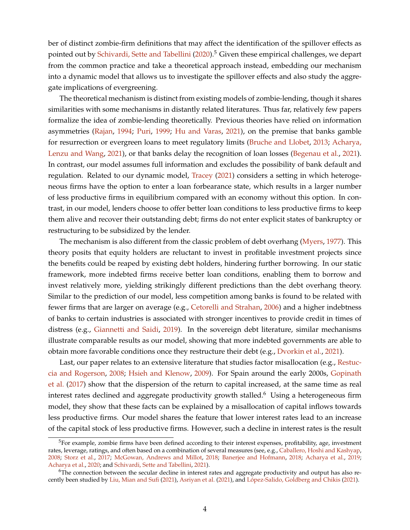ber of distinct zombie-firm definitions that may affect the identification of the spillover effects as pointed out by [Schivardi, Sette and Tabellini](#page-38-7) [\(2020\)](#page-38-7).<sup>5</sup> Given these empirical challenges, we depart from the common practice and take a theoretical approach instead, embedding our mechanism into a dynamic model that allows us to investigate the spillover effects and also study the aggregate implications of evergreening.

The theoretical mechanism is distinct from existing models of zombie-lending, though it shares similarities with some mechanisms in distantly related literatures. Thus far, relatively few papers formalize the idea of zombie-lending theoretically. Previous theories have relied on information asymmetries [\(Rajan,](#page-38-8) [1994;](#page-38-8) [Puri,](#page-38-9) [1999;](#page-38-9) [Hu and Varas,](#page-38-10) [2021\)](#page-38-10), on the premise that banks gamble for resurrection or evergreen loans to meet regulatory limits [\(Bruche and Llobet,](#page-37-12) [2013;](#page-37-12) [Acharya,](#page-36-9) [Lenzu and Wang,](#page-36-9) [2021\)](#page-36-9), or that banks delay the recognition of loan losses [\(Begenau et al.,](#page-36-10) [2021\)](#page-36-10). In contrast, our model assumes full information and excludes the possibility of bank default and regulation. Related to our dynamic model, [Tracey](#page-39-2) [\(2021\)](#page-39-2) considers a setting in which heterogeneous firms have the option to enter a loan forbearance state, which results in a larger number of less productive firms in equilibrium compared with an economy without this option. In contrast, in our model, lenders choose to offer better loan conditions to less productive firms to keep them alive and recover their outstanding debt; firms do not enter explicit states of bankruptcy or restructuring to be subsidized by the lender.

The mechanism is also different from the classic problem of debt overhang [\(Myers,](#page-38-11) [1977\)](#page-38-11). This theory posits that equity holders are reluctant to invest in profitable investment projects since the benefits could be reaped by existing debt holders, hindering further borrowing. In our static framework, more indebted firms receive better loan conditions, enabling them to borrow and invest relatively more, yielding strikingly different predictions than the debt overhang theory. Similar to the prediction of our model, less competition among banks is found to be related with fewer firms that are larger on average (e.g., [Cetorelli and Strahan,](#page-37-13) [2006\)](#page-37-13) and a higher indebtness of banks to certain industries is associated with stronger incentives to provide credit in times of distress (e.g., [Giannetti and Saidi,](#page-37-14) [2019\)](#page-37-14). In the sovereign debt literature, similar mechanisms illustrate comparable results as our model, showing that more indebted governments are able to obtain more favorable conditions once they restructure their debt (e.g., [Dvorkin et al.,](#page-37-15) [2021\)](#page-37-15).

Last, our paper relates to an extensive literature that studies factor misallocation (e.g., [Restuc](#page-38-12)[cia and Rogerson,](#page-38-12) [2008;](#page-38-12) [Hsieh and Klenow,](#page-38-13) [2009\)](#page-38-13). For Spain around the early 2000s, [Gopinath](#page-37-16) [et al.](#page-37-16) [\(2017\)](#page-37-16) show that the dispersion of the return to capital increased, at the same time as real interest rates declined and aggregate productivity growth stalled.<sup>6</sup> Using a heterogeneous firm model, they show that these facts can be explained by a misallocation of capital inflows towards less productive firms. Our model shares the feature that lower interest rates lead to an increase of the capital stock of less productive firms. However, such a decline in interest rates is the result

 $5$ For example, zombie firms have been defined according to their interest expenses, profitability, age, investment rates, leverage, ratings, and often based on a combination of several measures (see, e.g., [Caballero, Hoshi and Kashyap,](#page-37-0) [2008;](#page-37-0) [Storz et al.,](#page-39-0) [2017;](#page-39-0) [McGowan, Andrews and Millot,](#page-38-5) [2018;](#page-38-5) [Banerjee and Hofmann,](#page-36-1) [2018;](#page-36-1) [Acharya et al.,](#page-36-2) [2019;](#page-36-2) [Acharya et al.,](#page-36-4) [2020;](#page-36-4) and [Schivardi, Sette and Tabellini,](#page-39-1) [2021\)](#page-39-1).

 $6$ The connection between the secular decline in interest rates and aggregate productivity and output has also recently been studied by [Liu, Mian and Sufi](#page-38-14) [\(2021\)](#page-38-14), [Asriyan et al.](#page-36-11) [\(2021\)](#page-36-11), and [López-Salido, Goldberg and Chikis](#page-38-15) [\(2021\)](#page-38-15).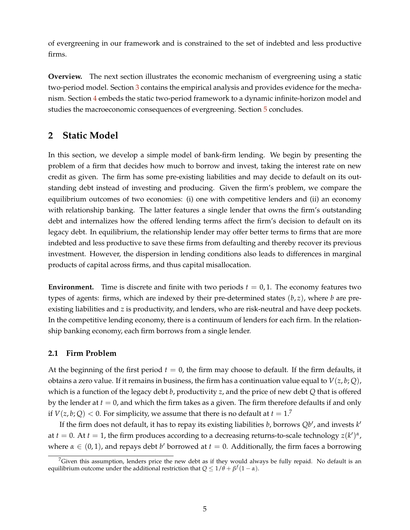of evergreening in our framework and is constrained to the set of indebted and less productive firms.

**Overview.** The next section illustrates the economic mechanism of evergreening using a static two-period model. Section [3](#page-13-0) contains the empirical analysis and provides evidence for the mechanism. Section [4](#page-25-0) embeds the static two-period framework to a dynamic infinite-horizon model and studies the macroeconomic consequences of evergreening. Section [5](#page-35-0) concludes.

# <span id="page-5-0"></span>**2 Static Model**

In this section, we develop a simple model of bank-firm lending. We begin by presenting the problem of a firm that decides how much to borrow and invest, taking the interest rate on new credit as given. The firm has some pre-existing liabilities and may decide to default on its outstanding debt instead of investing and producing. Given the firm's problem, we compare the equilibrium outcomes of two economies: (i) one with competitive lenders and (ii) an economy with relationship banking. The latter features a single lender that owns the firm's outstanding debt and internalizes how the offered lending terms affect the firm's decision to default on its legacy debt. In equilibrium, the relationship lender may offer better terms to firms that are more indebted and less productive to save these firms from defaulting and thereby recover its previous investment. However, the dispersion in lending conditions also leads to differences in marginal products of capital across firms, and thus capital misallocation.

**Environment.** Time is discrete and finite with two periods  $t = 0, 1$ . The economy features two types of agents: firms, which are indexed by their pre-determined states  $(b, z)$ , where *b* are preexisting liabilities and *z* is productivity, and lenders, who are risk-neutral and have deep pockets. In the competitive lending economy, there is a continuum of lenders for each firm. In the relationship banking economy, each firm borrows from a single lender.

### **2.1 Firm Problem**

At the beginning of the first period  $t = 0$ , the firm may choose to default. If the firm defaults, it obtains a zero value. If it remains in business, the firm has a continuation value equal to  $V(z, b; Q)$ , which is a function of the legacy debt *b*, productivity *z*, and the price of new debt *Q* that is offered by the lender at  $t = 0$ , and which the firm takes as a given. The firm therefore defaults if and only if  $V(z, b; Q) < 0$ . For simplicity, we assume that there is no default at  $t = 1$ .<sup>7</sup>

If the firm does not default, it has to repay its existing liabilities  $b$ , borrows  $Qb'$ , and invests  $k'$ at  $t = 0$ . At  $t = 1$ , the firm produces according to a decreasing returns-to-scale technology  $z(k')^{\alpha}$ , where  $\alpha \in (0, 1)$ , and repays debt *b*' borrowed at  $t = 0$ . Additionally, the firm faces a borrowing

 ${}^{7}$ Given this assumption, lenders price the new debt as if they would always be fully repaid. No default is an equilibrium outcome under the additional restriction that *Q* ≤ 1/*θ* + *β f* (1 − *α*).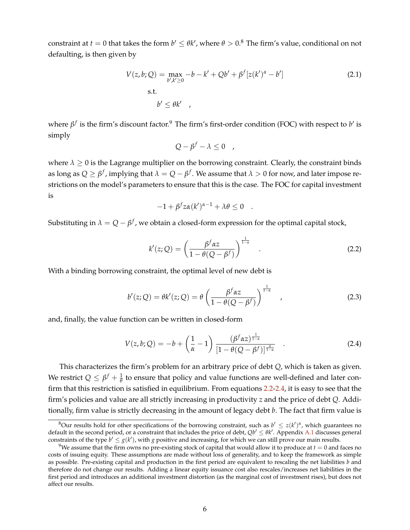constraint at  $t=0$  that takes the form  $b'\leq \theta k'$ , where  $\theta>0.8$  The firm's value, conditional on not defaulting, is then given by

$$
V(z, b; Q) = \max_{b', k' \ge 0} -b - k' + Qb' + \beta^{f}[z(k')^{\alpha} - b']
$$
\n
$$
\text{s.t.}
$$
\n
$$
b' \le \theta k'
$$
\n
$$
(2.1)
$$

where  $β$ <sup>f</sup> is the firm's discount factor.<sup>9</sup> The firm's first-order condition (FOC) with respect to *b'* is simply

$$
Q - \beta^f - \lambda \leq 0 \quad ,
$$

where  $\lambda \geq 0$  is the Lagrange multiplier on the borrowing constraint. Clearly, the constraint binds as long as  $Q\geq \beta^f$  , implying that  $\lambda=Q-\beta^f.$  We assume that  $\lambda>0$  for now, and later impose restrictions on the model's parameters to ensure that this is the case. The FOC for capital investment is

$$
-1 + \beta^f z \alpha(k')^{\alpha-1} + \lambda \theta \leq 0 \quad .
$$

Substituting in  $\lambda = Q - \beta^f$ , we obtain a closed-form expression for the optimal capital stock,

<span id="page-6-0"></span>
$$
k'(z;Q) = \left(\frac{\beta^f \alpha z}{1 - \theta(Q - \beta^f)}\right)^{\frac{1}{1 - \alpha}}.
$$
\n(2.2)

With a binding borrowing constraint, the optimal level of new debt is

<span id="page-6-2"></span>
$$
b'(z;Q) = \theta k'(z;Q) = \theta \left(\frac{\beta^f \alpha z}{1 - \theta(Q - \beta^f)}\right)^{\frac{1}{1 - \alpha}},
$$
\n(2.3)

and, finally, the value function can be written in closed-form

<span id="page-6-1"></span>
$$
V(z, b; Q) = -b + \left(\frac{1}{\alpha} - 1\right) \frac{(\beta^f \alpha z)^{\frac{1}{1 - \alpha}}}{[1 - \theta(Q - \beta^f)]^{\frac{\alpha}{1 - \alpha}}} .
$$
 (2.4)

This characterizes the firm's problem for an arbitrary price of debt *Q*, which is taken as given. We restrict  $Q \leq \beta^f + \frac{1}{\theta}$  to ensure that policy and value functions are well-defined and later confirm that this restriction is satisfied in equilibrium. From equations [2.2](#page-6-0)[-2.4,](#page-6-1) it is easy to see that the firm's policies and value are all strictly increasing in productivity *z* and the price of debt *Q*. Additionally, firm value is strictly decreasing in the amount of legacy debt *b*. The fact that firm value is

<sup>&</sup>lt;sup>8</sup>Our results hold for other specifications of the borrowing constraint, such as  $b' \leq z(k')^{\alpha}$ , which guarantees no default in the second period, or a constraint that includes the price of debt,  $Qb' \leq \theta k'$ . Appendix [A.1](#page-40-0) discusses general constraints of the type  $b' \leq g(k')$ , with *g* positive and increasing, for which we can still prove our main results.

<sup>&</sup>lt;sup>9</sup>We assume that the firm owns no pre-existing stock of capital that would allow it to produce at  $t = 0$  and faces no costs of issuing equity. These assumptions are made without loss of generality, and to keep the framework as simple as possible. Pre-existing capital and production in the first period are equivalent to rescaling the net liabilities *b* and therefore do not change our results. Adding a linear equity issuance cost also rescales/increases net liabilities in the first period and introduces an additional investment distortion (as the marginal cost of investment rises), but does not affect our results.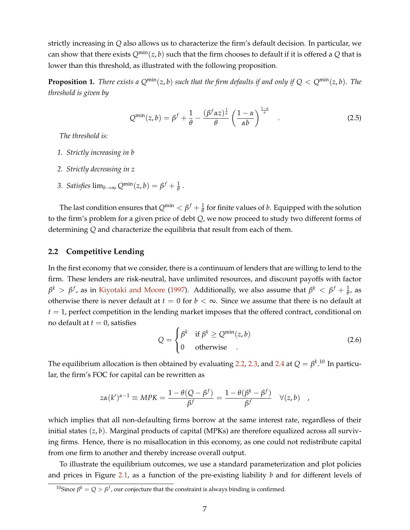strictly increasing in *Q* also allows us to characterize the firm's default decision. In particular, we can show that there exists  $Q^{\min}(z, b)$  such that the firm chooses to default if it is offered a Q that is lower than this threshold, as illustrated with the following proposition.

**Proposition 1.** *There exists a*  $Q^{min}(z, b)$  *such that the firm defaults if and only if*  $Q < Q^{min}(z, b)$ *. The threshold is given by*

$$
Q^{\min}(z,b) = \beta^f + \frac{1}{\theta} - \frac{(\beta^f \alpha z)^{\frac{1}{\alpha}}}{\theta} \left(\frac{1-\alpha}{\alpha b}\right)^{\frac{1-\alpha}{\alpha}}.
$$
 (2.5)

*The threshold is:*

- *1. Strictly increasing in b*
- *2. Strictly decreasing in z*
- <span id="page-7-0"></span>3. *Satisfies*  $\lim_{b\to\infty} Q^{\min}(z, b) = \beta^f + \frac{1}{\theta}$ .

The last condition ensures that  $Q^{\min} < \beta^f + \frac{1}{\theta}$  for finite values of *b*. Equipped with the solution to the firm's problem for a given price of debt *Q*, we now proceed to study two different forms of determining *Q* and characterize the equilibria that result from each of them.

#### **2.2 Competitive Lending**

In the first economy that we consider, there is a continuum of lenders that are willing to lend to the firm. These lenders are risk-neutral, have unlimited resources, and discount payoffs with factor *β*<sup>*k*</sup> > *β<sup>f</sup>*, as in [Kiyotaki and Moore](#page-38-16) [\(1997\)](#page-38-16). Additionally, we also assume that  $β^k < β^f + \frac{1}{θ}$ , as otherwise there is never default at  $t = 0$  for  $b < \infty$ . Since we assume that there is no default at  $t = 1$ , perfect competition in the lending market imposes that the offered contract, conditional on no default at  $t = 0$ , satisfies

$$
Q = \begin{cases} \beta^k & \text{if } \beta^k \ge Q^{\min}(z, b) \\ 0 & \text{otherwise} \end{cases}
$$
 (2.6)

The equilibrium allocation is then obtained by evaluating [2.2,](#page-6-0) [2.3,](#page-6-2) and [2.4](#page-6-1) at  $Q=\beta^{k\_10}$  In particular, the firm's FOC for capital can be rewritten as

$$
z\alpha(k')^{\alpha-1} \equiv MPK = \frac{1-\theta(Q-\beta^f)}{\beta^f} = \frac{1-\theta(\beta^k-\beta^f)}{\beta^f} \quad \forall (z,b) ,
$$

which implies that all non-defaulting firms borrow at the same interest rate, regardless of their initial states (*z*, *b*). Marginal products of capital (MPKs) are therefore equalized across all surviving firms. Hence, there is no misallocation in this economy, as one could not redistribute capital from one firm to another and thereby increase overall output.

To illustrate the equilibrium outcomes, we use a standard parameterization and plot policies and prices in Figure [2.1,](#page-8-0) as a function of the pre-existing liability *b* and for different levels of

 $^{10}$ Since  $\beta^k = Q > \beta^f$  , our conjecture that the constraint is always binding is confirmed.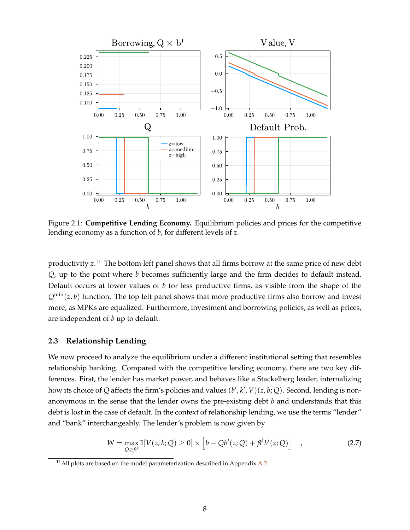<span id="page-8-0"></span>

Figure 2.1: **Competitive Lending Economy.** Equilibrium policies and prices for the competitive lending economy as a function of *b*, for different levels of *z*.

productivity *z*. <sup>11</sup> The bottom left panel shows that all firms borrow at the same price of new debt *Q*, up to the point where *b* becomes sufficiently large and the firm decides to default instead. Default occurs at lower values of *b* for less productive firms, as visible from the shape of the *Q*min(*z*, *b*) function. The top left panel shows that more productive firms also borrow and invest more, as MPKs are equalized. Furthermore, investment and borrowing policies, as well as prices, are independent of *b* up to default.

#### **2.3 Relationship Lending**

We now proceed to analyze the equilibrium under a different institutional setting that resembles relationship banking. Compared with the competitive lending economy, there are two key differences. First, the lender has market power, and behaves like a Stackelberg leader, internalizing how its choice of Q affects the firm's policies and values  $(b', k', V)(z, b; Q)$ . Second, lending is nonanonymous in the sense that the lender owns the pre-existing debt *b* and understands that this debt is lost in the case of default. In the context of relationship lending, we use the terms "lender" and "bank" interchangeably. The lender's problem is now given by

$$
W = \max_{Q \ge \beta^k} \mathbb{I}[V(z, b; Q) \ge 0] \times [b - Qb'(z; Q) + \beta^k b'(z; Q)] \quad , \tag{2.7}
$$

 $11$ All plots are based on the model parameterization described in Appendix [A.2.](#page-42-0)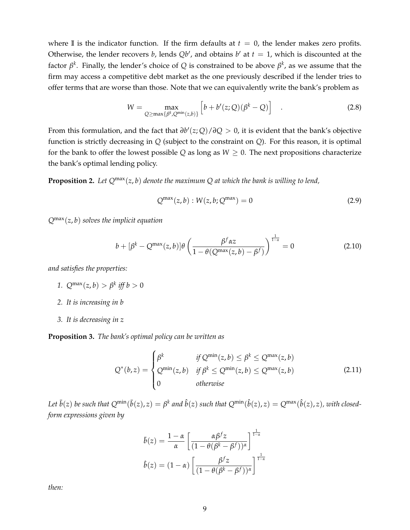where **I** is the indicator function. If the firm defaults at  $t = 0$ , the lender makes zero profits. Otherwise, the lender recovers *b*, lends  $Qb'$ , and obtains  $b'$  at  $t = 1$ , which is discounted at the factor  $\beta^k$ . Finally, the lender's choice of  $Q$  is constrained to be above  $\beta^k$ , as we assume that the firm may access a competitive debt market as the one previously described if the lender tries to offer terms that are worse than those. Note that we can equivalently write the bank's problem as

$$
W = \max_{Q \ge \max\{\beta^k, Q^{\min}(z, b)\}} \left[ b + b'(z; Q)(\beta^k - Q) \right] \quad . \tag{2.8}
$$

From this formulation, and the fact that *∂b* 0 (*z*; *Q*)/*∂Q* > 0, it is evident that the bank's objective function is strictly decreasing in *Q* (subject to the constraint on *Q*). For this reason, it is optimal for the bank to offer the lowest possible  $Q$  as long as  $W \geq 0$ . The next propositions characterize the bank's optimal lending policy.

**Proposition 2.** *Let Q*max(*z*, *b*) *denote the maximum Q at which the bank is willing to lend,*

$$
Q^{\max}(z,b): W(z,b;Q^{\max}) = 0
$$
\n(2.9)

*Q*max(*z*, *b*) *solves the implicit equation*

$$
b + [\beta^k - Q^{\max}(z, b)]\theta \left(\frac{\beta^f \alpha z}{1 - \theta(Q^{\max}(z, b) - \beta^f)}\right)^{\frac{1}{1 - \alpha}} = 0
$$
 (2.10)

*and satisfies the properties:*

- *1.*  $Q^{\max}(z, b) > \beta^k$  *iff*  $b > 0$
- *2. It is increasing in b*
- *3. It is decreasing in z*

**Proposition 3.** *The bank's optimal policy can be written as*

$$
Q^*(b,z) = \begin{cases} \beta^k & \text{if } Q^{\min}(z,b) \le \beta^k \le Q^{\max}(z,b) \\ Q^{\min}(z,b) & \text{if } \beta^k \le Q^{\min}(z,b) \le Q^{\max}(z,b) \\ 0 & \text{otherwise} \end{cases}
$$
(2.11)

Let  $\bar{b}(z)$  be such that  $Q^{\min}(\bar{b}(z),z)=\beta^k$  and  $\hat{b}(z)$  such that  $Q^{\min}(\hat{b}(z),z)=Q^{\max}(\hat{b}(z),z)$ , with closed*form expressions given by*

$$
\bar{b}(z) = \frac{1-\alpha}{\alpha} \left[ \frac{\alpha \beta^f z}{(1-\theta(\beta^k - \beta^f))^{\alpha}} \right]^{\frac{1}{1-\alpha}}
$$

$$
\hat{b}(z) = (1-\alpha) \left[ \frac{\beta^f z}{(1-\theta(\beta^k - \beta^f))^{\alpha}} \right]^{\frac{1}{1-\alpha}}
$$

*then:*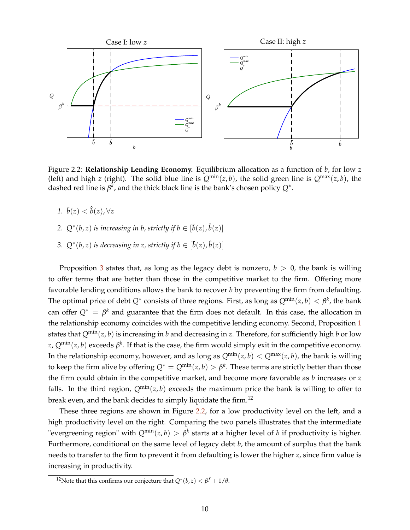<span id="page-10-1"></span>

Figure 2.2: **Relationship Lending Economy.** Equilibrium allocation as a function of *b*, for low *z* (left) and high *z* (right). The solid blue line is  $Q^{min}(z, b)$ , the solid green line is  $Q^{max}(z, b)$ , the dashed red line is  $\beta^k$ , and the thick black line is the bank's chosen policy  $Q^*.$ 

- *1.*  $\bar{b}(z) < \hat{b}(z)$ ,  $\forall z$
- 2.  $Q^*(b, z)$  *is increasing in b, strictly if*  $b \in [\bar{b}(z), \hat{b}(z)]$
- <span id="page-10-0"></span>*3.*  $Q^*(b, z)$  *is decreasing in z, strictly if*  $b \in [\bar{b}(z), \hat{b}(z)]$

Proposition [3](#page-10-0) states that, as long as the legacy debt is nonzero,  $b > 0$ , the bank is willing to offer terms that are better than those in the competitive market to the firm. Offering more favorable lending conditions allows the bank to recover *b* by preventing the firm from defaulting. The optimal price of debt  $Q^*$  consists of three regions. First, as long as  $Q^{\min}(z,b) < \beta^k$ , the bank can offer  $Q^* = \beta^k$  and guarantee that the firm does not default. In this case, the allocation in the relationship economy coincides with the competitive lending economy. Second, Proposition [1](#page-7-0) states that  $Q^{\min}(z, b)$  is increasing in *b* and decreasing in *z*. Therefore, for sufficiently high *b* or low  $z$ ,  $Q^{\min}(z,b)$  exceeds  $\beta^k$ . If that is the case, the firm would simply exit in the competitive economy. In the relationship economy, however, and as long as  $Q^{\min}(z, b) < Q^{\max}(z, b)$ , the bank is willing to keep the firm alive by offering  $Q^* = Q^{\min}(z, b) > \beta^k$ . These terms are strictly better than those the firm could obtain in the competitive market, and become more favorable as *b* increases or *z* falls. In the third region,  $Q^{\min}(z, b)$  exceeds the maximum price the bank is willing to offer to break even, and the bank decides to simply liquidate the firm.<sup>12</sup>

These three regions are shown in Figure [2.2,](#page-10-1) for a low productivity level on the left, and a high productivity level on the right. Comparing the two panels illustrates that the intermediate "evergreening region" with  $Q^{\min}(z, b) > \beta^k$  starts at a higher level of  $b$  if productivity is higher. Furthermore, conditional on the same level of legacy debt *b*, the amount of surplus that the bank needs to transfer to the firm to prevent it from defaulting is lower the higher *z*, since firm value is increasing in productivity.

<sup>&</sup>lt;sup>12</sup>Note that this confirms our conjecture that  $Q^*(b, z) < \beta^f + 1/\theta$ .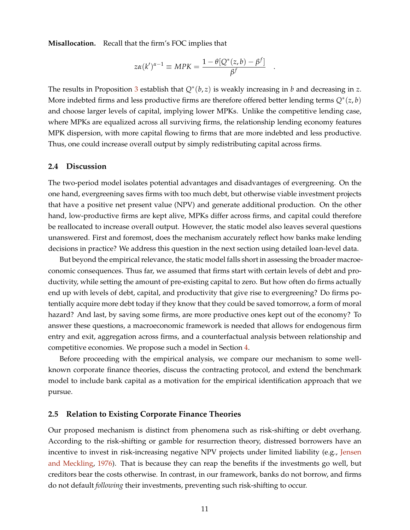**Misallocation.** Recall that the firm's FOC implies that

$$
z\alpha(k')^{\alpha-1} \equiv MPK = \frac{1-\theta[Q^*(z,b)-\beta^f]}{\beta^f}
$$

.

The results in Proposition [3](#page-10-0) establish that *Q*<sup>∗</sup> (*b*, *z*) is weakly increasing in *b* and decreasing in *z*. More indebted firms and less productive firms are therefore offered better lending terms  $Q^*(z, b)$ and choose larger levels of capital, implying lower MPKs. Unlike the competitive lending case, where MPKs are equalized across all surviving firms, the relationship lending economy features MPK dispersion, with more capital flowing to firms that are more indebted and less productive. Thus, one could increase overall output by simply redistributing capital across firms.

#### **2.4 Discussion**

The two-period model isolates potential advantages and disadvantages of evergreening. On the one hand, evergreening saves firms with too much debt, but otherwise viable investment projects that have a positive net present value (NPV) and generate additional production. On the other hand, low-productive firms are kept alive, MPKs differ across firms, and capital could therefore be reallocated to increase overall output. However, the static model also leaves several questions unanswered. First and foremost, does the mechanism accurately reflect how banks make lending decisions in practice? We address this question in the next section using detailed loan-level data.

But beyond the empirical relevance, the static model falls short in assessing the broader macroeconomic consequences. Thus far, we assumed that firms start with certain levels of debt and productivity, while setting the amount of pre-existing capital to zero. But how often do firms actually end up with levels of debt, capital, and productivity that give rise to evergreening? Do firms potentially acquire more debt today if they know that they could be saved tomorrow, a form of moral hazard? And last, by saving some firms, are more productive ones kept out of the economy? To answer these questions, a macroeconomic framework is needed that allows for endogenous firm entry and exit, aggregation across firms, and a counterfactual analysis between relationship and competitive economies. We propose such a model in Section [4.](#page-25-0)

Before proceeding with the empirical analysis, we compare our mechanism to some wellknown corporate finance theories, discuss the contracting protocol, and extend the benchmark model to include bank capital as a motivation for the empirical identification approach that we pursue.

### **2.5 Relation to Existing Corporate Finance Theories**

Our proposed mechanism is distinct from phenomena such as risk-shifting or debt overhang. According to the risk-shifting or gamble for resurrection theory, distressed borrowers have an incentive to invest in risk-increasing negative NPV projects under limited liability (e.g., [Jensen](#page-38-17) [and Meckling,](#page-38-17) [1976\)](#page-38-17). That is because they can reap the benefits if the investments go well, but creditors bear the costs otherwise. In contrast, in our framework, banks do not borrow, and firms do not default *following* their investments, preventing such risk-shifting to occur.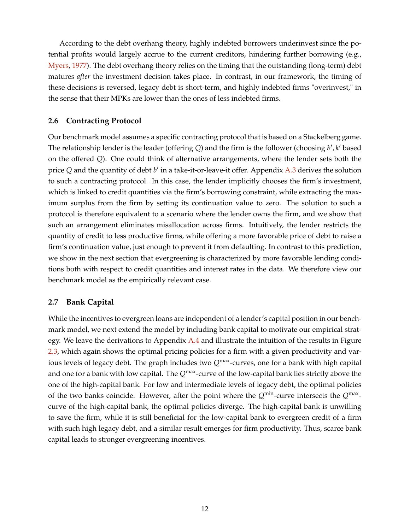According to the debt overhang theory, highly indebted borrowers underinvest since the potential profits would largely accrue to the current creditors, hindering further borrowing (e.g., [Myers,](#page-38-11) [1977\)](#page-38-11). The debt overhang theory relies on the timing that the outstanding (long-term) debt matures *after* the investment decision takes place. In contrast, in our framework, the timing of these decisions is reversed, legacy debt is short-term, and highly indebted firms "overinvest," in the sense that their MPKs are lower than the ones of less indebted firms.

#### **2.6 Contracting Protocol**

Our benchmark model assumes a specific contracting protocol that is based on a Stackelberg game. The relationship lender is the leader (offering  $Q$ ) and the firm is the follower (choosing  $b'$ ,  $k'$  based on the offered *Q*). One could think of alternative arrangements, where the lender sets both the price Q and the quantity of debt *b'* in a take-it-or-leave-it offer. Appendix [A.3](#page-42-1) derives the solution to such a contracting protocol. In this case, the lender implicitly chooses the firm's investment, which is linked to credit quantities via the firm's borrowing constraint, while extracting the maximum surplus from the firm by setting its continuation value to zero. The solution to such a protocol is therefore equivalent to a scenario where the lender owns the firm, and we show that such an arrangement eliminates misallocation across firms. Intuitively, the lender restricts the quantity of credit to less productive firms, while offering a more favorable price of debt to raise a firm's continuation value, just enough to prevent it from defaulting. In contrast to this prediction, we show in the next section that evergreening is characterized by more favorable lending conditions both with respect to credit quantities and interest rates in the data. We therefore view our benchmark model as the empirically relevant case.

### **2.7 Bank Capital**

While the incentives to evergreen loans are independent of a lender's capital position in our benchmark model, we next extend the model by including bank capital to motivate our empirical strat-egy. We leave the derivations to Appendix [A.4](#page-44-0) and illustrate the intuition of the results in Figure [2.3,](#page-13-1) which again shows the optimal pricing policies for a firm with a given productivity and various levels of legacy debt. The graph includes two Q<sup>max</sup>-curves, one for a bank with high capital and one for a bank with low capital. The *Q*max-curve of the low-capital bank lies strictly above the one of the high-capital bank. For low and intermediate levels of legacy debt, the optimal policies of the two banks coincide. However, after the point where the *Q*min-curve intersects the *Q*max curve of the high-capital bank, the optimal policies diverge. The high-capital bank is unwilling to save the firm, while it is still beneficial for the low-capital bank to evergreen credit of a firm with such high legacy debt, and a similar result emerges for firm productivity. Thus, scarce bank capital leads to stronger evergreening incentives.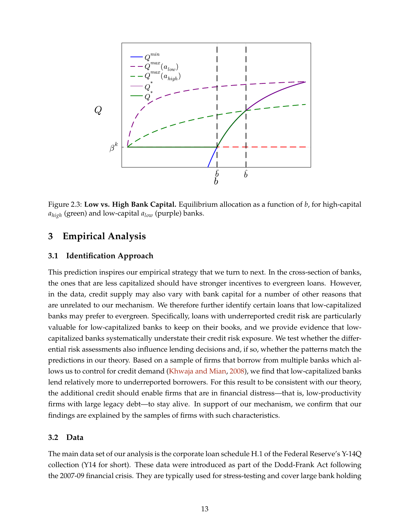<span id="page-13-1"></span>

Figure 2.3: **Low vs. High Bank Capital.** Equilibrium allocation as a function of *b*, for high-capital *ahigh* (green) and low-capital *alow* (purple) banks.

# <span id="page-13-0"></span>**3 Empirical Analysis**

### **3.1 Identification Approach**

This prediction inspires our empirical strategy that we turn to next. In the cross-section of banks, the ones that are less capitalized should have stronger incentives to evergreen loans. However, in the data, credit supply may also vary with bank capital for a number of other reasons that are unrelated to our mechanism. We therefore further identify certain loans that low-capitalized banks may prefer to evergreen. Specifically, loans with underreported credit risk are particularly valuable for low-capitalized banks to keep on their books, and we provide evidence that lowcapitalized banks systematically understate their credit risk exposure. We test whether the differential risk assessments also influence lending decisions and, if so, whether the patterns match the predictions in our theory. Based on a sample of firms that borrow from multiple banks which allows us to control for credit demand [\(Khwaja and Mian,](#page-38-2) [2008\)](#page-38-2), we find that low-capitalized banks lend relatively more to underreported borrowers. For this result to be consistent with our theory, the additional credit should enable firms that are in financial distress—that is, low-productivity firms with large legacy debt—to stay alive. In support of our mechanism, we confirm that our findings are explained by the samples of firms with such characteristics.

### **3.2 Data**

The main data set of our analysis is the corporate loan schedule H.1 of the Federal Reserve's Y-14Q collection (Y14 for short). These data were introduced as part of the Dodd-Frank Act following the 2007-09 financial crisis. They are typically used for stress-testing and cover large bank holding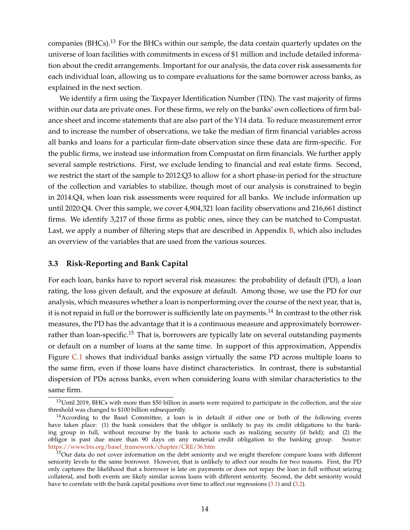companies (BHCs).<sup>13</sup> For the BHCs within our sample, the data contain quarterly updates on the universe of loan facilities with commitments in excess of \$1 million and include detailed information about the credit arrangements. Important for our analysis, the data cover risk assessments for each individual loan, allowing us to compare evaluations for the same borrower across banks, as explained in the next section.

We identify a firm using the Taxpayer Identification Number (TIN). The vast majority of firms within our data are private ones. For these firms, we rely on the banks' own collections of firm balance sheet and income statements that are also part of the Y14 data. To reduce measurement error and to increase the number of observations, we take the median of firm financial variables across all banks and loans for a particular firm-date observation since these data are firm-specific. For the public firms, we instead use information from Compustat on firm financials. We further apply several sample restrictions. First, we exclude lending to financial and real estate firms. Second, we restrict the start of the sample to 2012:Q3 to allow for a short phase-in period for the structure of the collection and variables to stabilize, though most of our analysis is constrained to begin in 2014:Q4, when loan risk assessments were required for all banks. We include information up until 2020:Q4. Over this sample, we cover 4,904,321 loan facility observations and 216,661 distinct firms. We identify 3,217 of those firms as public ones, since they can be matched to Compustat. Last, we apply a number of filtering steps that are described in Appendix  $\overline{B}$ , which also includes an overview of the variables that are used from the various sources.

#### **3.3 Risk-Reporting and Bank Capital**

For each loan, banks have to report several risk measures: the probability of default (PD), a loan rating, the loss given default, and the exposure at default. Among those, we use the PD for our analysis, which measures whether a loan is nonperforming over the course of the next year, that is, it is not repaid in full or the borrower is sufficiently late on payments.<sup>14</sup> In contrast to the other risk measures, the PD has the advantage that it is a continuous measure and approximately borrowerrather than loan-specific.<sup>15</sup> That is, borrowers are typically late on several outstanding payments or default on a number of loans at the same time. In support of this approximation, Appendix Figure [C.1](#page-51-0) shows that individual banks assign virtually the same PD across multiple loans to the same firm, even if those loans have distinct characteristics. In contrast, there is substantial dispersion of PDs across banks, even when considering loans with similar characteristics to the same firm.

<sup>13</sup>Until 2019, BHCs with more than \$50 billion in assets were required to participate in the collection, and the size threshold was changed to \$100 billion subsequently.

<sup>&</sup>lt;sup>14</sup> According to the Basel Committee, a loan is in default if either one or both of the following events have taken place: (1) the bank considers that the obligor is unlikely to pay its credit obligations to the banking group in full, without recourse by the bank to actions such as realizing security (if held); and (2) the obligor is past due more than 90 days on any material credit obligation to the banking group. Source: [https://www.bis.org/basel\\_framework/chapter/CRE/36.htm](https://www.bis.org/basel_framework/chapter/CRE/36.htm)

<sup>&</sup>lt;sup>15</sup>Our data do not cover information on the debt seniority and we might therefore compare loans with different seniority levels to the same borrower. However, that is unlikely to affect our results for two reasons. First, the PD only captures the likelihood that a borrower is late on payments or does not repay the loan in full without seizing collateral, and both events are likely similar across loans with different seniority. Second, the debt seniority would have to correlate with the bank capital positions over time to affect our regressions [\(3.1\)](#page-15-0) and [\(3.2\)](#page-18-0).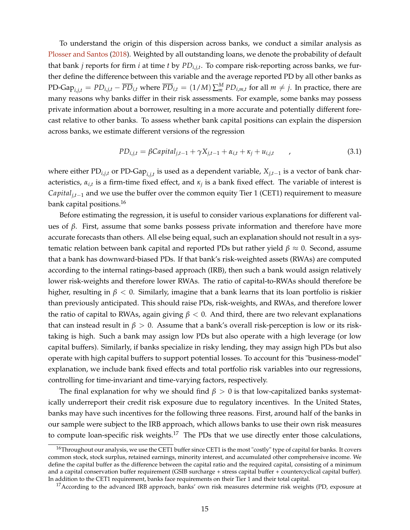To understand the origin of this dispersion across banks, we conduct a similar analysis as [Plosser and Santos](#page-38-1) [\(2018\)](#page-38-1). Weighted by all outstanding loans, we denote the probability of default that bank *j* reports for firm *i* at time *t* by *PDi*,*j*,*<sup>t</sup>* . To compare risk-reporting across banks, we further define the difference between this variable and the average reported PD by all other banks as PD-Gap<sub>i,j,t</sub> =  $PD_{i,j,t} - \overline{PD}_{i,t}$  where  $\overline{PD}_{i,t} = (1/M) \sum_m^M PD_{i,m,t}$  for all  $m \neq j$ . In practice, there are many reasons why banks differ in their risk assessments. For example, some banks may possess private information about a borrower, resulting in a more accurate and potentially different forecast relative to other banks. To assess whether bank capital positions can explain the dispersion across banks, we estimate different versions of the regression

<span id="page-15-0"></span>
$$
PD_{i,j,t} = \beta Capital_{j,t-1} + \gamma X_{j,t-1} + \alpha_{i,t} + \kappa_j + u_{i,j,t} \qquad , \qquad (3.1)
$$

where either PD*i*,*j*,*<sup>t</sup>* or PD-Gap*i*,*j*,*<sup>t</sup>* is used as a dependent variable, *Xj*,*t*−<sup>1</sup> is a vector of bank characteristics, *αi*,*<sup>t</sup>* is a firm-time fixed effect, and *κ<sup>j</sup>* is a bank fixed effect. The variable of interest is *Capitalj*,*t*−<sup>1</sup> and we use the buffer over the common equity Tier 1 (CET1) requirement to measure bank capital positions.<sup>16</sup>

Before estimating the regression, it is useful to consider various explanations for different values of *β*. First, assume that some banks possess private information and therefore have more accurate forecasts than others. All else being equal, such an explanation should not result in a systematic relation between bank capital and reported PDs but rather yield *β* ≈ 0. Second, assume that a bank has downward-biased PDs. If that bank's risk-weighted assets (RWAs) are computed according to the internal ratings-based approach (IRB), then such a bank would assign relatively lower risk-weights and therefore lower RWAs. The ratio of capital-to-RWAs should therefore be higher, resulting in *β* < 0. Similarly, imagine that a bank learns that its loan portfolio is riskier than previously anticipated. This should raise PDs, risk-weights, and RWAs, and therefore lower the ratio of capital to RWAs, again giving  $\beta$  < 0. And third, there are two relevant explanations that can instead result in  $\beta > 0$ . Assume that a bank's overall risk-perception is low or its risktaking is high. Such a bank may assign low PDs but also operate with a high leverage (or low capital buffers). Similarly, if banks specialize in risky lending, they may assign high PDs but also operate with high capital buffers to support potential losses. To account for this "business-model" explanation, we include bank fixed effects and total portfolio risk variables into our regressions, controlling for time-invariant and time-varying factors, respectively.

The final explanation for why we should find  $\beta > 0$  is that low-capitalized banks systematically underreport their credit risk exposure due to regulatory incentives. In the United States, banks may have such incentives for the following three reasons. First, around half of the banks in our sample were subject to the IRB approach, which allows banks to use their own risk measures to compute loan-specific risk weights.<sup>17</sup> The PDs that we use directly enter those calculations,

 $16$ Throughout our analysis, we use the CET1 buffer since CET1 is the most "costly" type of capital for banks. It covers common stock, stock surplus, retained earnings, minority interest, and accumulated other comprehensive income. We define the capital buffer as the difference between the capital ratio and the required capital, consisting of a minimum and a capital conservation buffer requirement (GSIB surcharge + stress capital buffer + countercyclical capital buffer). In addition to the CET1 requirement, banks face requirements on their Tier 1 and their total capital.

<sup>&</sup>lt;sup>17</sup> According to the advanced IRB approach, banks' own risk measures determine risk weights (PD, exposure at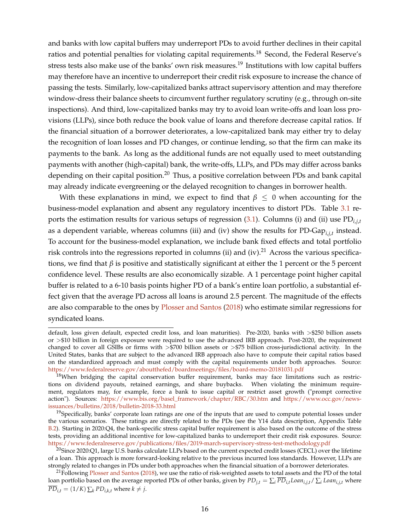and banks with low capital buffers may underreport PDs to avoid further declines in their capital ratios and potential penalties for violating capital requirements.<sup>18</sup> Second, the Federal Reserve's stress tests also make use of the banks' own risk measures.<sup>19</sup> Institutions with low capital buffers may therefore have an incentive to underreport their credit risk exposure to increase the chance of passing the tests. Similarly, low-capitalized banks attract supervisory attention and may therefore window-dress their balance sheets to circumvent further regulatory scrutiny (e.g., through on-site inspections). And third, low-capitalized banks may try to avoid loan write-offs and loan loss provisions (LLPs), since both reduce the book value of loans and therefore decrease capital ratios. If the financial situation of a borrower deteriorates, a low-capitalized bank may either try to delay the recognition of loan losses and PD changes, or continue lending, so that the firm can make its payments to the bank. As long as the additional funds are not equally used to meet outstanding payments with another (high-capital) bank, the write-offs, LLPs, and PDs may differ across banks depending on their capital position.<sup>20</sup> Thus, a positive correlation between PDs and bank capital may already indicate evergreening or the delayed recognition to changes in borrower health.

With these explanations in mind, we expect to find that  $\beta \leq 0$  when accounting for the business-model explanation and absent any regulatory incentives to distort PDs. Table [3.1](#page-17-0) reports the estimation results for various setups of regression [\(3.1\)](#page-15-0). Columns (i) and (ii) use PD*i*,*j*,*<sup>t</sup>* as a dependent variable, whereas columns (iii) and (iv) show the results for PD-Gap*i*,*j*,*<sup>t</sup>* instead. To account for the business-model explanation, we include bank fixed effects and total portfolio risk controls into the regressions reported in columns (ii) and (iv). $^{21}$  Across the various specifications, we find that  $\beta$  is positive and statistically significant at either the 1 percent or the 5 percent confidence level. These results are also economically sizable. A 1 percentage point higher capital buffer is related to a 6-10 basis points higher PD of a bank's entire loan portfolio, a substantial effect given that the average PD across all loans is around 2.5 percent. The magnitude of the effects are also comparable to the ones by [Plosser and Santos](#page-38-1) [\(2018\)](#page-38-1) who estimate similar regressions for syndicated loans.

default, loss given default, expected credit loss, and loan maturities). Pre-2020, banks with >\$250 billion assets or >\$10 billion in foreign exposure were required to use the advanced IRB approach. Post-2020, the requirement changed to cover all GSIBs or firms with >\$700 billion assets or >\$75 billion cross-jurisdictional activity. In the United States, banks that are subject to the advanced IRB approach also have to compute their capital ratios based on the standardized approach and must comply with the capital requirements under both approaches. Source: <https://www.federalreserve.gov/aboutthefed/boardmeetings/files/board-memo-20181031.pdf>

<sup>18</sup>When bridging the capital conservation buffer requirement, banks may face limitations such as restrictions on dividend payouts, retained earnings, and share buybacks. When violating the minimum requirement, regulators may, for example, force a bank to issue capital or restrict asset growth ("prompt corrective action"). Sources: [https://www.bis.org/basel\\_framework/chapter/RBC/30.htm](https://www.bis.org/basel_framework/chapter/RBC/30.htm) and [https://www.occ.gov/news](https://www.occ.gov/news-issuances/bulletins/2018/bulletin-2018-33.html)[issuances/bulletins/2018/bulletin-2018-33.html](https://www.occ.gov/news-issuances/bulletins/2018/bulletin-2018-33.html)

<sup>&</sup>lt;sup>19</sup>Specifically, banks' corporate loan ratings are one of the inputs that are used to compute potential losses under the various scenarios. These ratings are directly related to the PDs (see the Y14 data description, Appendix Table [B.2\)](#page-48-0). Starting in 2020:Q4, the bank-specific stress capital buffer requirement is also based on the outcome of the stress tests, providing an additional incentive for low-capitalized banks to underreport their credit risk exposures. Source: <https://www.federalreserve.gov/publications/files/2019-march-supervisory-stress-test-methodology.pdf>

 $^{20}$ Since 2020:Q1, large U.S. banks calculate LLPs based on the current expected credit losses (CECL) over the lifetime of a loan. This approach is more forward-looking relative to the previous incurred loss standards. However, LLPs are strongly related to changes in PDs under both approaches when the financial situation of a borrower deteriorates.

<sup>&</sup>lt;sup>21</sup>Following [Plosser and Santos](#page-38-1) [\(2018\)](#page-38-1), we use the ratio of risk-weighted assets to total assets and the PD of the total loan portfolio based on the average reported PDs of other banks, given by  $PD_{i,t} = \sum_i \overline{PD}_{i,t} L o an_{i,j,t} / \sum_i L o an_{i,j,t}$  where  $\overline{PD}_{i,t} = (1/K) \sum_k PD_{i,k,t}$  where  $k \neq j$ .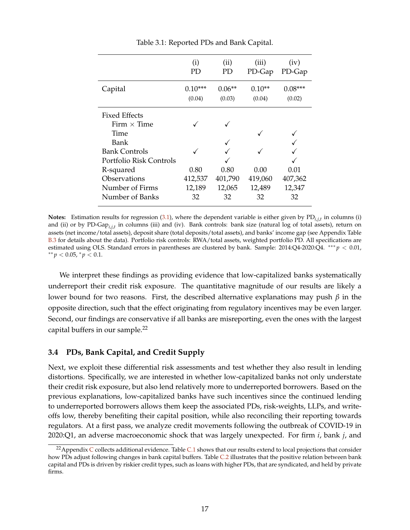<span id="page-17-0"></span>

|                         | (i)<br>PD. | (ii)<br>PD | (iii)<br>PD-Gap | (iv)<br>PD-Gap |
|-------------------------|------------|------------|-----------------|----------------|
| Capital                 | $0.10***$  | $0.06**$   | $0.10**$        | $0.08***$      |
|                         | (0.04)     | (0.03)     | (0.04)          | (0.02)         |
| <b>Fixed Effects</b>    |            |            |                 |                |
| Firm $\times$ Time      |            |            |                 |                |
| Time                    |            |            |                 |                |
| Bank                    |            |            |                 |                |
| <b>Bank Controls</b>    |            |            |                 |                |
| Portfolio Risk Controls |            |            |                 |                |
| R-squared               | 0.80       | 0.80       | 0.00            | 0.01           |
| Observations            | 412,537    | 401,790    | 419,060         | 407,362        |
| Number of Firms         | 12,189     | 12,065     | 12,489          | 12,347         |
| Number of Banks         | 32         | 32         | 32              | 32             |

Table 3.1: Reported PDs and Bank Capital.

**Notes:** Estimation results for regression [\(3.1\)](#page-15-0), where the dependent variable is either given by PD*i*,*j*,*<sup>t</sup>* in columns (i) and (ii) or by PD-Gap*i*,*j*,*<sup>t</sup>* in columns (iii) and (iv). Bank controls: bank size (natural log of total assets), return on assets (net income/total assets), deposit share (total deposits/total assets), and banks' income gap (see Appendix Table [B.3](#page-49-0) for details about the data). Portfolio risk controls: RWA/total assets, weighted portfolio PD. All specifications are estimated using OLS. Standard errors in parentheses are clustered by bank. Sample: 2014:Q4-2020:Q4. ∗∗∗ *p* < 0.01, ∗∗ *p* < 0.05, <sup>∗</sup> *p* < 0.1.

We interpret these findings as providing evidence that low-capitalized banks systematically underreport their credit risk exposure. The quantitative magnitude of our results are likely a lower bound for two reasons. First, the described alternative explanations may push *β* in the opposite direction, such that the effect originating from regulatory incentives may be even larger. Second, our findings are conservative if all banks are misreporting, even the ones with the largest capital buffers in our sample.<sup>22</sup>

#### **3.4 PDs, Bank Capital, and Credit Supply**

Next, we exploit these differential risk assessments and test whether they also result in lending distortions. Specifically, we are interested in whether low-capitalized banks not only understate their credit risk exposure, but also lend relatively more to underreported borrowers. Based on the previous explanations, low-capitalized banks have such incentives since the continued lending to underreported borrowers allows them keep the associated PDs, risk-weights, LLPs, and writeoffs low, thereby benefiting their capital position, while also reconciling their reporting towards regulators. At a first pass, we analyze credit movements following the outbreak of COVID-19 in 2020:Q1, an adverse macroeconomic shock that was largely unexpected. For firm *i*, bank *j*, and

<sup>&</sup>lt;sup>22</sup>Appendix [C](#page-51-1) collects additional evidence. Table [C.1](#page-52-0) shows that our results extend to local projections that consider how PDs adjust following changes in bank capital buffers. Table [C.2](#page-53-0) illustrates that the positive relation between bank capital and PDs is driven by riskier credit types, such as loans with higher PDs, that are syndicated, and held by private firms.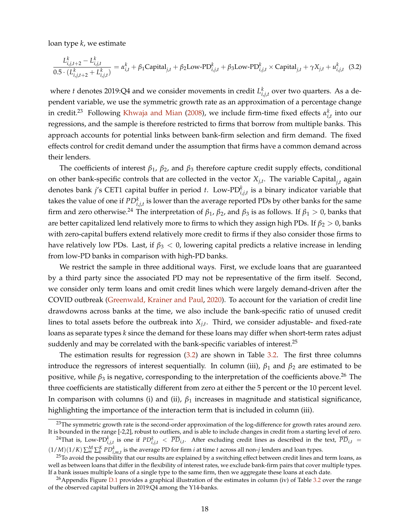loan type *k*, we estimate

<span id="page-18-0"></span>
$$
\frac{L_{i,j,t+2}^k - L_{i,j,t}^k}{0.5 \cdot (L_{i,j,t+2}^k + L_{i,j,t}^k)} = \alpha_{i,t}^k + \beta_1 \text{Capital}_{j,t} + \beta_2 \text{Low-PD}_{i,j,t}^k + \beta_3 \text{Low-PD}_{i,j,t}^k \times \text{Capital}_{j,t} + \gamma X_{j,t} + u_{i,j,t}^k \tag{3.2}
$$

where *t* denotes 2019:Q4 and we consider movements in credit  $L_{i,j,t}^k$  over two quarters. As a dependent variable, we use the symmetric growth rate as an approximation of a percentage change in credit.<sup>23</sup> Following [Khwaja and Mian](#page-38-2) [\(2008\)](#page-38-2), we include firm-time fixed effects  $\alpha_{i,t}^k$  into our regressions, and the sample is therefore restricted to firms that borrow from multiple banks. This approach accounts for potential links between bank-firm selection and firm demand. The fixed effects control for credit demand under the assumption that firms have a common demand across their lenders.

The coefficients of interest *β*1, *β*2, and *β*<sup>3</sup> therefore capture credit supply effects, conditional on other bank-specific controls that are collected in the vector *Xj*,*<sup>t</sup>* . The variable Capital*j*,*<sup>t</sup>* again denotes bank *j*'s CET1 capital buffer in period *t*. Low-PD*<sup>k</sup> i*,*j*,*t* is a binary indicator variable that takes the value of one if  $PD_{i,j,t}^k$  is lower than the average reported PDs by other banks for the same firm and zero otherwise.<sup>24</sup> The interpretation of  $β_1$ ,  $β_2$ , and  $β_3$  is as follows. If  $β_1 > 0$ , banks that are better capitalized lend relatively more to firms to which they assign high PDs. If  $\beta_2 > 0$ , banks with zero-capital buffers extend relatively more credit to firms if they also consider those firms to have relatively low PDs. Last, if *β*<sup>3</sup> < 0, lowering capital predicts a relative increase in lending from low-PD banks in comparison with high-PD banks.

We restrict the sample in three additional ways. First, we exclude loans that are guaranteed by a third party since the associated PD may not be representative of the firm itself. Second, we consider only term loans and omit credit lines which were largely demand-driven after the COVID outbreak [\(Greenwald, Krainer and Paul,](#page-37-17) [2020\)](#page-37-17). To account for the variation of credit line drawdowns across banks at the time, we also include the bank-specific ratio of unused credit lines to total assets before the outbreak into *Xj*,*<sup>t</sup>* . Third, we consider adjustable- and fixed-rate loans as separate types *k* since the demand for these loans may differ when short-term rates adjust suddenly and may be correlated with the bank-specific variables of interest.<sup>25</sup>

The estimation results for regression [\(3.2\)](#page-18-0) are shown in Table [3.2.](#page-19-0) The first three columns introduce the regressors of interest sequentially. In column (iii),  $\beta_1$  and  $\beta_2$  are estimated to be positive, while  $\beta_3$  is negative, corresponding to the interpretation of the coefficients above.<sup>26</sup> The three coefficients are statistically different from zero at either the 5 percent or the 10 percent level. In comparison with columns (i) and (ii), *β*<sup>1</sup> increases in magnitude and statistical significance, highlighting the importance of the interaction term that is included in column (iii).

<sup>&</sup>lt;sup>23</sup>The symmetric growth rate is the second-order approximation of the log-difference for growth rates around zero. It is bounded in the range [-2,2], robust to outliers, and is able to include changes in credit from a starting level of zero.

 $^{24}$ That is, Low-PD $_{i,j,t}^k$  is one if  $PD_{i,j,t}^k < \overline{PD}_{i,t}$ . After excluding credit lines as described in the text,  $\overline{PD}_{i,t}$  =

 $(1/M)(1/K)\sum_{m}^{M}\sum_{k}^{K}PD_{i,m,t}^{k}$  is the average PD for firm *i* at time *t* across all non-*j* lenders and loan types.

 $25$ To avoid the possibility that our results are explained by a switching effect between credit lines and term loans, as well as between loans that differ in the flexibility of interest rates, we exclude bank-firm pairs that cover multiple types. If a bank issues multiple loans of a single type to the same firm, then we aggregate these loans at each date.

<sup>&</sup>lt;sup>26</sup> Appendix Figure  $D.1$  provides a graphical illustration of the estimates in column (iv) of Table [3.2](#page-19-0) over the range of the observed capital buffers in 2019:Q4 among the Y14-banks.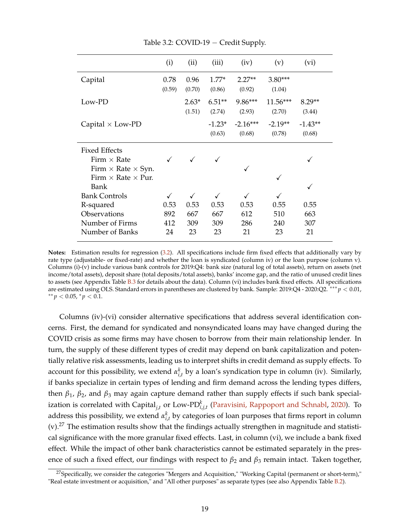<span id="page-19-0"></span>

|                                  | (i)    | (ii)         | (iii)    | (iv)       | (v)        | (vi)      |
|----------------------------------|--------|--------------|----------|------------|------------|-----------|
| Capital                          | 0.78   | 0.96         | $1.77*$  | $2.27**$   | 3.80***    |           |
|                                  | (0.59) | (0.70)       | (0.86)   | (0.92)     | (1.04)     |           |
| Low-PD                           |        | $2.63*$      | $6.51**$ | 9.86***    | $11.56***$ | $8.29**$  |
|                                  |        | (1.51)       | (2.74)   | (2.93)     | (2.70)     | (3.44)    |
| Capital $\times$ Low-PD          |        |              | $-1.23*$ | $-2.16***$ | $-2.19**$  | $-1.43**$ |
|                                  |        |              | (0.63)   | (0.68)     | (0.78)     | (0.68)    |
| <b>Fixed Effects</b>             |        |              |          |            |            |           |
| Firm $\times$ Rate               |        |              |          |            |            |           |
| Firm $\times$ Rate $\times$ Syn. |        |              |          | ✓          |            |           |
| Firm $\times$ Rate $\times$ Pur. |        |              |          |            |            |           |
| Bank                             |        |              |          |            |            |           |
| <b>Bank Controls</b>             |        | $\checkmark$ |          |            |            |           |
| R-squared                        | 0.53   | 0.53         | 0.53     | 0.53       | 0.55       | 0.55      |
| Observations                     | 892    | 667          | 667      | 612        | 510        | 663       |
| Number of Firms                  | 412    | 309          | 309      | 286        | 240        | 307       |
| Number of Banks                  | 24     | 23           | 23       | 21         | 23         | 21        |

Table 3.2: COVID-19 − Credit Supply.

**Notes:** Estimation results for regression [\(3.2\)](#page-18-0). All specifications include firm fixed effects that additionally vary by rate type (adjustable- or fixed-rate) and whether the loan is syndicated (column iv) or the loan purpose (column v). Columns (i)-(v) include various bank controls for 2019:Q4: bank size (natural log of total assets), return on assets (net income/total assets), deposit share (total deposits/total assets), banks' income gap, and the ratio of unused credit lines to assets (see Appendix Table  $B.3$  for details about the data). Column (vi) includes bank fixed effects. All specifications are estimated using OLS. Standard errors in parentheses are clustered by bank. Sample: 2019:Q4 - 2020:Q2. ∗∗∗ *p* < 0.01, ∗∗ *p* < 0.05, <sup>∗</sup> *p* < 0.1.

Columns (iv)-(vi) consider alternative specifications that address several identification concerns. First, the demand for syndicated and nonsyndicated loans may have changed during the COVID crisis as some firms may have chosen to borrow from their main relationship lender. In turn, the supply of these different types of credit may depend on bank capitalization and potentially relative risk assessments, leading us to interpret shifts in credit demand as supply effects. To account for this possibility, we extend  $\alpha_{i,t}^k$  by a loan's syndication type in column (iv). Similarly, if banks specialize in certain types of lending and firm demand across the lending types differs, then *β*1, *β*2, and *β*<sup>3</sup> may again capture demand rather than supply effects if such bank specialization is correlated with Capital*j*,*<sup>t</sup>* or Low-PD*<sup>k</sup> i*,*j*,*t* [\(Paravisini, Rappoport and Schnabl,](#page-38-18) [2020\)](#page-38-18). To address this possibility, we extend  $\alpha_{i,t}^k$  by categories of loan purposes that firms report in column  $(v)$ .<sup>27</sup> The estimation results show that the findings actually strengthen in magnitude and statistical significance with the more granular fixed effects. Last, in column (vi), we include a bank fixed effect. While the impact of other bank characteristics cannot be estimated separately in the presence of such a fixed effect, our findings with respect to *β*<sup>2</sup> and *β*<sup>3</sup> remain intact. Taken together,

<sup>&</sup>lt;sup>27</sup>Specifically, we consider the categories "Mergers and Acquisition," "Working Capital (permanent or short-term)," "Real estate investment or acquisition," and "All other purposes" as separate types (see also Appendix Table [B.2\)](#page-48-0).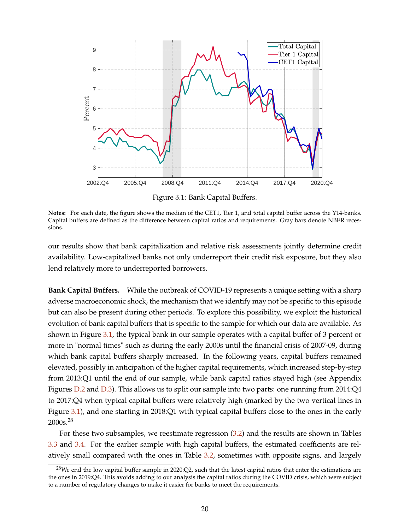<span id="page-20-0"></span>

Figure 3.1: Bank Capital Buffers.

**Notes:** For each date, the figure shows the median of the CET1, Tier 1, and total capital buffer across the Y14-banks. Capital buffers are defined as the difference between capital ratios and requirements. Gray bars denote NBER recessions.

our results show that bank capitalization and relative risk assessments jointly determine credit availability. Low-capitalized banks not only underreport their credit risk exposure, but they also lend relatively more to underreported borrowers.

**Bank Capital Buffers.** While the outbreak of COVID-19 represents a unique setting with a sharp adverse macroeconomic shock, the mechanism that we identify may not be specific to this episode but can also be present during other periods. To explore this possibility, we exploit the historical evolution of bank capital buffers that is specific to the sample for which our data are available. As shown in Figure [3.1,](#page-20-0) the typical bank in our sample operates with a capital buffer of 3 percent or more in "normal times" such as during the early 2000s until the financial crisis of 2007-09, during which bank capital buffers sharply increased. In the following years, capital buffers remained elevated, possibly in anticipation of the higher capital requirements, which increased step-by-step from 2013:Q1 until the end of our sample, while bank capital ratios stayed high (see Appendix Figures [D.2](#page-54-1) and [D.3\)](#page-55-0). This allows us to split our sample into two parts: one running from 2014:Q4 to 2017:Q4 when typical capital buffers were relatively high (marked by the two vertical lines in Figure [3.1\)](#page-20-0), and one starting in 2018:Q1 with typical capital buffers close to the ones in the early 2000s.<sup>28</sup>

For these two subsamples, we reestimate regression [\(3.2\)](#page-18-0) and the results are shown in Tables [3.3](#page-21-0) and [3.4.](#page-23-0) For the earlier sample with high capital buffers, the estimated coefficients are relatively small compared with the ones in Table [3.2,](#page-19-0) sometimes with opposite signs, and largely

 $28$ We end the low capital buffer sample in 2020:Q2, such that the latest capital ratios that enter the estimations are the ones in 2019:Q4. This avoids adding to our analysis the capital ratios during the COVID crisis, which were subject to a number of regulatory changes to make it easier for banks to meet the requirements.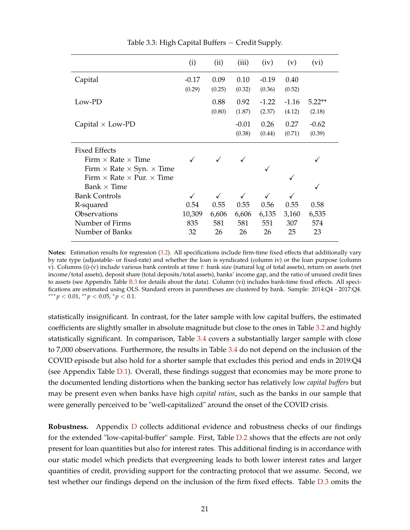<span id="page-21-0"></span>

|                                                | (i)     | (ii)         | (iii)        | (iv)         | (v)     | (vi)     |
|------------------------------------------------|---------|--------------|--------------|--------------|---------|----------|
| Capital                                        | $-0.17$ | 0.09         | 0.10         | $-0.19$      | 0.40    |          |
|                                                | (0.29)  | (0.25)       | (0.32)       | (0.36)       | (0.52)  |          |
| $Low-PD$                                       |         | 0.88         | 0.92         | $-1.22$      | $-1.16$ | $5.22**$ |
|                                                |         | (0.80)       | (1.87)       | (2.37)       | (4.12)  | (2.18)   |
| Capital $\times$ Low-PD                        |         |              | $-0.01$      | 0.26         | 0.27    | $-0.62$  |
|                                                |         |              | (0.38)       | (0.44)       | (0.71)  | (0.39)   |
| <b>Fixed Effects</b>                           |         |              |              |              |         |          |
| Firm $\times$ Rate $\times$ Time               |         | $\checkmark$ |              |              |         |          |
| Firm $\times$ Rate $\times$ Syn. $\times$ Time |         |              |              | ✓            |         |          |
| Firm $\times$ Rate $\times$ Pur. $\times$ Time |         |              |              |              | √       |          |
| Bank $\times$ Time                             |         |              |              |              |         | ✓        |
| <b>Bank Controls</b>                           |         |              | $\checkmark$ | $\checkmark$ |         |          |
| R-squared                                      | 0.54    | 0.55         | 0.55         | 0.56         | 0.55    | 0.58     |
| Observations                                   | 10,309  | 6,606        | 6,606        | 6,135        | 3,160   | 6,535    |
| Number of Firms                                | 835     | 581          | 581          | 551          | 307     | 574      |
| Number of Banks                                | 32      | 26           | 26           | 26           | 25      | 23       |

Table 3.3: High Capital Buffers − Credit Supply.

**Notes:** Estimation results for regression [\(3.2\)](#page-18-0). All specifications include firm-time fixed effects that additionally vary by rate type (adjustable- or fixed-rate) and whether the loan is syndicated (column iv) or the loan purpose (column v). Columns (i)-(v) include various bank controls at time *t*: bank size (natural log of total assets), return on assets (net income/total assets), deposit share (total deposits/total assets), banks' income gap, and the ratio of unused credit lines to assets (see Appendix Table [B.3](#page-49-0) for details about the data). Column (vi) includes bank-time fixed effects. All specifications are estimated using OLS. Standard errors in parentheses are clustered by bank. Sample: 2014:Q4 - 2017:Q4. ∗∗∗ *p* < 0.01, ∗∗ *p* < 0.05, <sup>∗</sup> *p* < 0.1.

statistically insignificant. In contrast, for the later sample with low capital buffers, the estimated coefficients are slightly smaller in absolute magnitude but close to the ones in Table [3.2](#page-19-0) and highly statistically significant. In comparison, Table [3.4](#page-23-0) covers a substantially larger sample with close to 7,000 observations. Furthermore, the results in Table [3.4](#page-23-0) do not depend on the inclusion of the COVID episode but also hold for a shorter sample that excludes this period and ends in 2019:Q4 (see Appendix Table [D.1\)](#page-56-0). Overall, these findings suggest that economies may be more prone to the documented lending distortions when the banking sector has relatively low *capital buffers* but may be present even when banks have high *capital ratios*, such as the banks in our sample that were generally perceived to be "well-capitalized" around the onset of the COVID crisis.

**Robustness.** Appendix [D](#page-54-2) collects additional evidence and robustness checks of our findings for the extended "low-capital-buffer" sample. First, Table [D.2](#page-57-0) shows that the effects are not only present for loan quantities but also for interest rates. This additional finding is in accordance with our static model which predicts that evergreening leads to both lower interest rates and larger quantities of credit, providing support for the contracting protocol that we assume. Second, we test whether our findings depend on the inclusion of the firm fixed effects. Table [D.3](#page-58-0) omits the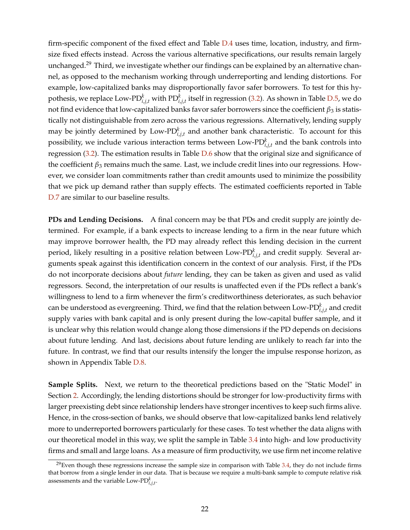firm-specific component of the fixed effect and Table [D.4](#page-59-0) uses time, location, industry, and firmsize fixed effects instead. Across the various alternative specifications, our results remain largely unchanged.<sup>29</sup> Third, we investigate whether our findings can be explained by an alternative channel, as opposed to the mechanism working through underreporting and lending distortions. For example, low-capitalized banks may disproportionally favor safer borrowers. To test for this hypothesis, we replace Low-PD $_{i,j,t}^k$  with PD $_{i,j,t}^k$  itself in regression [\(3.2\)](#page-18-0). As shown in Table [D.5,](#page-60-0) we do not find evidence that low-capitalized banks favor safer borrowers since the coefficient *β*3 is statistically not distinguishable from zero across the various regressions. Alternatively, lending supply may be jointly determined by Low-PD*<sup>k</sup> i*,*j*,*t* and another bank characteristic. To account for this possibility, we include various interaction terms between Low-PD $_{i,j,t}^k$  and the bank controls into regression [\(3.2\)](#page-18-0). The estimation results in Table [D.6](#page-61-0) show that the original size and significance of the coefficient *β*<sup>3</sup> remains much the same. Last, we include credit lines into our regressions. However, we consider loan commitments rather than credit amounts used to minimize the possibility that we pick up demand rather than supply effects. The estimated coefficients reported in Table [D.7](#page-62-0) are similar to our baseline results.

**PDs and Lending Decisions.** A final concern may be that PDs and credit supply are jointly determined. For example, if a bank expects to increase lending to a firm in the near future which may improve borrower health, the PD may already reflect this lending decision in the current period, likely resulting in a positive relation between Low-P $D_{i,j,t}^k$  and credit supply. Several arguments speak against this identification concern in the context of our analysis. First, if the PDs do not incorporate decisions about *future* lending, they can be taken as given and used as valid regressors. Second, the interpretation of our results is unaffected even if the PDs reflect a bank's willingness to lend to a firm whenever the firm's creditworthiness deteriorates, as such behavior can be understood as evergreening. Third, we find that the relation between Low-PD $_{i,j,t}^k$  and credit supply varies with bank capital and is only present during the low-capital buffer sample, and it is unclear why this relation would change along those dimensions if the PD depends on decisions about future lending. And last, decisions about future lending are unlikely to reach far into the future. In contrast, we find that our results intensify the longer the impulse response horizon, as shown in Appendix Table [D.8.](#page-63-0)

**Sample Splits.** Next, we return to the theoretical predictions based on the "Static Model" in Section [2.](#page-5-0) Accordingly, the lending distortions should be stronger for low-productivity firms with larger preexisting debt since relationship lenders have stronger incentives to keep such firms alive. Hence, in the cross-section of banks, we should observe that low-capitalized banks lend relatively more to underreported borrowers particularly for these cases. To test whether the data aligns with our theoretical model in this way, we split the sample in Table [3.4](#page-23-0) into high- and low productivity firms and small and large loans. As a measure of firm productivity, we use firm net income relative

 $^{29}$ Even though these regressions increase the sample size in comparison with Table [3.4,](#page-23-0) they do not include firms that borrow from a single lender in our data. That is because we require a multi-bank sample to compute relative risk assessments and the variable Low-PD $_{i,j,t}^k$ .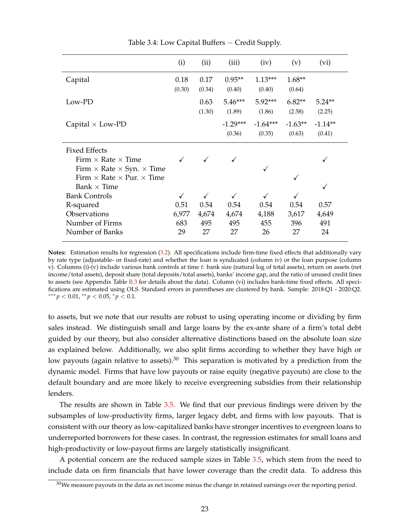<span id="page-23-0"></span>

|                                                | (i)    | (ii)   | (iii)      | (iv)       | (v)       | (vi)      |
|------------------------------------------------|--------|--------|------------|------------|-----------|-----------|
| Capital                                        | 0.18   | 0.17   | $0.95**$   | $1.13***$  | $1.68**$  |           |
|                                                | (0.30) | (0.34) | (0.40)     | (0.40)     | (0.64)    |           |
| Low-PD                                         |        | 0.63   | $5.46***$  | 5.92***    | $6.82**$  | $5.24**$  |
|                                                |        | (1.30) | (1.89)     | (1.86)     | (2.58)    | (2.25)    |
| Capital $\times$ Low-PD                        |        |        | $-1.29***$ | $-1.64***$ | $-1.63**$ | $-1.14**$ |
|                                                |        |        | (0.36)     | (0.35)     | (0.63)    | (0.41)    |
| <b>Fixed Effects</b>                           |        |        |            |            |           |           |
| Firm $\times$ Rate $\times$ Time               |        |        |            |            |           |           |
| Firm $\times$ Rate $\times$ Syn. $\times$ Time |        |        |            | ✓          |           |           |
| Firm $\times$ Rate $\times$ Pur. $\times$ Time |        |        |            |            |           |           |
| Bank $\times$ Time                             |        |        |            |            |           |           |
| <b>Bank Controls</b>                           |        | ✓      |            |            |           |           |
| R-squared                                      | 0.51   | 0.54   | 0.54       | 0.54       | 0.54      | 0.57      |
| Observations                                   | 6,977  | 4,674  | 4,674      | 4,188      | 3,617     | 4,649     |
| Number of Firms                                | 683    | 495    | 495        | 455        | 396       | 491       |
| Number of Banks                                | 29     | 27     | 27         | 26         | 27        | 24        |

Table 3.4: Low Capital Buffers − Credit Supply.

**Notes:** Estimation results for regression [\(3.2\)](#page-18-0). All specifications include firm-time fixed effects that additionally vary by rate type (adjustable- or fixed-rate) and whether the loan is syndicated (column iv) or the loan purpose (column v). Columns (i)-(v) include various bank controls at time *t*: bank size (natural log of total assets), return on assets (net income/total assets), deposit share (total deposits/total assets), banks' income gap, and the ratio of unused credit lines to assets (see Appendix Table [B.3](#page-49-0) for details about the data). Column (vi) includes bank-time fixed effects. All specifications are estimated using OLS. Standard errors in parentheses are clustered by bank. Sample: 2018:Q1 - 2020:Q2. ∗∗∗ *p* < 0.01, ∗∗ *p* < 0.05, <sup>∗</sup> *p* < 0.1.

to assets, but we note that our results are robust to using operating income or dividing by firm sales instead. We distinguish small and large loans by the ex-ante share of a firm's total debt guided by our theory, but also consider alternative distinctions based on the absolute loan size as explained below. Additionally, we also split firms according to whether they have high or low payouts (again relative to assets).<sup>30</sup> This separation is motivated by a prediction from the dynamic model. Firms that have low payouts or raise equity (negative payouts) are close to the default boundary and are more likely to receive evergreening subsidies from their relationship lenders.

The results are shown in Table [3.5.](#page-24-0) We find that our previous findings were driven by the subsamples of low-productivity firms, larger legacy debt, and firms with low payouts. That is consistent with our theory as low-capitalized banks have stronger incentives to evergreen loans to underreported borrowers for these cases. In contrast, the regression estimates for small loans and high-productivity or low-payout firms are largely statistically insignificant.

A potential concern are the reduced sample sizes in Table [3.5,](#page-24-0) which stem from the need to include data on firm financials that have lower coverage than the credit data. To address this

 $30$ We measure payouts in the data as net income minus the change in retained earnings over the reporting period.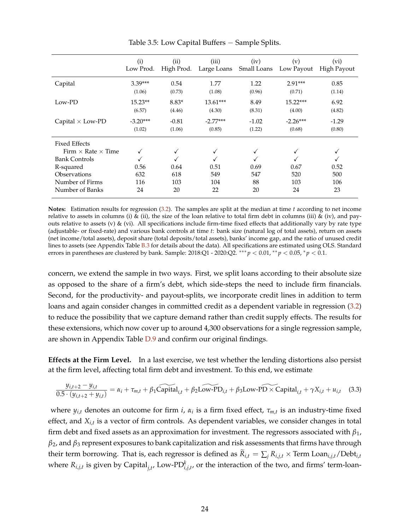<span id="page-24-0"></span>

|                                                          | (i)<br>Low Prod.     | (ii)<br>High Prod. | (iii)<br>Large Loans | (iv)<br>Small Loans | (v)<br>Low Payout    | (vi)<br><b>High Payout</b> |
|----------------------------------------------------------|----------------------|--------------------|----------------------|---------------------|----------------------|----------------------------|
| Capital                                                  | $3.39***$<br>(1.06)  | 0.54<br>(0.73)     | 1.77<br>(1.08)       | 1.22<br>(0.96)      | $2.91***$<br>(0.71)  | 0.85<br>(1.14)             |
| Low-PD                                                   | $15.23**$<br>(6.57)  | $8.83*$<br>(4.46)  | 13.61***<br>(4.30)   | 8.49<br>(8.31)      | 15.22***<br>(4.00)   | 6.92<br>(4.82)             |
| Capital $\times$ Low-PD                                  | $-3.20***$<br>(1.02) | $-0.81$<br>(1.06)  | $-2.77***$<br>(0.85) | $-1.02$<br>(1.22)   | $-2.26***$<br>(0.68) | $-1.29$<br>(0.80)          |
| <b>Fixed Effects</b><br>Firm $\times$ Rate $\times$ Time |                      |                    |                      |                     |                      |                            |
| <b>Bank Controls</b>                                     |                      |                    |                      |                     |                      |                            |
| R-squared                                                | 0.56                 | 0.64               | 0.51                 | 0.69                | 0.67                 | 0.52                       |
| Observations                                             | 632                  | 618                | 549                  | 547                 | 520                  | 500                        |
| Number of Firms                                          | 116                  | 103                | 104                  | 88                  | 103                  | 106                        |
| Number of Banks                                          | 24                   | 20                 | 22                   | 20                  | 24                   | 23                         |

Table 3.5: Low Capital Buffers − Sample Splits.

**Notes:** Estimation results for regression [\(3.2\)](#page-18-0). The samples are split at the median at time *t* according to net income relative to assets in columns (i) & (ii), the size of the loan relative to total firm debt in columns (iii) & (iv), and payouts relative to assets (v)  $\&$  (vi). All specifications include firm-time fixed effects that additionally vary by rate type (adjustable- or fixed-rate) and various bank controls at time *t*: bank size (natural log of total assets), return on assets (net income/total assets), deposit share (total deposits/total assets), banks' income gap, and the ratio of unused credit lines to assets (see Appendix Table [B.3](#page-49-0) for details about the data). All specifications are estimated using OLS. Standard errors in parentheses are clustered by bank. Sample: 2018:Q1 - 2020:Q2. ∗∗∗ *p* < 0.01, ∗∗ *p* < 0.05, <sup>∗</sup> *p* < 0.1.

concern, we extend the sample in two ways. First, we split loans according to their absolute size as opposed to the share of a firm's debt, which side-steps the need to include firm financials. Second, for the productivity- and payout-splits, we incorporate credit lines in addition to term loans and again consider changes in committed credit as a dependent variable in regression [\(3.2\)](#page-18-0) to reduce the possibility that we capture demand rather than credit supply effects. The results for these extensions, which now cover up to around 4,300 observations for a single regression sample, are shown in Appendix Table [D.9](#page-64-0) and confirm our original findings.

**Effects at the Firm Level.** In a last exercise, we test whether the lending distortions also persist at the firm level, affecting total firm debt and investment. To this end, we estimate

<span id="page-24-1"></span>
$$
\frac{y_{i,t+2} - y_{i,t}}{0.5 \cdot (y_{i,t+2} + y_{i,t})} = \alpha_i + \tau_{m,t} + \beta_1 \widehat{\text{Capital}}_{i,t} + \beta_2 \widehat{\text{Low-PD}}_{i,t} + \beta_3 \text{Low-PD} \times \widehat{\text{Capital}}_{i,t} + \gamma X_{i,t} + u_{i,t} \quad (3.3)
$$

where  $y_{i,t}$  denotes an outcome for firm  $i$ ,  $\alpha_i$  is a firm fixed effect,  $\tau_{m,t}$  is an industry-time fixed effect, and *Xi*,*<sup>t</sup>* is a vector of firm controls. As dependent variables, we consider changes in total firm debt and fixed assets as an approximation for investment. The regressors associated with *β*1, *β*2, and *β*<sup>3</sup> represent exposures to bank capitalization and risk assessments that firms have through their term borrowing. That is, each regressor is defined as  $\widetilde{R}_{i,t} = \sum_i R_{i,j,t} \times \text{Term}\text{ Loan}_{i,j,t}/\text{Debt}_{i,t}$ where  $R_{i,j,t}$  is given by Capital<sub>j,t</sub>, Low-PD $_{i,j,t}^k$ , or the interaction of the two, and firms' term-loan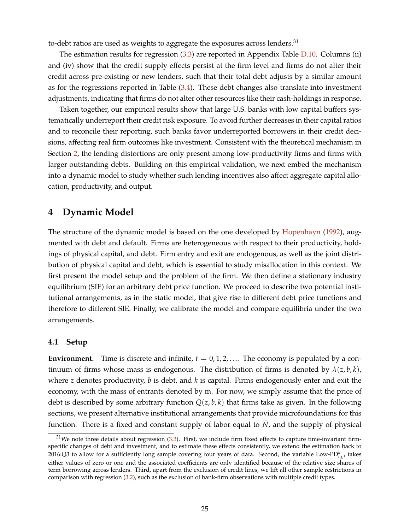to-debt ratios are used as weights to aggregate the exposures across lenders.<sup>31</sup>

The estimation results for regression [\(3.3\)](#page-24-1) are reported in Appendix Table [D.10.](#page-65-0) Columns (ii) and (iv) show that the credit supply effects persist at the firm level and firms do not alter their credit across pre-existing or new lenders, such that their total debt adjusts by a similar amount as for the regressions reported in Table [\(3.4\)](#page-23-0). These debt changes also translate into investment adjustments, indicating that firms do not alter other resources like their cash-holdings in response.

Taken together, our empirical results show that large U.S. banks with low capital buffers systematically underreport their credit risk exposure. To avoid further decreases in their capital ratios and to reconcile their reporting, such banks favor underreported borrowers in their credit decisions, affecting real firm outcomes like investment. Consistent with the theoretical mechanism in Section [2,](#page-5-0) the lending distortions are only present among low-productivity firms and firms with larger outstanding debts. Building on this empirical validation, we next embed the mechanism into a dynamic model to study whether such lending incentives also affect aggregate capital allocation, productivity, and output.

### <span id="page-25-0"></span>**4 Dynamic Model**

The structure of the dynamic model is based on the one developed by [Hopenhayn](#page-38-3) [\(1992\)](#page-38-3), augmented with debt and default. Firms are heterogeneous with respect to their productivity, holdings of physical capital, and debt. Firm entry and exit are endogenous, as well as the joint distribution of physical capital and debt, which is essential to study misallocation in this context. We first present the model setup and the problem of the firm. We then define a stationary industry equilibrium (SIE) for an arbitrary debt price function. We proceed to describe two potential institutional arrangements, as in the static model, that give rise to different debt price functions and therefore to different SIE. Finally, we calibrate the model and compare equilibria under the two arrangements.

#### **4.1 Setup**

**Environment.** Time is discrete and infinite,  $t = 0, 1, 2, \ldots$  The economy is populated by a continuum of firms whose mass is endogenous. The distribution of firms is denoted by  $\lambda(z, b, k)$ , where *z* denotes productivity, *b* is debt, and *k* is capital. Firms endogenously enter and exit the economy, with the mass of entrants denoted by m. For now, we simply assume that the price of debt is described by some arbitrary function  $Q(z, b, k)$  that firms take as given. In the following sections, we present alternative institutional arrangements that provide microfoundations for this function. There is a fixed and constant supply of labor equal to  $\bar{N}$ , and the supply of physical

 $31$ We note three details about regression [\(3.3\)](#page-24-1). First, we include firm fixed effects to capture time-invariant firmspecific changes of debt and investment, and to estimate these effects consistently, we extend the estimation back to 2016:Q3 to allow for a sufficiently long sample covering four years of data. Second, the variable Low-PD $^k_{i,j,t}$  takes either values of zero or one and the associated coefficients are only identified because of the relative size shares of term borrowing across lenders. Third, apart from the exclusion of credit lines, we lift all other sample restrictions in comparison with regression [\(3.2\)](#page-18-0), such as the exclusion of bank-firm observations with multiple credit types.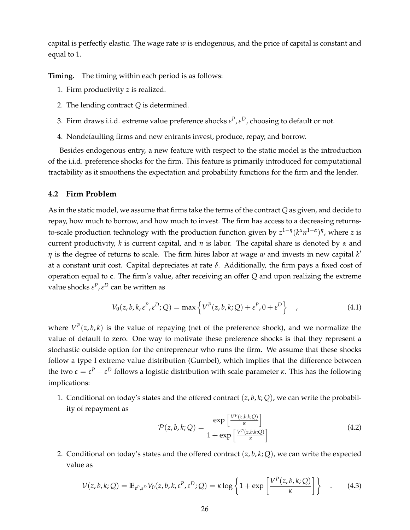capital is perfectly elastic. The wage rate *w* is endogenous, and the price of capital is constant and equal to 1.

**Timing.** The timing within each period is as follows:

- 1. Firm productivity *z* is realized.
- 2. The lending contract *Q* is determined.
- 3. Firm draws i.i.d. extreme value preference shocks  $\varepsilon^P$ ,  $\varepsilon^D$ , choosing to default or not.
- 4. Nondefaulting firms and new entrants invest, produce, repay, and borrow.

Besides endogenous entry, a new feature with respect to the static model is the introduction of the i.i.d. preference shocks for the firm. This feature is primarily introduced for computational tractability as it smoothens the expectation and probability functions for the firm and the lender.

#### **4.2 Firm Problem**

As in the static model, we assume that firms take the terms of the contract *Q* as given, and decide to repay, how much to borrow, and how much to invest. The firm has access to a decreasing returnsto-scale production technology with the production function given by  $z^{1-\eta} (k^{\alpha} n^{1-\alpha})^{\eta}$ , where *z* is current productivity, *k* is current capital, and *n* is labor. The capital share is denoted by *α* and *η* is the degree of returns to scale. The firm hires labor at wage *w* and invests in new capital *k'* at a constant unit cost. Capital depreciates at rate *δ*. Additionally, the firm pays a fixed cost of operation equal to **c**. The firm's value, after receiving an offer *Q* and upon realizing the extreme value shocks *ε P* ,*ε <sup>D</sup>* can be written as

$$
V_0(z, b, k, \varepsilon^P, \varepsilon^D; Q) = \max \left\{ V^P(z, b, k; Q) + \varepsilon^P, 0 + \varepsilon^D \right\} \quad , \tag{4.1}
$$

where  $V^P(z, b, k)$  is the value of repaying (net of the preference shock), and we normalize the value of default to zero. One way to motivate these preference shocks is that they represent a stochastic outside option for the entrepreneur who runs the firm. We assume that these shocks follow a type I extreme value distribution (Gumbel), which implies that the difference between the two  $ε = ε<sup>p</sup> - ε<sup>D</sup>$  follows a logistic distribution with scale parameter *κ*. This has the following implications:

1. Conditional on today's states and the offered contract  $(z, b, k; Q)$ , we can write the probability of repayment as *P*

$$
\mathcal{P}(z,b,k;Q) = \frac{\exp\left[\frac{V^P(z,b,k;Q)}{\kappa}\right]}{1 + \exp\left[\frac{V^P(z,b,k;Q)}{\kappa}\right]}
$$
(4.2)

2. Conditional on today's states and the offered contract (*z*, *b*, *k*; *Q*), we can write the expected value as

<span id="page-26-0"></span>
$$
\mathcal{V}(z,b,k;Q) = \mathbb{E}_{\varepsilon^P,\varepsilon^D} V_0(z,b,k,\varepsilon^P,\varepsilon^D;Q) = \kappa \log \left\{ 1 + \exp \left[ \frac{V^P(z,b,k;Q)}{\kappa} \right] \right\} \quad . \tag{4.3}
$$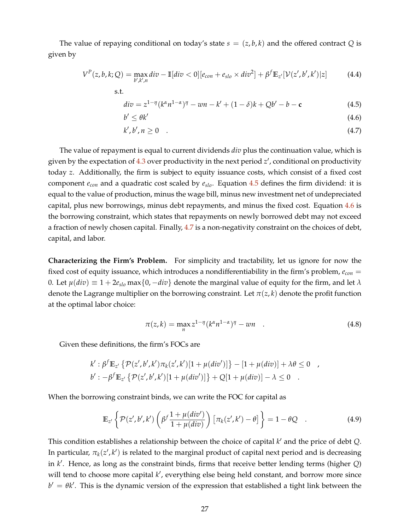The value of repaying conditional on today's state  $s = (z, b, k)$  and the offered contract *Q* is given by

$$
V^{P}(z,b,k;Q) = \max_{b',k',n} div - \mathbb{I}[div < 0][e_{con} + e_{slo} \times div^{2}] + \beta^{f} \mathbb{E}_{z'}[\mathcal{V}(z',b',k')]z]
$$
(4.4)

<span id="page-27-3"></span>
$$
div = z^{1-\eta} (k^{\alpha} n^{1-\alpha})^{\eta} - w n - k' + (1-\delta)k + Qb' - b - c \tag{4.5}
$$

<span id="page-27-2"></span><span id="page-27-1"></span><span id="page-27-0"></span>
$$
b' \le \theta k'
$$
\n<sup>(4.6)</sup>

$$
k', b', n \ge 0 \tag{4.7}
$$

The value of repayment is equal to current dividends *div* plus the continuation value, which is given by the expectation of [4.3](#page-26-0) over productivity in the next period z', conditional on productivity today *z*. Additionally, the firm is subject to equity issuance costs, which consist of a fixed cost component *econ* and a quadratic cost scaled by *eslo*. Equation [4.5](#page-27-0) defines the firm dividend: it is equal to the value of production, minus the wage bill, minus new investment net of undepreciated capital, plus new borrowings, minus debt repayments, and minus the fixed cost. Equation [4.6](#page-27-1) is the borrowing constraint, which states that repayments on newly borrowed debt may not exceed a fraction of newly chosen capital. Finally, [4.7](#page-27-2) is a non-negativity constraint on the choices of debt, capital, and labor.

**Characterizing the Firm's Problem.** For simplicity and tractability, let us ignore for now the fixed cost of equity issuance, which introduces a nondifferentiability in the firm's problem, *econ* = 0. Let  $\mu(div) \equiv 1 + 2e_{slo} \max\{0, -div\}$  denote the marginal value of equity for the firm, and let  $\lambda$ denote the Lagrange multiplier on the borrowing constraint. Let  $\pi(z, k)$  denote the profit function at the optimal labor choice:

$$
\pi(z,k) = \max_{n} z^{1-\eta} (k^{\alpha} n^{1-\alpha})^{\eta} - w n \quad . \tag{4.8}
$$

Given these definitions, the firm's FOCs are

s.t.

$$
k': \beta^f \mathbb{E}_{z'} \{ \mathcal{P}(z',b',k') \pi_k(z',k')[1+\mu(div')] \} - [1+\mu(div)] + \lambda \theta \le 0 ,
$$
  

$$
b': -\beta^f \mathbb{E}_{z'} \{ \mathcal{P}(z',b',k')[1+\mu(div')] \} + Q[1+\mu(div)] - \lambda \le 0 .
$$

When the borrowing constraint binds, we can write the FOC for capital as

$$
\mathbb{E}_{z'}\left\{\mathcal{P}(z',b',k')\left(\beta^f\frac{1+\mu(div')}{1+\mu(div)}\right)\left[\pi_k(z',k')-\theta\right]\right\}=1-\theta Q\quad .\tag{4.9}
$$

This condition establishes a relationship between the choice of capital  $k'$  and the price of debt  $Q$ . In particular,  $\pi_k(z',k')$  is related to the marginal product of capital next period and is decreasing in *k* 0 . Hence, as long as the constraint binds, firms that receive better lending terms (higher *Q*) will tend to choose more capital k', everything else being held constant, and borrow more since  $b' = \theta k'$ . This is the dynamic version of the expression that established a tight link between the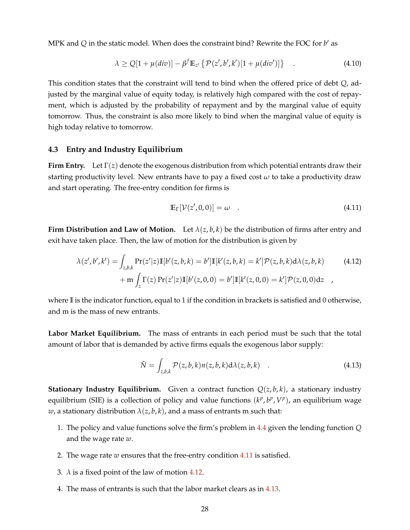MPK and  $Q$  in the static model. When does the constraint bind? Rewrite the FOC for  $b'$  as

$$
\lambda \ge Q[1 + \mu(\text{div})] - \beta^f \mathbb{E}_{z'} \left\{ \mathcal{P}(z', b', k') [1 + \mu(\text{div}')] \right\} \quad . \tag{4.10}
$$

This condition states that the constraint will tend to bind when the offered price of debt *Q*, adjusted by the marginal value of equity today, is relatively high compared with the cost of repayment, which is adjusted by the probability of repayment and by the marginal value of equity tomorrow. Thus, the constraint is also more likely to bind when the marginal value of equity is high today relative to tomorrow.

#### <span id="page-28-3"></span>**4.3 Entry and Industry Equilibrium**

**Firm Entry.** Let  $\Gamma(z)$  denote the exogenous distribution from which potential entrants draw their starting productivity level. New entrants have to pay a fixed cost  $\omega$  to take a productivity draw and start operating. The free-entry condition for firms is

<span id="page-28-1"></span><span id="page-28-0"></span>
$$
\mathbb{E}_{\Gamma}[\mathcal{V}(z',0,0)] = \omega \quad . \tag{4.11}
$$

**Firm Distribution and Law of Motion.** Let  $\lambda(z, b, k)$  be the distribution of firms after entry and exit have taken place. Then, the law of motion for the distribution is given by

$$
\lambda(z',b',k') = \int_{z,b,k} \Pr(z'|z) \mathbb{I}[b'(z,b,k) = b'] \mathbb{I}[k'(z,b,k) = k'] \mathcal{P}(z,b,k) d\lambda(z,b,k)
$$
(4.12)  
+ 
$$
\mathbf{m} \int_{z} \Gamma(z) \Pr(z'|z) \mathbb{I}[b'(z,0,0) = b'] \mathbb{I}[k'(z,0,0) = k'] \mathcal{P}(z,0,0) dz
$$

where **I** is the indicator function, equal to 1 if the condition in brackets is satisfied and 0 otherwise, and m is the mass of new entrants.

**Labor Market Equilibrium.** The mass of entrants in each period must be such that the total amount of labor that is demanded by active firms equals the exogenous labor supply:

<span id="page-28-2"></span>
$$
\bar{N} = \int_{z,b,k} \mathcal{P}(z,b,k) n(z,b,k) d\lambda(z,b,k) \quad . \tag{4.13}
$$

**Stationary Industry Equilibrium.** Given a contract function  $Q(z, b, k)$ , a stationary industry equilibrium (SIE) is a collection of policy and value functions  $(k^p, b^p, V^p)$ , an equilibrium wage *w*, a stationary distribution  $\lambda(z, b, k)$ , and a mass of entrants m such that:

- 1. The policy and value functions solve the firm's problem in [4.4](#page-27-3) given the lending function *Q* and the wage rate *w*.
- 2. The wage rate *w* ensures that the free-entry condition [4.11](#page-28-0) is satisfied.
- 3.  $\lambda$  is a fixed point of the law of motion [4.12.](#page-28-1)
- 4. The mass of entrants is such that the labor market clears as in [4.13.](#page-28-2)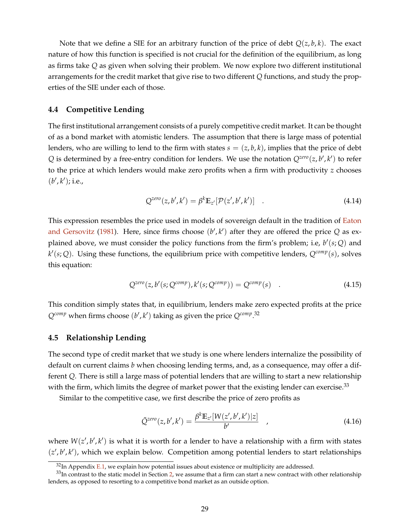Note that we define a SIE for an arbitrary function of the price of debt *Q*(*z*, *b*, *k*). The exact nature of how this function is specified is not crucial for the definition of the equilibrium, as long as firms take *Q* as given when solving their problem. We now explore two different institutional arrangements for the credit market that give rise to two different *Q* functions, and study the properties of the SIE under each of those.

#### **4.4 Competitive Lending**

The first institutional arrangement consists of a purely competitive credit market. It can be thought of as a bond market with atomistic lenders. The assumption that there is large mass of potential lenders, who are willing to lend to the firm with states  $s = (z, b, k)$ , implies that the price of debt  $Q$  is determined by a free-entry condition for lenders. We use the notation  $Q^{zero}(z, b', k')$  to refer to the price at which lenders would make zero profits when a firm with productivity *z* chooses (*b'*, *k'*); i.e.,

<span id="page-29-0"></span>
$$
Q^{zero}(z, b', k') = \beta^k \mathbb{E}_{z'}[\mathcal{P}(z', b', k')] \quad . \tag{4.14}
$$

This expression resembles the price used in models of sovereign default in the tradition of [Eaton](#page-37-18) [and Gersovitz](#page-37-18) [\(1981\)](#page-37-18). Here, since firms choose  $(b', k')$  after they are offered the price  $Q$  as explained above, we must consider the policy functions from the firm's problem; i.e, *b* 0 (*s*; *Q*) and  $k'(s; Q)$ . Using these functions, the equilibrium price with competitive lenders,  $Q^{comp}(s)$ , solves this equation:

$$
Q^{zero}(z, b'(s; Q^{comp}), k'(s; Q^{comp})) = Q^{comp}(s) \quad . \tag{4.15}
$$

This condition simply states that, in equilibrium, lenders make zero expected profits at the price  $Q^{comp}$  when firms choose  $(b', k')$  taking as given the price  $Q^{comp}$ .<sup>32</sup>

#### **4.5 Relationship Lending**

The second type of credit market that we study is one where lenders internalize the possibility of default on current claims *b* when choosing lending terms, and, as a consequence, may offer a different *Q*. There is still a large mass of potential lenders that are willing to start a new relationship with the firm, which limits the degree of market power that the existing lender can exercise.<sup>33</sup>

Similar to the competitive case, we first describe the price of zero profits as

$$
\tilde{Q}^{zero}(z, b', k') = \frac{\beta^k \mathbb{E}_{z'}[W(z', b', k')]z]}{b'}
$$
\n(4.16)

where  $W(z', b', k')$  is what it is worth for a lender to have a relationship with a firm with states  $(z', b', k')$ , which we explain below. Competition among potential lenders to start relationships

 $32$ In Appendix [E.1,](#page-65-1) we explain how potential issues about existence or multiplicity are addressed.

 $33$ In contrast to the static model in Section [2,](#page-5-0) we assume that a firm can start a new contract with other relationship lenders, as opposed to resorting to a competitive bond market as an outside option.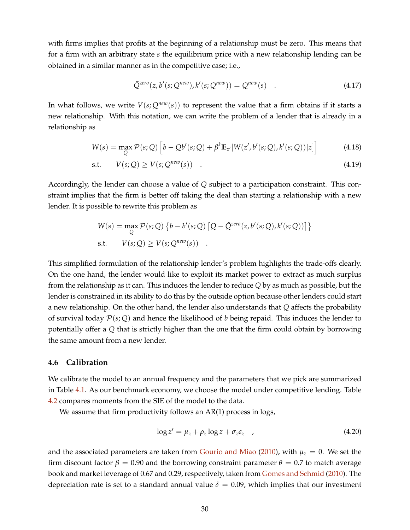with firms implies that profits at the beginning of a relationship must be zero. This means that for a firm with an arbitrary state *s* the equilibrium price with a new relationship lending can be obtained in a similar manner as in the competitive case; i.e.,

$$
\tilde{Q}^{zero}(z, b'(s; Q^{new}), k'(s; Q^{new})) = Q^{new}(s) \quad . \tag{4.17}
$$

In what follows, we write  $V(s; Q^{new}(s))$  to represent the value that a firm obtains if it starts a new relationship. With this notation, we can write the problem of a lender that is already in a relationship as

$$
W(s) = \max_{Q} \mathcal{P}(s; Q) \left[ b - Qb'(s; Q) + \beta^{k} \mathbb{E}_{z'}[W(z', b'(s; Q), k'(s; Q))|z] \right]
$$
(4.18)

$$
\text{s.t.} \qquad V(s; Q) \ge V(s; Q^{new}(s)) \quad . \tag{4.19}
$$

Accordingly, the lender can choose a value of *Q* subject to a participation constraint. This constraint implies that the firm is better off taking the deal than starting a relationship with a new lender. It is possible to rewrite this problem as

$$
W(s) = \max_{Q} \mathcal{P}(s; Q) \{ b - b'(s; Q) [Q - \tilde{Q}^{zero}(z, b'(s; Q), k'(s; Q))] \}
$$
  
s.t. 
$$
V(s; Q) \ge V(s; Q^{new}(s)) .
$$

This simplified formulation of the relationship lender's problem highlights the trade-offs clearly. On the one hand, the lender would like to exploit its market power to extract as much surplus from the relationship as it can. This induces the lender to reduce *Q* by as much as possible, but the lender is constrained in its ability to do this by the outside option because other lenders could start a new relationship. On the other hand, the lender also understands that *Q* affects the probability of survival today  $\mathcal{P}(s; Q)$  and hence the likelihood of *b* being repaid. This induces the lender to potentially offer a *Q* that is strictly higher than the one that the firm could obtain by borrowing the same amount from a new lender.

#### **4.6 Calibration**

We calibrate the model to an annual frequency and the parameters that we pick are summarized in Table [4.1.](#page-31-0) As our benchmark economy, we choose the model under competitive lending. Table [4.2](#page-31-1) compares moments from the SIE of the model to the data.

We assume that firm productivity follows an AR(1) process in logs,

$$
\log z' = \mu_z + \rho_z \log z + \sigma_z \epsilon_z \quad , \tag{4.20}
$$

and the associated parameters are taken from [Gourio and Miao](#page-37-19) [\(2010\)](#page-37-19), with  $\mu_z = 0$ . We set the firm discount factor  $β = 0.90$  and the borrowing constraint parameter  $θ = 0.7$  to match average book and market leverage of 0.67 and 0.29, respectively, taken from [Gomes and Schmid](#page-37-3) [\(2010\)](#page-37-3). The depreciation rate is set to a standard annual value  $\delta = 0.09$ , which implies that our investment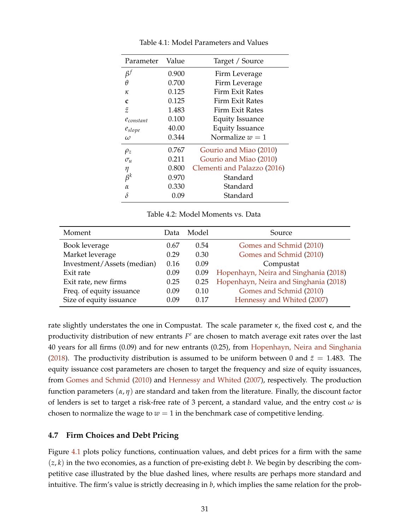<span id="page-31-0"></span>

| Parameter      | Value | Target / Source             |
|----------------|-------|-----------------------------|
| $\beta^f$      | 0.900 | Firm Leverage               |
| θ              | 0.700 | Firm Leverage               |
| ĸ              | 0.125 | Firm Exit Rates             |
| C              | 0.125 | Firm Exit Rates             |
| $\tilde{z}$    | 1.483 | Firm Exit Rates             |
| $e_{constant}$ | 0.100 | <b>Equity Issuance</b>      |
| $e_{slope}$    | 40.00 | <b>Equity Issuance</b>      |
| $\omega$       | 0.344 | Normalize $w = 1$           |
| $\rho_z$       | 0.767 | Gourio and Miao (2010)      |
| $\sigma_u$     | 0.211 | Gourio and Miao (2010)      |
| η              | 0.800 | Clementi and Palazzo (2016) |
| $\beta^k$      | 0.970 | Standard                    |
| $\alpha$       | 0.330 | Standard                    |
| δ              | 0.09  | Standard                    |

Table 4.1: Model Parameters and Values

Table 4.2: Model Moments vs. Data

<span id="page-31-1"></span>

| Moment                     | Data | Model | Source                                |
|----------------------------|------|-------|---------------------------------------|
| Book leverage              | 0.67 | 0.54  | Gomes and Schmid (2010)               |
| Market leverage            | 0.29 | 0.30  | Gomes and Schmid (2010)               |
| Investment/Assets (median) | 0.16 | 0.09  | Compustat                             |
| Exit rate                  | 0.09 | 0.09  | Hopenhayn, Neira and Singhania (2018) |
| Exit rate, new firms       | 0.25 | 0.25  | Hopenhayn, Neira and Singhania (2018) |
| Freq. of equity issuance   | 0.09 | 0.10  | Gomes and Schmid (2010)               |
| Size of equity issuance    | 0.09 | 0.17  | Hennessy and Whited (2007)            |

rate slightly understates the one in Compustat. The scale parameter *κ*, the fixed cost **c**, and the productivity distribution of new entrants *F <sup>e</sup>* are chosen to match average exit rates over the last 40 years for all firms (0.09) and for new entrants (0.25), from [Hopenhayn, Neira and Singhania](#page-38-19) [\(2018\)](#page-38-19). The productivity distribution is assumed to be uniform between 0 and  $\tilde{z} = 1.483$ . The equity issuance cost parameters are chosen to target the frequency and size of equity issuances, from [Gomes and Schmid](#page-37-3) [\(2010\)](#page-37-3) and [Hennessy and Whited](#page-38-20) [\(2007\)](#page-38-20), respectively. The production function parameters (*α*, *η*) are standard and taken from the literature. Finally, the discount factor of lenders is set to target a risk-free rate of 3 percent, a standard value, and the entry cost *ω* is chosen to normalize the wage to  $w = 1$  in the benchmark case of competitive lending.

#### **4.7 Firm Choices and Debt Pricing**

Figure [4.1](#page-32-0) plots policy functions, continuation values, and debt prices for a firm with the same  $(z, k)$  in the two economies, as a function of pre-existing debt  $b$ . We begin by describing the competitive case illustrated by the blue dashed lines, where results are perhaps more standard and intuitive. The firm's value is strictly decreasing in *b*, which implies the same relation for the prob-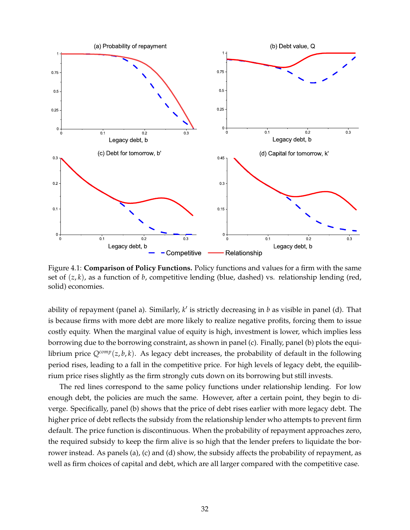<span id="page-32-0"></span>

Figure 4.1: **Comparison of Policy Functions.** Policy functions and values for a firm with the same set of (*z*, *k*), as a function of *b*, competitive lending (blue, dashed) vs. relationship lending (red, solid) economies.

ability of repayment (panel a). Similarly, *k'* is strictly decreasing in *b* as visible in panel (d). That is because firms with more debt are more likely to realize negative profits, forcing them to issue costly equity. When the marginal value of equity is high, investment is lower, which implies less borrowing due to the borrowing constraint, as shown in panel (c). Finally, panel (b) plots the equilibrium price  $Q^{comp}(z, b, k)$ . As legacy debt increases, the probability of default in the following period rises, leading to a fall in the competitive price. For high levels of legacy debt, the equilibrium price rises slightly as the firm strongly cuts down on its borrowing but still invests.

The red lines correspond to the same policy functions under relationship lending. For low enough debt, the policies are much the same. However, after a certain point, they begin to diverge. Specifically, panel (b) shows that the price of debt rises earlier with more legacy debt. The higher price of debt reflects the subsidy from the relationship lender who attempts to prevent firm default. The price function is discontinuous. When the probability of repayment approaches zero, the required subsidy to keep the firm alive is so high that the lender prefers to liquidate the borrower instead. As panels (a), (c) and (d) show, the subsidy affects the probability of repayment, as well as firm choices of capital and debt, which are all larger compared with the competitive case.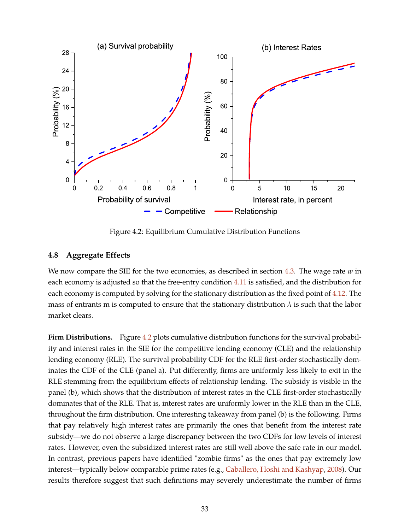<span id="page-33-0"></span>

Figure 4.2: Equilibrium Cumulative Distribution Functions

### **4.8 Aggregate Effects**

We now compare the SIE for the two economies, as described in section [4.3.](#page-28-3) The wage rate  $w$  in each economy is adjusted so that the free-entry condition [4.11](#page-28-0) is satisfied, and the distribution for each economy is computed by solving for the stationary distribution as the fixed point of [4.12.](#page-28-1) The mass of entrants m is computed to ensure that the stationary distribution  $\lambda$  is such that the labor market clears.

**Firm Distributions.** Figure [4.2](#page-33-0) plots cumulative distribution functions for the survival probability and interest rates in the SIE for the competitive lending economy (CLE) and the relationship lending economy (RLE). The survival probability CDF for the RLE first-order stochastically dominates the CDF of the CLE (panel a). Put differently, firms are uniformly less likely to exit in the RLE stemming from the equilibrium effects of relationship lending. The subsidy is visible in the panel (b), which shows that the distribution of interest rates in the CLE first-order stochastically dominates that of the RLE. That is, interest rates are uniformly lower in the RLE than in the CLE, throughout the firm distribution. One interesting takeaway from panel (b) is the following. Firms that pay relatively high interest rates are primarily the ones that benefit from the interest rate subsidy—we do not observe a large discrepancy between the two CDFs for low levels of interest rates. However, even the subsidized interest rates are still well above the safe rate in our model. In contrast, previous papers have identified "zombie firms" as the ones that pay extremely low interest—typically below comparable prime rates (e.g., [Caballero, Hoshi and Kashyap,](#page-37-0) [2008\)](#page-37-0). Our results therefore suggest that such definitions may severely underestimate the number of firms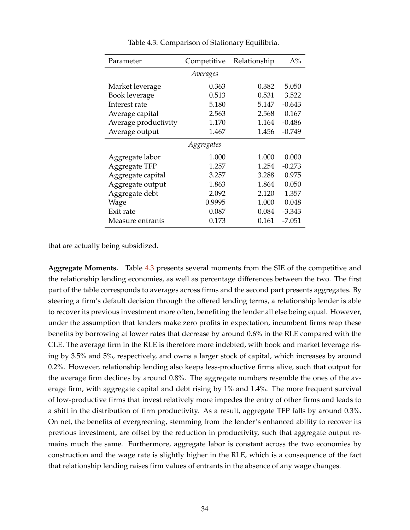<span id="page-34-0"></span>

| Parameter            | Competitive | Relationship | $\Delta\%$ |
|----------------------|-------------|--------------|------------|
|                      | Averages    |              |            |
| Market leverage      | 0.363       | 0.382        | 5.050      |
| Book leverage        | 0.513       | 0.531        | 3.522      |
| Interest rate        | 5.180       | 5.147        | $-0.643$   |
| Average capital      | 2.563       | 2.568        | 0.167      |
| Average productivity | 1.170       | 1.164        | $-0.486$   |
| Average output       | 1.467       | 1.456        | $-0.749$   |
|                      | Aggregates  |              |            |
| Aggregate labor      | 1.000       | 1.000        | 0.000      |
| Aggregate TFP        | 1.257       | 1.254        | $-0.273$   |
| Aggregate capital    | 3.257       | 3.288        | 0.975      |
| Aggregate output     | 1.863       | 1.864        | 0.050      |
| Aggregate debt       | 2.092       | 2.120        | 1.357      |
| Wage                 | 0.9995      | 1.000        | 0.048      |
| Exit rate            | 0.087       | 0.084        | -3.343     |
| Measure entrants     | 0.173       | 0.161        | -7.051     |

Table 4.3: Comparison of Stationary Equilibria.

that are actually being subsidized.

**Aggregate Moments.** Table [4.3](#page-34-0) presents several moments from the SIE of the competitive and the relationship lending economies, as well as percentage differences between the two. The first part of the table corresponds to averages across firms and the second part presents aggregates. By steering a firm's default decision through the offered lending terms, a relationship lender is able to recover its previous investment more often, benefiting the lender all else being equal. However, under the assumption that lenders make zero profits in expectation, incumbent firms reap these benefits by borrowing at lower rates that decrease by around 0.6% in the RLE compared with the CLE. The average firm in the RLE is therefore more indebted, with book and market leverage rising by 3.5% and 5%, respectively, and owns a larger stock of capital, which increases by around 0.2%. However, relationship lending also keeps less-productive firms alive, such that output for the average firm declines by around 0.8%. The aggregate numbers resemble the ones of the average firm, with aggregate capital and debt rising by 1% and 1.4%. The more frequent survival of low-productive firms that invest relatively more impedes the entry of other firms and leads to a shift in the distribution of firm productivity. As a result, aggregate TFP falls by around 0.3%. On net, the benefits of evergreening, stemming from the lender's enhanced ability to recover its previous investment, are offset by the reduction in productivity, such that aggregate output remains much the same. Furthermore, aggregate labor is constant across the two economies by construction and the wage rate is slightly higher in the RLE, which is a consequence of the fact that relationship lending raises firm values of entrants in the absence of any wage changes.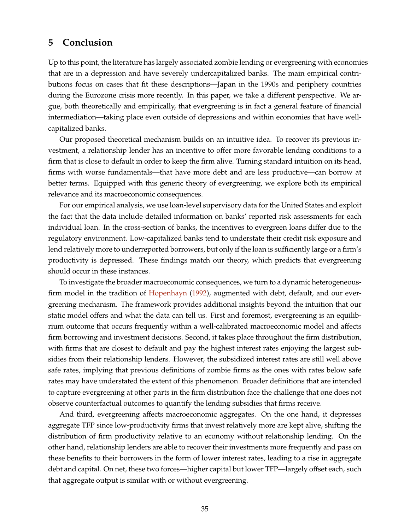### <span id="page-35-0"></span>**5 Conclusion**

Up to this point, the literature has largely associated zombie lending or evergreening with economies that are in a depression and have severely undercapitalized banks. The main empirical contributions focus on cases that fit these descriptions—Japan in the 1990s and periphery countries during the Eurozone crisis more recently. In this paper, we take a different perspective. We argue, both theoretically and empirically, that evergreening is in fact a general feature of financial intermediation—taking place even outside of depressions and within economies that have wellcapitalized banks.

Our proposed theoretical mechanism builds on an intuitive idea. To recover its previous investment, a relationship lender has an incentive to offer more favorable lending conditions to a firm that is close to default in order to keep the firm alive. Turning standard intuition on its head, firms with worse fundamentals—that have more debt and are less productive—can borrow at better terms. Equipped with this generic theory of evergreening, we explore both its empirical relevance and its macroeconomic consequences.

For our empirical analysis, we use loan-level supervisory data for the United States and exploit the fact that the data include detailed information on banks' reported risk assessments for each individual loan. In the cross-section of banks, the incentives to evergreen loans differ due to the regulatory environment. Low-capitalized banks tend to understate their credit risk exposure and lend relatively more to underreported borrowers, but only if the loan is sufficiently large or a firm's productivity is depressed. These findings match our theory, which predicts that evergreening should occur in these instances.

To investigate the broader macroeconomic consequences, we turn to a dynamic heterogeneousfirm model in the tradition of [Hopenhayn](#page-38-3) [\(1992\)](#page-38-3), augmented with debt, default, and our evergreening mechanism. The framework provides additional insights beyond the intuition that our static model offers and what the data can tell us. First and foremost, evergreening is an equilibrium outcome that occurs frequently within a well-calibrated macroeconomic model and affects firm borrowing and investment decisions. Second, it takes place throughout the firm distribution, with firms that are closest to default and pay the highest interest rates enjoying the largest subsidies from their relationship lenders. However, the subsidized interest rates are still well above safe rates, implying that previous definitions of zombie firms as the ones with rates below safe rates may have understated the extent of this phenomenon. Broader definitions that are intended to capture evergreening at other parts in the firm distribution face the challenge that one does not observe counterfactual outcomes to quantify the lending subsidies that firms receive.

And third, evergreening affects macroeconomic aggregates. On the one hand, it depresses aggregate TFP since low-productivity firms that invest relatively more are kept alive, shifting the distribution of firm productivity relative to an economy without relationship lending. On the other hand, relationship lenders are able to recover their investments more frequently and pass on these benefits to their borrowers in the form of lower interest rates, leading to a rise in aggregate debt and capital. On net, these two forces—higher capital but lower TFP—largely offset each, such that aggregate output is similar with or without evergreening.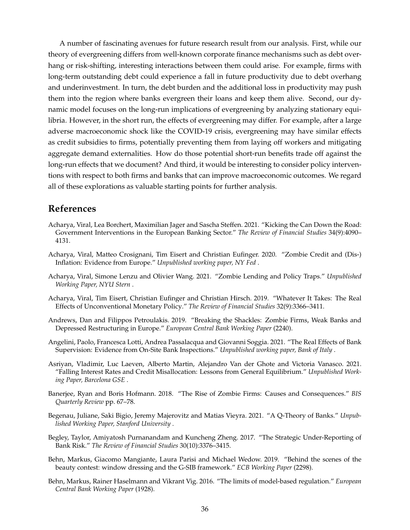A number of fascinating avenues for future research result from our analysis. First, while our theory of evergreening differs from well-known corporate finance mechanisms such as debt overhang or risk-shifting, interesting interactions between them could arise. For example, firms with long-term outstanding debt could experience a fall in future productivity due to debt overhang and underinvestment. In turn, the debt burden and the additional loss in productivity may push them into the region where banks evergreen their loans and keep them alive. Second, our dynamic model focuses on the long-run implications of evergreening by analyzing stationary equilibria. However, in the short run, the effects of evergreening may differ. For example, after a large adverse macroeconomic shock like the COVID-19 crisis, evergreening may have similar effects as credit subsidies to firms, potentially preventing them from laying off workers and mitigating aggregate demand externalities. How do those potential short-run benefits trade off against the long-run effects that we document? And third, it would be interesting to consider policy interventions with respect to both firms and banks that can improve macroeconomic outcomes. We regard all of these explorations as valuable starting points for further analysis.

### **References**

- <span id="page-36-5"></span>Acharya, Viral, Lea Borchert, Maximilian Jager and Sascha Steffen. 2021. "Kicking the Can Down the Road: Government Interventions in the European Banking Sector." *The Review of Financial Studies* 34(9):4090– 4131.
- <span id="page-36-4"></span>Acharya, Viral, Matteo Crosignani, Tim Eisert and Christian Eufinger. 2020. "Zombie Credit and (Dis-) Inflation: Evidence from Europe." *Unpublished working paper, NY Fed* .
- <span id="page-36-9"></span>Acharya, Viral, Simone Lenzu and Olivier Wang. 2021. "Zombie Lending and Policy Traps." *Unpublished Working Paper, NYU Stern* .
- <span id="page-36-2"></span>Acharya, Viral, Tim Eisert, Christian Eufinger and Christian Hirsch. 2019. "Whatever It Takes: The Real Effects of Unconventional Monetary Policy." *The Review of Financial Studies* 32(9):3366–3411.
- <span id="page-36-3"></span>Andrews, Dan and Filippos Petroulakis. 2019. "Breaking the Shackles: Zombie Firms, Weak Banks and Depressed Restructuring in Europe." *European Central Bank Working Paper* (2240).
- <span id="page-36-0"></span>Angelini, Paolo, Francesca Lotti, Andrea Passalacqua and Giovanni Soggia. 2021. "The Real Effects of Bank Supervision: Evidence from On-Site Bank Inspections." *Unpublished working paper, Bank of Italy* .
- <span id="page-36-11"></span>Asriyan, Vladimir, Luc Laeven, Alberto Martin, Alejandro Van der Ghote and Victoria Vanasco. 2021. "Falling Interest Rates and Credit Misallocation: Lessons from General Equilibrium." *Unpublished Working Paper, Barcelona GSE* .
- <span id="page-36-1"></span>Banerjee, Ryan and Boris Hofmann. 2018. "The Rise of Zombie Firms: Causes and Consequences." *BIS Quarterly Review* pp. 67–78.
- <span id="page-36-10"></span>Begenau, Juliane, Saki Bigio, Jeremy Majerovitz and Matias Vieyra. 2021. "A Q-Theory of Banks." *Unpublished Working Paper, Stanford University* .
- <span id="page-36-7"></span>Begley, Taylor, Amiyatosh Purnanandam and Kuncheng Zheng. 2017. "The Strategic Under-Reporting of Bank Risk." *The Review of Financial Studies* 30(10):3376–3415.
- <span id="page-36-8"></span>Behn, Markus, Giacomo Mangiante, Laura Parisi and Michael Wedow. 2019. "Behind the scenes of the beauty contest: window dressing and the G-SIB framework." *ECB Working Paper* (2298).
- <span id="page-36-6"></span>Behn, Markus, Rainer Haselmann and Vikrant Vig. 2016. "The limits of model-based regulation." *European Central Bank Working Paper* (1928).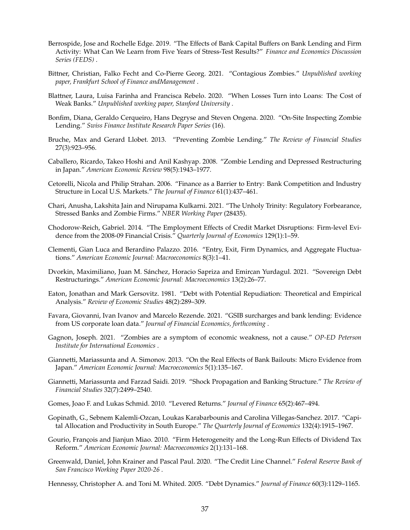- <span id="page-37-10"></span>Berrospide, Jose and Rochelle Edge. 2019. "The Effects of Bank Capital Buffers on Bank Lending and Firm Activity: What Can We Learn from Five Years of Stress-Test Results?" *Finance and Economics Discussion Series (FEDS)* .
- <span id="page-37-7"></span>Bittner, Christian, Falko Fecht and Co-Pierre Georg. 2021. "Contagious Zombies." *Unpublished working paper, Frankfurt School of Finance andManagement* .
- <span id="page-37-4"></span>Blattner, Laura, Luisa Farinha and Francisca Rebelo. 2020. "When Losses Turn into Loans: The Cost of Weak Banks." *Unpublished working paper, Stanford University* .
- <span id="page-37-5"></span>Bonfim, Diana, Geraldo Cerqueiro, Hans Degryse and Steven Ongena. 2020. "On-Site Inspecting Zombie Lending." *Swiss Finance Institute Research Paper Series* (16).
- <span id="page-37-12"></span>Bruche, Max and Gerard Llobet. 2013. "Preventing Zombie Lending." *The Review of Financial Studies* 27(3):923–956.
- <span id="page-37-0"></span>Caballero, Ricardo, Takeo Hoshi and Anil Kashyap. 2008. "Zombie Lending and Depressed Restructuring in Japan." *American Economic Review* 98(5):1943–1977.
- <span id="page-37-13"></span>Cetorelli, Nicola and Philip Strahan. 2006. "Finance as a Barrier to Entry: Bank Competition and Industry Structure in Local U.S. Markets." *The Journal of Finance* 61(1):437–461.
- <span id="page-37-8"></span>Chari, Anusha, Lakshita Jain and Nirupama Kulkarni. 2021. "The Unholy Trinity: Regulatory Forbearance, Stressed Banks and Zombie Firms." *NBER Working Paper* (28435).
- <span id="page-37-9"></span>Chodorow-Reich, Gabriel. 2014. "The Employment Effects of Credit Market Disruptions: Firm-level Evidence from the 2008-09 Financial Crisis." *Quarterly Journal of Economics* 129(1):1–59.
- <span id="page-37-20"></span>Clementi, Gian Luca and Berardino Palazzo. 2016. "Entry, Exit, Firm Dynamics, and Aggregate Fluctuations." *American Economic Journal: Macroeconomics* 8(3):1–41.
- <span id="page-37-15"></span>Dvorkin, Maximiliano, Juan M. Sánchez, Horacio Sapriza and Emircan Yurdagul. 2021. "Sovereign Debt Restructurings." *American Economic Journal: Macroeconomics* 13(2):26–77.
- <span id="page-37-18"></span>Eaton, Jonathan and Mark Gersovitz. 1981. "Debt with Potential Repudiation: Theoretical and Empirical Analysis." *Review of Economic Studies* 48(2):289–309.
- <span id="page-37-11"></span>Favara, Giovanni, Ivan Ivanov and Marcelo Rezende. 2021. "GSIB surcharges and bank lending: Evidence from US corporate loan data." *Journal of Financial Economics, forthcoming* .
- <span id="page-37-1"></span>Gagnon, Joseph. 2021. "Zombies are a symptom of economic weakness, not a cause." *OP-ED Peterson Institute for International Economics* .
- <span id="page-37-6"></span>Giannetti, Mariassunta and A. Simonov. 2013. "On the Real Effects of Bank Bailouts: Micro Evidence from Japan." *American Economic Journal: Macroeconomics* 5(1):135–167.
- <span id="page-37-14"></span>Giannetti, Mariassunta and Farzad Saidi. 2019. "Shock Propagation and Banking Structure." *The Review of Financial Studies* 32(7):2499–2540.
- <span id="page-37-3"></span>Gomes, Joao F. and Lukas Schmid. 2010. "Levered Returns." *Journal of Finance* 65(2):467–494.
- <span id="page-37-16"></span>Gopinath, G., Sebnem Kalemli-Ozcan, Loukas Karabarbounis and Carolina Villegas-Sanchez. 2017. "Capital Allocation and Productivity in South Europe." *The Quarterly Journal of Economics* 132(4):1915–1967.
- <span id="page-37-19"></span>Gourio, François and Jianjun Miao. 2010. "Firm Heterogeneity and the Long-Run Effects of Dividend Tax Reform." *American Economic Journal: Macroeconomics* 2(1):131–168.
- <span id="page-37-17"></span>Greenwald, Daniel, John Krainer and Pascal Paul. 2020. "The Credit Line Channel." *Federal Reserve Bank of San Francisco Working Paper 2020-26* .
- <span id="page-37-2"></span>Hennessy, Christopher A. and Toni M. Whited. 2005. "Debt Dynamics." *Journal of Finance* 60(3):1129–1165.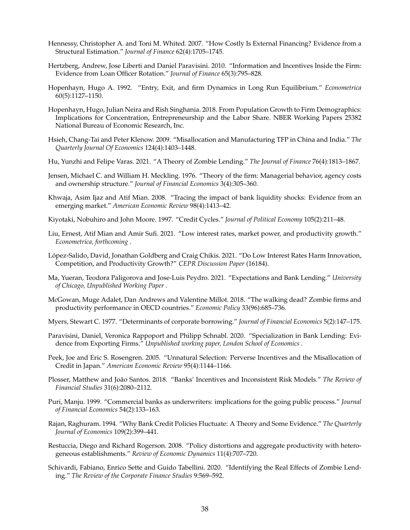- <span id="page-38-20"></span>Hennessy, Christopher A. and Toni M. Whited. 2007. "How Costly Is External Financing? Evidence from a Structural Estimation." *Journal of Finance* 62(4):1705–1745.
- <span id="page-38-4"></span>Hertzberg, Andrew, Jose Liberti and Daniel Paravisini. 2010. "Information and Incentives Inside the Firm: Evidence from Loan Officer Rotation." *Journal of Finance* 65(3):795–828.
- <span id="page-38-3"></span>Hopenhayn, Hugo A. 1992. "Entry, Exit, and firm Dynamics in Long Run Equilibrium." *Econometrica* 60(5):1127–1150.
- <span id="page-38-19"></span>Hopenhayn, Hugo, Julian Neira and Rish Singhania. 2018. From Population Growth to Firm Demographics: Implications for Concentration, Entrepreneurship and the Labor Share. NBER Working Papers 25382 National Bureau of Economic Research, Inc.
- <span id="page-38-13"></span>Hsieh, Chang-Tai and Peter Klenow. 2009. "Misallocation and Manufacturing TFP in China and India." *The Quarterly Journal Of Economics* 124(4):1403–1448.
- <span id="page-38-10"></span>Hu, Yunzhi and Felipe Varas. 2021. "A Theory of Zombie Lending." *The Journal of Finance* 76(4):1813–1867.
- <span id="page-38-17"></span>Jensen, Michael C. and William H. Meckling. 1976. "Theory of the firm: Managerial behavior, agency costs and ownership structure." *Journal of Financial Economics* 3(4):305–360.
- <span id="page-38-2"></span>Khwaja, Asim Ijaz and Atif Mian. 2008. "Tracing the impact of bank liquidity shocks: Evidence from an emerging market." *American Economic Review* 98(4):1413–42.
- <span id="page-38-16"></span>Kiyotaki, Nobuhiro and John Moore. 1997. "Credit Cycles." *Journal of Political Economy* 105(2):211–48.
- <span id="page-38-14"></span>Liu, Ernest, Atif Mian and Amir Sufi. 2021. "Low interest rates, market power, and productivity growth." *Econometrica, forthcoming* .
- <span id="page-38-15"></span>López-Salido, David, Jonathan Goldberg and Craig Chikis. 2021. "Do Low Interest Rates Harm Innovation, Competition, and Productivity Growth?" *CEPR Discussion Paper* (16184).
- <span id="page-38-6"></span>Ma, Yueran, Teodora Paligorova and Jose-Luis Peydro. 2021. "Expectations and Bank Lending." *University of Chicago, Unpublished Working Paper* .
- <span id="page-38-5"></span>McGowan, Muge Adalet, Dan Andrews and Valentine Millot. 2018. "The walking dead? Zombie firms and productivity performance in OECD countries." *Economic Policy* 33(96):685–736.
- <span id="page-38-11"></span>Myers, Stewart C. 1977. "Determinants of corporate borrowing." *Journal of Financial Economics* 5(2):147–175.
- <span id="page-38-18"></span>Paravisini, Daniel, Veronica Rappoport and Philipp Schnabl. 2020. "Specialization in Bank Lending: Evidence from Exporting Firms." *Unpublished working paper, London School of Economics* .
- <span id="page-38-0"></span>Peek, Joe and Eric S. Rosengren. 2005. "Unnatural Selection: Perverse Incentives and the Misallocation of Credit in Japan." *American Economic Review* 95(4):1144–1166.
- <span id="page-38-1"></span>Plosser, Matthew and João Santos. 2018. "Banks' Incentives and Inconsistent Risk Models." *The Review of Financial Studies* 31(6):2080–2112.
- <span id="page-38-9"></span>Puri, Manju. 1999. "Commercial banks as underwriters: implications for the going public process." *Journal of Financial Economics* 54(2):133–163.
- <span id="page-38-8"></span>Rajan, Raghuram. 1994. "Why Bank Credit Policies Fluctuate: A Theory and Some Evidence." *The Quarterly Journal of Economics* 109(2):399–441.
- <span id="page-38-12"></span>Restuccia, Diego and Richard Rogerson. 2008. "Policy distortions and aggregate productivity with heterogeneous establishments." *Review of Economic Dynamics* 11(4):707–720.
- <span id="page-38-7"></span>Schivardi, Fabiano, Enrico Sette and Guido Tabellini. 2020. "Identifying the Real Effects of Zombie Lending." *The Review of the Corporate Finance Studies* 9:569–592.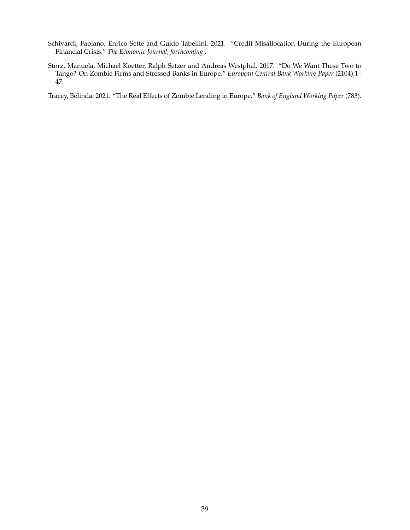- <span id="page-39-1"></span>Schivardi, Fabiano, Enrico Sette and Guido Tabellini. 2021. "Credit Misallocation During the European Financial Crisis." *The Economic Journal, forthcoming* .
- <span id="page-39-0"></span>Storz, Manuela, Michael Koetter, Ralph Setzer and Andreas Westphal. 2017. "Do We Want These Two to Tango? On Zombie Firms and Stressed Banks in Europe." *European Central Bank Working Paper* (2104):1– 47.

<span id="page-39-2"></span>Tracey, Belinda. 2021. "The Real Effects of Zombie Lending in Europe." *Bank of England Working Paper* (783).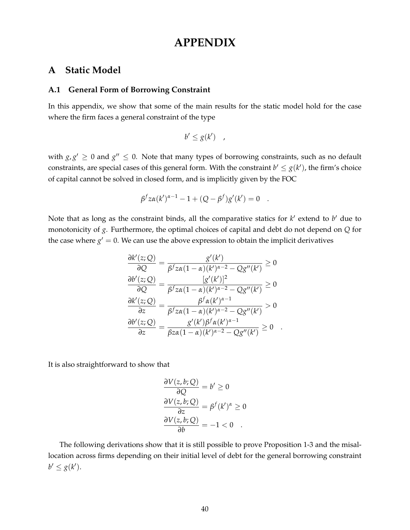# **APPENDIX**

### **A Static Model**

#### <span id="page-40-0"></span>**A.1 General Form of Borrowing Constraint**

In this appendix, we show that some of the main results for the static model hold for the case where the firm faces a general constraint of the type

$$
b' \leq g(k') \quad ,
$$

with  $g, g' \geq 0$  and  $g'' \leq 0$ . Note that many types of borrowing constraints, such as no default constraints, are special cases of this general form. With the constraint  $b' \leq g(k')$ , the firm's choice of capital cannot be solved in closed form, and is implicitly given by the FOC

$$
\beta^f z \alpha(k')^{\alpha-1} - 1 + (Q - \beta^f) g'(k') = 0 .
$$

Note that as long as the constraint binds, all the comparative statics for  $k'$  extend to  $b'$  due to monotonicity of *g*. Furthermore, the optimal choices of capital and debt do not depend on *Q* for the case where  $g' = 0$ . We can use the above expression to obtain the implicit derivatives

$$
\frac{\partial k'(z;Q)}{\partial Q} = \frac{g'(k')}{\beta^f z \alpha (1-\alpha)(k')^{\alpha-2} - Qg''(k')} \ge 0
$$

$$
\frac{\partial b'(z;Q)}{\partial Q} = \frac{[g'(k')]^2}{\beta^f z \alpha (1-\alpha)(k')^{\alpha-2} - Qg''(k')} \ge 0
$$

$$
\frac{\partial k'(z;Q)}{\partial z} = \frac{\beta^f \alpha(k')^{\alpha-1}}{\beta^f z \alpha (1-\alpha)(k')^{\alpha-2} - Qg''(k')} > 0
$$

$$
\frac{\partial b'(z;Q)}{\partial z} = \frac{g'(k') \beta^f \alpha(k')^{\alpha-1}}{\beta z \alpha (1-\alpha)(k')^{\alpha-2} - Qg''(k')} \ge 0
$$

It is also straightforward to show that

$$
\frac{\partial V(z, b; Q)}{\partial Q} = b' \ge 0
$$

$$
\frac{\partial V(z, b; Q)}{\partial z} = \beta^f (k')^{\alpha} \ge 0
$$

$$
\frac{\partial V(z, b; Q)}{\partial b} = -1 < 0
$$

The following derivations show that it is still possible to prove Proposition 1-3 and the misallocation across firms depending on their initial level of debt for the general borrowing constraint  $b' \leq g(k')$ .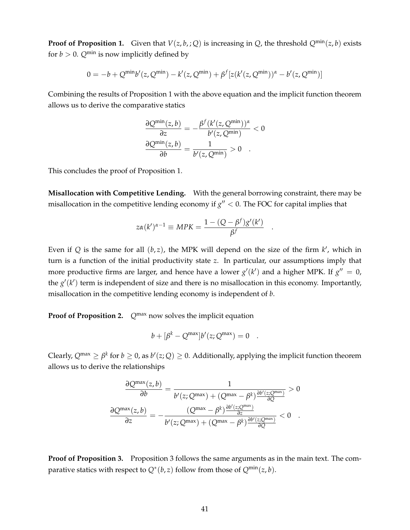**Proof of Proposition 1.** Given that  $V(z, b, j, Q)$  is increasing in *Q*, the threshold  $Q^{\min}(z, b)$  exists for  $b > 0$ .  $Q^{\min}$  is now implicitly defined by

$$
0 = -b + Q^{\min} b'(z, Q^{\min}) - k'(z, Q^{\min}) + \beta^{f} [z(k'(z, Q^{\min}))^{\alpha} - b'(z, Q^{\min})]
$$

Combining the results of Proposition 1 with the above equation and the implicit function theorem allows us to derive the comparative statics

$$
\frac{\partial Q^{\min}(z, b)}{\partial z} = -\frac{\beta^f (k'(z, Q^{\min}))^{\alpha}}{b'(z, Q^{\min})} < 0
$$

$$
\frac{\partial Q^{\min}(z, b)}{\partial b} = \frac{1}{b'(z, Q^{\min})} > 0.
$$

This concludes the proof of Proposition 1.

**Misallocation with Competitive Lending.** With the general borrowing constraint, there may be misallocation in the competitive lending economy if  $g'' < 0$ . The FOC for capital implies that

$$
z\alpha(k')^{\alpha-1} \equiv MPK = \frac{1 - (Q - \beta^f)g'(k')}{\beta^f}
$$

.

Even if  $Q$  is the same for all  $(b, z)$ , the MPK will depend on the size of the firm  $k'$ , which in turn is a function of the initial productivity state *z*. In particular, our assumptions imply that more productive firms are larger, and hence have a lower  $g'(k')$  and a higher MPK. If  $g'' = 0$ , the  $g'(k')$  term is independent of size and there is no misallocation in this economy. Importantly, misallocation in the competitive lending economy is independent of *b*.

**Proof of Proposition 2.**  $Q^{max}$  now solves the implicit equation

$$
b + [\beta^k - Q^{\max}]b'(z; Q^{\max}) = 0.
$$

Clearly,  $Q^{\max} \ge \beta^k$  for  $b \ge 0$ , as  $b'(z;Q) \ge 0$ . Additionally, applying the implicit function theorem allows us to derive the relationships

$$
\frac{\partial Q^{\max}(z,b)}{\partial b} = \frac{1}{b'(z;Q^{\max}) + (Q^{\max} - \beta^k) \frac{\partial b'(z;Q^{\max})}{\partial Q}} > 0
$$

$$
\frac{\partial Q^{\max}(z,b)}{\partial z} = -\frac{(Q^{\max} - \beta^k) \frac{\partial b'(z;Q^{\max})}{\partial z}}{b'(z;Q^{\max}) + (Q^{\max} - \beta^k) \frac{\partial b'(z;Q^{\max})}{\partial Q}} < 0.
$$

**Proof of Proposition 3.** Proposition 3 follows the same arguments as in the main text. The comparative statics with respect to  $Q^*(b, z)$  follow from those of  $Q^{\min}(z, b)$ .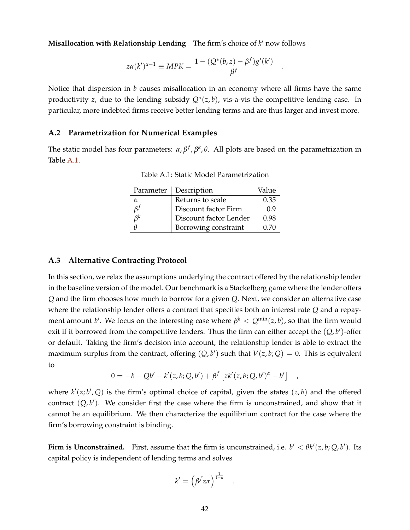**Misallocation with Relationship Lending** The firm's choice of  $k'$  now follows

$$
z\alpha(k')^{\alpha-1} \equiv MPK = \frac{1 - (Q^*(b, z) - \beta^f)g'(k')}{\beta^f}
$$

.

,

Notice that dispersion in *b* causes misallocation in an economy where all firms have the same productivity *z*, due to the lending subsidy *Q*<sup>∗</sup> (*z*, *b*), vis-a-vis the competitive lending case. In particular, more indebted firms receive better lending terms and are thus larger and invest more.

#### <span id="page-42-0"></span>**A.2 Parametrization for Numerical Examples**

<span id="page-42-2"></span>The static model has four parameters: *α*, *β<sup>f</sup>*, *β<sup>k</sup>*, *θ*. All plots are based on the parametrization in Table [A.1.](#page-42-2)

| Parameter | Description            | Value |
|-----------|------------------------|-------|
| α         | Returns to scale       | 0.35  |
| $\beta^f$ | Discount factor Firm   | 0.9   |
| $\beta^k$ | Discount factor Lender | 0.98  |
|           | Borrowing constraint   | 0.70  |

Table A.1: Static Model Parametrization

#### <span id="page-42-1"></span>**A.3 Alternative Contracting Protocol**

In this section, we relax the assumptions underlying the contract offered by the relationship lender in the baseline version of the model. Our benchmark is a Stackelberg game where the lender offers *Q* and the firm chooses how much to borrow for a given *Q*. Next, we consider an alternative case where the relationship lender offers a contract that specifies both an interest rate *Q* and a repayment amount  $b'$ . We focus on the interesting case where  $\beta^k < Q^{\min}(z, b)$ , so that the firm would exit if it borrowed from the competitive lenders. Thus the firm can either accept the  $(Q, b')$ -offer or default. Taking the firm's decision into account, the relationship lender is able to extract the maximum surplus from the contract, offering  $(Q, b')$  such that  $V(z, b; Q) = 0$ . This is equivalent to

$$
0 = -b + Qb' - k'(z, b; Q, b') + \beta^{f} [zk'(z, b; Q, b')^{\alpha} - b']
$$

where  $k'(z; b', Q)$  is the firm's optimal choice of capital, given the states  $(z, b)$  and the offered contract  $(Q, b')$ . We consider first the case where the firm is unconstrained, and show that it cannot be an equilibrium. We then characterize the equilibrium contract for the case where the firm's borrowing constraint is binding.

**Firm is Unconstrained.** First, assume that the firm is unconstrained, i.e.  $b' < \theta k'(z, b; Q, b')$ . Its capital policy is independent of lending terms and solves

$$
k' = \left(\beta^f z \alpha\right)^{\frac{1}{1-\alpha}}
$$

.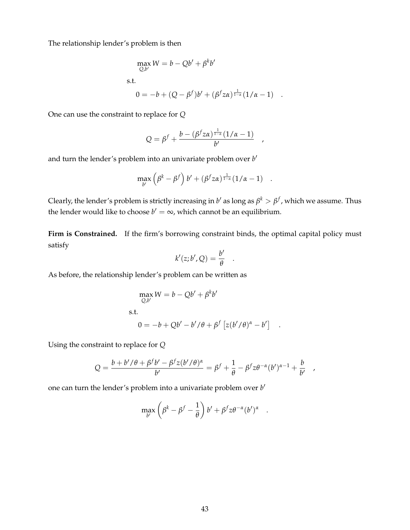The relationship lender's problem is then

$$
\max_{Q,b'} W = b - Qb' + \beta^k b'
$$
  
s.t.  

$$
0 = -b + (Q - \beta^f)b' + (\beta^f z \alpha)^{\frac{1}{1-\alpha}} (1/\alpha - 1) .
$$

One can use the constraint to replace for *Q*

$$
Q = \beta^f + \frac{b - (\beta^f z \alpha)^{\frac{1}{1-\alpha}} (1/\alpha - 1)}{b'}
$$

and turn the lender's problem into an univariate problem over *b*<sup>*'*</sup>

$$
\max_{b'} \left( \beta^k - \beta^f \right) b' + (\beta^f z a)^{\frac{1}{1-\alpha}} (1/\alpha - 1) \quad .
$$

Clearly, the lender's problem is strictly increasing in  $b'$  as long as  $\beta^k>\beta^f$  , which we assume. Thus the lender would like to choose  $b' = \infty$ , which cannot be an equilibrium.

Firm is Constrained. If the firm's borrowing constraint binds, the optimal capital policy must satisfy

$$
k'(z;b',Q) = \frac{b'}{\theta}
$$

.

.

As before, the relationship lender's problem can be written as

$$
\max_{Q,b'} W = b - Qb' + \beta^k b'
$$
  
s.t.  

$$
0 = -b + Qb' - b'/\theta + \beta^f [z(b'/\theta)^{\alpha} - b']
$$

Using the constraint to replace for *Q*

$$
Q = \frac{b + b' / \theta + \beta^f b' - \beta^f z (b' / \theta)^{\alpha}}{b'} = \beta^f + \frac{1}{\theta} - \beta^f z \theta^{-\alpha} (b')^{\alpha - 1} + \frac{b}{b'} ,
$$

one can turn the lender's problem into a univariate problem over *b*'

$$
\max_{b'} \left( \beta^k - \beta^f - \frac{1}{\theta} \right) b' + \beta^f z \theta^{-\alpha} (b')^{\alpha} .
$$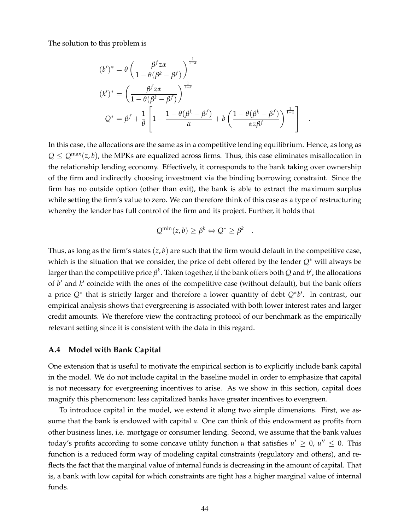The solution to this problem is

$$
(b')^* = \theta \left( \frac{\beta^f z \alpha}{1 - \theta(\beta^k - \beta^f)} \right)^{\frac{1}{1 - \alpha}}
$$
  

$$
(k')^* = \left( \frac{\beta^f z \alpha}{1 - \theta(\beta^k - \beta^f)} \right)^{\frac{1}{1 - \alpha}}
$$
  

$$
Q^* = \beta^f + \frac{1}{\theta} \left[ 1 - \frac{1 - \theta(\beta^k - \beta^f)}{\alpha} + b \left( \frac{1 - \theta(\beta^k - \beta^f)}{\alpha z \beta^f} \right)^{\frac{1}{1 - \alpha}} \right] .
$$

In this case, the allocations are the same as in a competitive lending equilibrium. Hence, as long as  $Q \leq Q^{\max}(z, b)$ , the MPKs are equalized across firms. Thus, this case eliminates misallocation in the relationship lending economy. Effectively, it corresponds to the bank taking over ownership of the firm and indirectly choosing investment via the binding borrowing constraint. Since the firm has no outside option (other than exit), the bank is able to extract the maximum surplus while setting the firm's value to zero. We can therefore think of this case as a type of restructuring whereby the lender has full control of the firm and its project. Further, it holds that

$$
Q^{\min}(z,b) \geq \beta^k \Leftrightarrow Q^* \geq \beta^k
$$

.

Thus, as long as the firm's states  $(z, b)$  are such that the firm would default in the competitive case, which is the situation that we consider, the price of debt offered by the lender *Q*<sup>∗</sup> will always be larger than the competitive price  $\beta^k$ . Taken together, if the bank offers both  $Q$  and  $b'$ , the allocations of *b'* and *k'* coincide with the ones of the competitive case (without default), but the bank offers a price Q<sup>∗</sup> that is strictly larger and therefore a lower quantity of debt Q<sup>∗</sup>b<sup>'</sup>. In contrast, our empirical analysis shows that evergreening is associated with both lower interest rates and larger credit amounts. We therefore view the contracting protocol of our benchmark as the empirically relevant setting since it is consistent with the data in this regard.

#### <span id="page-44-0"></span>**A.4 Model with Bank Capital**

One extension that is useful to motivate the empirical section is to explicitly include bank capital in the model. We do not include capital in the baseline model in order to emphasize that capital is not necessary for evergreening incentives to arise. As we show in this section, capital does magnify this phenomenon: less capitalized banks have greater incentives to evergreen.

To introduce capital in the model, we extend it along two simple dimensions. First, we assume that the bank is endowed with capital *a*. One can think of this endowment as profits from other business lines, i.e. mortgage or consumer lending. Second, we assume that the bank values today's profits according to some concave utility function *u* that satisfies  $u' \geq 0$ ,  $u'' \leq 0$ . This function is a reduced form way of modeling capital constraints (regulatory and others), and reflects the fact that the marginal value of internal funds is decreasing in the amount of capital. That is, a bank with low capital for which constraints are tight has a higher marginal value of internal funds.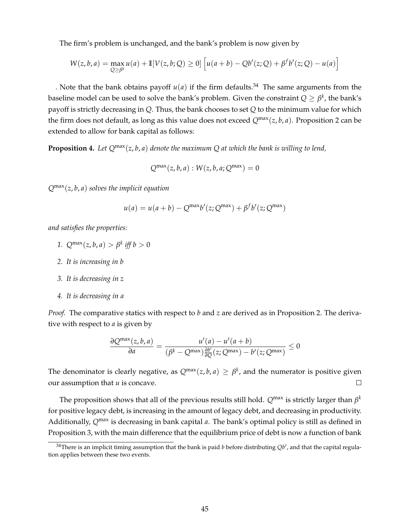The firm's problem is unchanged, and the bank's problem is now given by

$$
W(z, b, a) = \max_{Q \ge \beta^k} u(a) + \mathbb{I}[V(z, b; Q) \ge 0] \left[ u(a + b) - Qb'(z; Q) + \beta^f b'(z; Q) - u(a) \right]
$$

. Note that the bank obtains payoff  $u(a)$  if the firm defaults.<sup>34</sup> The same arguments from the baseline model can be used to solve the bank's problem. Given the constraint  $Q \geq \beta^k$ , the bank's payoff is strictly decreasing in *Q*. Thus, the bank chooses to set *Q* to the minimum value for which the firm does not default, as long as this value does not exceed  $Q^{\max}(z, b, a)$ . Proposition 2 can be extended to allow for bank capital as follows:

**Proposition 4.** Let  $Q^{\max}(z, b, a)$  denote the maximum Q at which the bank is willing to lend,

$$
Q^{\max}(z, b, a): W(z, b, a; Q^{\max}) = 0
$$

*Q*max(*z*, *b*, *a*) *solves the implicit equation*

$$
u(a) = u(a+b) - Q^{\max}b'(z; Q^{\max}) + \beta^{f}b'(z; Q^{\max})
$$

*and satisfies the properties:*

- *1.*  $Q^{\max}(z, b, a) > \beta^k$  *iff*  $b > 0$
- *2. It is increasing in b*
- *3. It is decreasing in z*
- *4. It is decreasing in a*

*Proof.* The comparative statics with respect to *b* and *z* are derived as in Proposition 2. The derivative with respect to *a* is given by

$$
\frac{\partial Q^{\max}(z, b, a)}{\partial a} = \frac{u'(a) - u'(a + b)}{(\beta^k - Q^{\max})\frac{\partial b'}{\partial Q}(z; Q^{\max}) - b'(z; Q^{\max})} \le 0
$$

The denominator is clearly negative, as  $Q^{\max}(z,b,a) \geq \beta^k$ , and the numerator is positive given our assumption that *u* is concave.  $\Box$ 

The proposition shows that all of the previous results still hold.  $Q^\text{max}$  is strictly larger than  $\beta^k$ for positive legacy debt, is increasing in the amount of legacy debt, and decreasing in productivity. Additionally,  $Q^{max}$  is decreasing in bank capital *a*. The bank's optimal policy is still as defined in Proposition 3, with the main difference that the equilibrium price of debt is now a function of bank

 $34$ There is an implicit timing assumption that the bank is paid *b* before distributing  $Qb'$ , and that the capital regulation applies between these two events.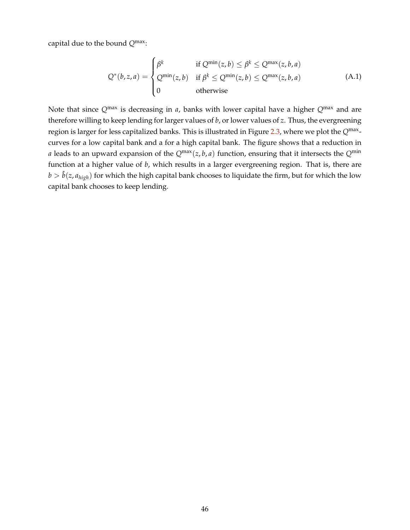capital due to the bound *Q*max:

$$
Q^*(b, z, a) = \begin{cases} \beta^k & \text{if } Q^{\min}(z, b) \le \beta^k \le Q^{\max}(z, b, a) \\ Q^{\min}(z, b) & \text{if } \beta^k \le Q^{\min}(z, b) \le Q^{\max}(z, b, a) \\ 0 & \text{otherwise} \end{cases}
$$
(A.1)

Note that since *Q*max is decreasing in *a*, banks with lower capital have a higher *Q*max and are therefore willing to keep lending for larger values of *b*, or lower values of *z*. Thus, the evergreening region is larger for less capitalized banks. This is illustrated in Figure [2.3,](#page-13-1) where we plot the Q<sup>max</sup>curves for a low capital bank and a for a high capital bank. The figure shows that a reduction in *a* leads to an upward expansion of the  $Q^{\text{max}}(z, b, a)$  function, ensuring that it intersects the  $Q^{\text{min}}$ function at a higher value of *b*, which results in a larger evergreening region. That is, there are  $b > \hat{b}(z, a_{high})$  for which the high capital bank chooses to liquidate the firm, but for which the low capital bank chooses to keep lending.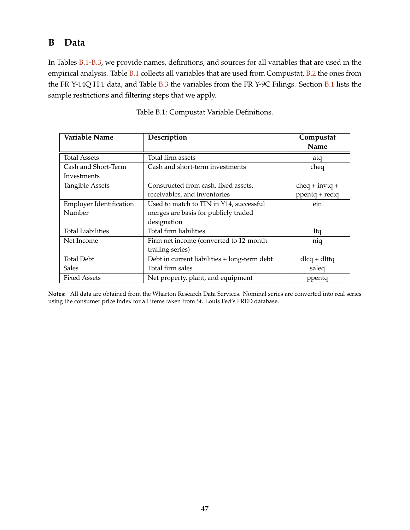# <span id="page-47-0"></span>**B Data**

In Tables [B.1](#page-47-1)[-B.3,](#page-49-0) we provide names, definitions, and sources for all variables that are used in the empirical analysis. Table [B.1](#page-47-1) collects all variables that are used from Compustat, [B.2](#page-48-0) the ones from the FR Y-14Q H.1 data, and Table [B.3](#page-49-0) the variables from the FR Y-9C Filings. Section [B.1](#page-50-0) lists the sample restrictions and filtering steps that we apply.

<span id="page-47-1"></span>

| Variable Name                  | Description                                  | Compustat        |
|--------------------------------|----------------------------------------------|------------------|
|                                |                                              | Name             |
| <b>Total Assets</b>            | Total firm assets                            | atq              |
| Cash and Short-Term            | Cash and short-term investments              | cheq             |
| Investments                    |                                              |                  |
| <b>Tangible Assets</b>         | Constructed from cash, fixed assets,         | $cheq + invtq +$ |
|                                | receivables, and inventories                 | ppentq + rectq   |
| <b>Employer Identification</b> | Used to match to TIN in Y14, successful      | ein              |
| Number                         | merges are basis for publicly traded         |                  |
|                                | designation                                  |                  |
| <b>Total Liabilities</b>       | Total firm liabilities                       | ltq              |
| Net Income                     | Firm net income (converted to 12-month       | niq              |
|                                | trailing series)                             |                  |
| <b>Total Debt</b>              | Debt in current liabilities + long-term debt | $dlcq + dlttq$   |
| <b>Sales</b>                   | Total firm sales                             | saleq            |
| <b>Fixed Assets</b>            | Net property, plant, and equipment           | ppentq           |

| Table B.1: Compustat Variable Definitions. |  |
|--------------------------------------------|--|
|--------------------------------------------|--|

**Notes:** All data are obtained from the Wharton Research Data Services. Nominal series are converted into real series using the consumer price index for all items taken from St. Louis Fed's FRED database.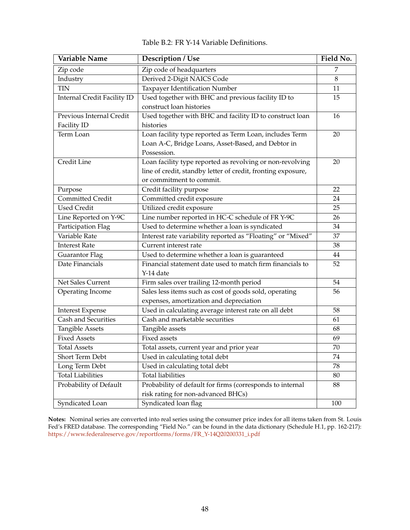<span id="page-48-0"></span>

| <b>Variable Name</b>               | Description / Use                                            | Field No. |
|------------------------------------|--------------------------------------------------------------|-----------|
| Zip code                           | Zip code of headquarters                                     | 7         |
| Industry                           | Derived 2-Digit NAICS Code                                   | 8         |
| <b>TIN</b>                         | Taxpayer Identification Number                               | 11        |
| <b>Internal Credit Facility ID</b> | Used together with BHC and previous facility ID to           | 15        |
|                                    | construct loan histories                                     |           |
| Previous Internal Credit           | Used together with BHC and facility ID to construct loan     | 16        |
| Facility ID                        | histories                                                    |           |
| Term Loan                          | Loan facility type reported as Term Loan, includes Term      | 20        |
|                                    | Loan A-C, Bridge Loans, Asset-Based, and Debtor in           |           |
|                                    | Possession.                                                  |           |
| Credit Line                        | Loan facility type reported as revolving or non-revolving    | 20        |
|                                    | line of credit, standby letter of credit, fronting exposure, |           |
|                                    | or commitment to commit.                                     |           |
| Purpose                            | Credit facility purpose                                      | 22        |
| Committed Credit                   | Committed credit exposure                                    | 24        |
| <b>Used Credit</b>                 | Utilized credit exposure                                     | 25        |
| Line Reported on Y-9C              | Line number reported in HC-C schedule of FR Y-9C             | 26        |
| Participation Flag                 | Used to determine whether a loan is syndicated               | 34        |
| Variable Rate                      | Interest rate variability reported as "Floating" or "Mixed"  | 37        |
| <b>Interest Rate</b>               | Current interest rate                                        | 38        |
| Guarantor Flag                     | Used to determine whether a loan is guaranteed               | 44        |
| Date Financials                    | Financial statement date used to match firm financials to    | 52        |
|                                    | Y-14 date                                                    |           |
| Net Sales Current                  | Firm sales over trailing 12-month period                     | 54        |
| Operating Income                   | Sales less items such as cost of goods sold, operating       | 56        |
|                                    | expenses, amortization and depreciation                      |           |
| <b>Interest Expense</b>            | Used in calculating average interest rate on all debt        | 58        |
| Cash and Securities                | Cash and marketable securities                               | 61        |
| <b>Tangible Assets</b>             | Tangible assets                                              | 68        |
| <b>Fixed Assets</b>                | <b>Fixed assets</b>                                          | 69        |
| <b>Total Assets</b>                | Total assets, current year and prior year                    | 70        |
| Short Term Debt                    | Used in calculating total debt                               | 74        |
| Long Term Debt                     | Used in calculating total debt                               | 78        |
| <b>Total Liabilities</b>           | <b>Total liabilities</b>                                     | 80        |
| Probability of Default             | Probability of default for firms (corresponds to internal    | 88        |
|                                    | risk rating for non-advanced BHCs)                           |           |
| Syndicated Loan                    | Syndicated loan flag                                         | 100       |

| Table B.2: FR Y-14 Variable Definitions. |
|------------------------------------------|
|------------------------------------------|

**Notes:** Nominal series are converted into real series using the consumer price index for all items taken from St. Louis Fed's FRED database. The corresponding "Field No." can be found in the data dictionary (Schedule H.1, pp. 162-217): [https://www.federalreserve.gov/reportforms/forms/FR\\_Y-14Q20200331\\_i.pdf](https://www.federalreserve.gov/reportforms/forms/FR_Y-14Q20200331_i.pdf)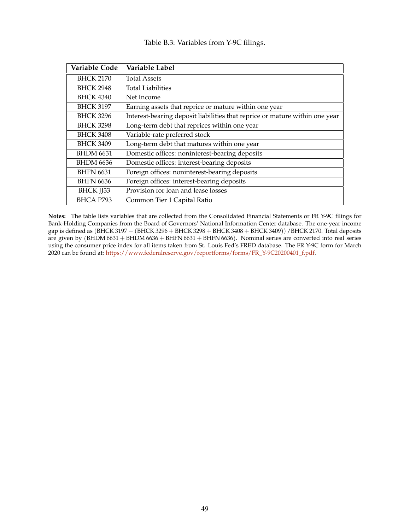|  | Table B.3: Variables from Y-9C filings. |  |  |  |
|--|-----------------------------------------|--|--|--|
|--|-----------------------------------------|--|--|--|

<span id="page-49-0"></span>

| Variable Code    | Variable Label                                                              |
|------------------|-----------------------------------------------------------------------------|
| <b>BHCK 2170</b> | <b>Total Assets</b>                                                         |
| <b>BHCK 2948</b> | <b>Total Liabilities</b>                                                    |
| <b>BHCK 4340</b> | Net Income                                                                  |
| <b>BHCK 3197</b> | Earning assets that reprice or mature within one year                       |
| <b>BHCK 3296</b> | Interest-bearing deposit liabilities that reprice or mature within one year |
| <b>BHCK 3298</b> | Long-term debt that reprices within one year                                |
| <b>BHCK 3408</b> | Variable-rate preferred stock                                               |
| <b>BHCK 3409</b> | Long-term debt that matures within one year                                 |
| <b>BHDM 6631</b> | Domestic offices: noninterest-bearing deposits                              |
| <b>BHDM 6636</b> | Domestic offices: interest-bearing deposits                                 |
| <b>BHFN 6631</b> | Foreign offices: noninterest-bearing deposits                               |
| <b>BHFN 6636</b> | Foreign offices: interest-bearing deposits                                  |
| <b>BHCK JJ33</b> | Provision for loan and lease losses                                         |
| BHCA P793        | Common Tier 1 Capital Ratio                                                 |

**Notes:** The table lists variables that are collected from the Consolidated Financial Statements or FR Y-9C filings for Bank-Holding Companies from the Board of Governors' National Information Center database. The one-year income gap is defined as (BHCK 3197 – (BHCK 3296 + BHCK 3298 + BHCK 3408 + BHCK 3409)) / BHCK 2170. Total deposits are given by (BHDM 6631 + BHDM 6636 + BHFN 6631 + BHFN 6636). Nominal series are converted into real series using the consumer price index for all items taken from St. Louis Fed's FRED database. The FR Y-9C form for March 2020 can be found at: [https://www.federalreserve.gov/reportforms/forms/FR\\_Y-9C20200401\\_f.pdf.](https://www.federalreserve.gov/reportforms/forms FR_Y-9C20200401_f.pdf)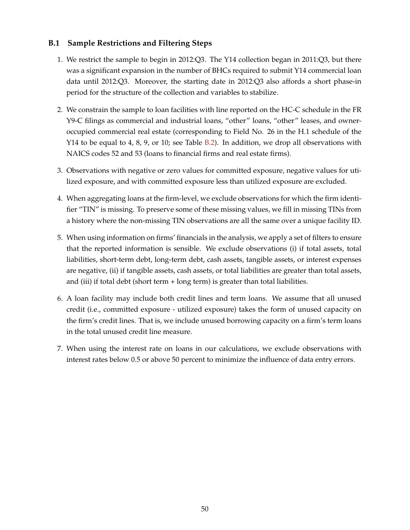### <span id="page-50-0"></span>**B.1 Sample Restrictions and Filtering Steps**

- 1. We restrict the sample to begin in 2012:Q3. The Y14 collection began in 2011:Q3, but there was a significant expansion in the number of BHCs required to submit Y14 commercial loan data until 2012:Q3. Moreover, the starting date in 2012:Q3 also affords a short phase-in period for the structure of the collection and variables to stabilize.
- 2. We constrain the sample to loan facilities with line reported on the HC-C schedule in the FR Y9-C filings as commercial and industrial loans, "other" loans, "other" leases, and owneroccupied commercial real estate (corresponding to Field No. 26 in the H.1 schedule of the Y14 to be equal to 4, 8, 9, or 10; see Table [B.2\)](#page-48-0). In addition, we drop all observations with NAICS codes 52 and 53 (loans to financial firms and real estate firms).
- 3. Observations with negative or zero values for committed exposure, negative values for utilized exposure, and with committed exposure less than utilized exposure are excluded.
- 4. When aggregating loans at the firm-level, we exclude observations for which the firm identifier "TIN" is missing. To preserve some of these missing values, we fill in missing TINs from a history where the non-missing TIN observations are all the same over a unique facility ID.
- 5. When using information on firms' financials in the analysis, we apply a set of filters to ensure that the reported information is sensible. We exclude observations (i) if total assets, total liabilities, short-term debt, long-term debt, cash assets, tangible assets, or interest expenses are negative, (ii) if tangible assets, cash assets, or total liabilities are greater than total assets, and (iii) if total debt (short term  $+$  long term) is greater than total liabilities.
- 6. A loan facility may include both credit lines and term loans. We assume that all unused credit (i.e., committed exposure - utilized exposure) takes the form of unused capacity on the firm's credit lines. That is, we include unused borrowing capacity on a firm's term loans in the total unused credit line measure.
- 7. When using the interest rate on loans in our calculations, we exclude observations with interest rates below 0.5 or above 50 percent to minimize the influence of data entry errors.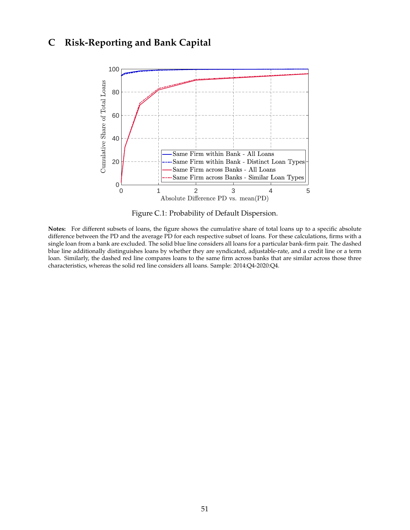# <span id="page-51-1"></span><span id="page-51-0"></span>**C Risk-Reporting and Bank Capital**



Figure C.1: Probability of Default Dispersion.

**Notes:** For different subsets of loans, the figure shows the cumulative share of total loans up to a specific absolute difference between the PD and the average PD for each respective subset of loans. For these calculations, firms with a single loan from a bank are excluded. The solid blue line considers all loans for a particular bank-firm pair. The dashed blue line additionally distinguishes loans by whether they are syndicated, adjustable-rate, and a credit line or a term loan. Similarly, the dashed red line compares loans to the same firm across banks that are similar across those three characteristics, whereas the solid red line considers all loans. Sample: 2014:Q4-2020:Q4.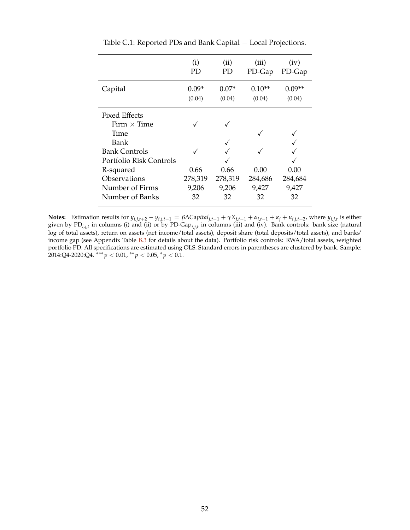<span id="page-52-0"></span>

|                         | (i)<br>PD | (i)<br>PD | (iii)<br>PD-Gap | (iv)<br>PD-Gap |
|-------------------------|-----------|-----------|-----------------|----------------|
| Capital                 | $0.09*$   | $0.07*$   | $0.10**$        | በ በ9**         |
|                         | (0.04)    | (0.04)    | (0.04)          | (0.04)         |
| Fixed Effects           |           |           |                 |                |
| Firm $\times$ Time      |           |           |                 |                |
| Time                    |           |           |                 |                |
| Bank                    |           |           |                 |                |
| <b>Bank Controls</b>    |           |           |                 |                |
| Portfolio Risk Controls |           |           |                 |                |
| R-squared               | 0.66      | 0.66      | 0.00            | 0.00           |
| Observations            | 278,319   | 278,319   | 284,686         | 284,684        |
| Number of Firms         | 9,206     | 9,206     | 9,427           | 9,427          |
| Number of Banks         | 32        | 32        | 32              | 32             |

Table C.1: Reported PDs and Bank Capital − Local Projections.

**Notes:** Estimation results for  $y_{i,j,t+2} - y_{i,j,t-1} = \beta \Delta \text{Capital}_{j,t-1} + \gamma X_{j,t-1} + \alpha_{i,t-1} + \kappa_j + u_{i,j,t+2}$ , where  $y_{i,j,t}$  is either given by PD*i*,*j*,*<sup>t</sup>* in columns (i) and (ii) or by PD-Gap*i*,*j*,*<sup>t</sup>* in columns (iii) and (iv). Bank controls: bank size (natural log of total assets), return on assets (net income/total assets), deposit share (total deposits/total assets), and banks' income gap (see Appendix Table [B.3](#page-49-0) for details about the data). Portfolio risk controls: RWA/total assets, weighted portfolio PD. All specifications are estimated using OLS. Standard errors in parentheses are clustered by bank. Sample: 2014:Q4-2020:Q4. ∗∗∗ *p* < 0.01, ∗∗ *p* < 0.05, <sup>∗</sup> *p* < 0.1.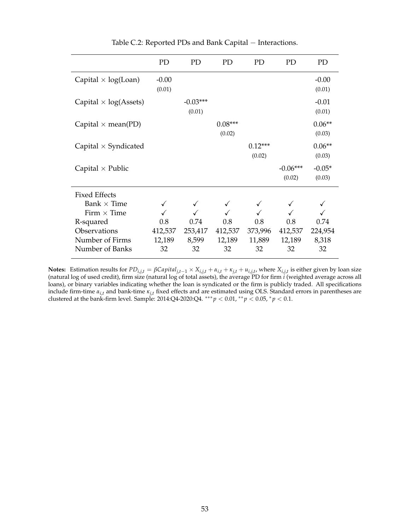<span id="page-53-0"></span>

|                              | PD                | PD                   | PD                  | <b>PD</b>           | PD                   | PD                 |
|------------------------------|-------------------|----------------------|---------------------|---------------------|----------------------|--------------------|
| Capital $\times$ log(Loan)   | $-0.00$<br>(0.01) |                      |                     |                     |                      | $-0.00$<br>(0.01)  |
| Capital $\times$ log(Assets) |                   | $-0.03***$<br>(0.01) |                     |                     |                      | $-0.01$<br>(0.01)  |
| Capital $\times$ mean(PD)    |                   |                      | $0.08***$<br>(0.02) |                     |                      | $0.06**$<br>(0.03) |
| Capital $\times$ Syndicated  |                   |                      |                     | $0.12***$<br>(0.02) |                      | $0.06**$<br>(0.03) |
| Capital $\times$ Public      |                   |                      |                     |                     | $-0.06***$<br>(0.02) | $-0.05*$<br>(0.03) |
| <b>Fixed Effects</b>         |                   |                      |                     |                     |                      |                    |
| Bank $\times$ Time           |                   |                      |                     |                     |                      |                    |
| Firm $\times$ Time           |                   |                      |                     |                     |                      |                    |
| R-squared<br>Observations    | 0.8<br>412,537    | 0.74<br>253,417      | 0.8<br>412,537      | 0.8<br>373,996      | 0.8<br>412,537       | 0.74<br>224,954    |
| Number of Firms              | 12,189            | 8,599                | 12,189              | 11,889              | 12,189               | 8,318              |
| Number of Banks              | 32                | 32                   | 32                  | 32                  | 32                   | 32                 |

Table C.2: Reported PDs and Bank Capital − Interactions.

**Notes:** Estimation results for  $PD_{i,j,t} = \beta Capital_{j,t-1} \times X_{i,j,t} + \alpha_{i,t} + \kappa_{j,t} + u_{i,j,t}$ , where  $X_{i,j,t}$  is either given by loan size (natural log of used credit), firm size (natural log of total assets), the average PD for firm *i* (weighted average across all loans), or binary variables indicating whether the loan is syndicated or the firm is publicly traded. All specifications include firm-time *αi*,*<sup>t</sup>* and bank-time *κj*,*<sup>t</sup>* fixed effects and are estimated using OLS. Standard errors in parentheses are clustered at the bank-firm level. Sample: 2014:Q4-2020:Q4. ∗∗∗ *p* < 0.01, ∗∗ *p* < 0.05, <sup>∗</sup> *p* < 0.1.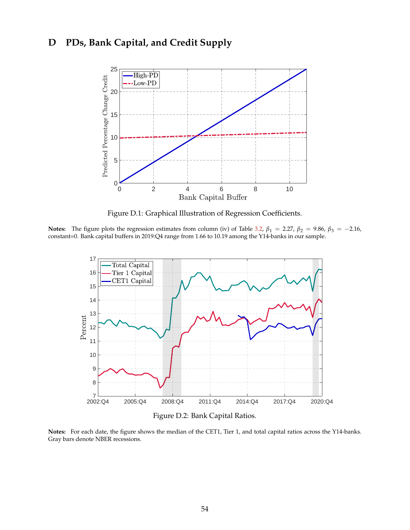# <span id="page-54-2"></span><span id="page-54-0"></span>**D PDs, Bank Capital, and Credit Supply**



Figure D.1: Graphical Illustration of Regression Coefficients.

<span id="page-54-1"></span>**Notes:** The figure plots the regression estimates from column (iv) of Table [3.2,](#page-19-0)  $\beta_1 = 2.27$ ,  $\beta_2 = 9.86$ ,  $\beta_3 = -2.16$ , constant=0. Bank capital buffers in 2019:Q4 range from 1.66 to 10.19 among the Y14-banks in our sample.



Figure D.2: Bank Capital Ratios.

**Notes:** For each date, the figure shows the median of the CET1, Tier 1, and total capital ratios across the Y14-banks. Gray bars denote NBER recessions.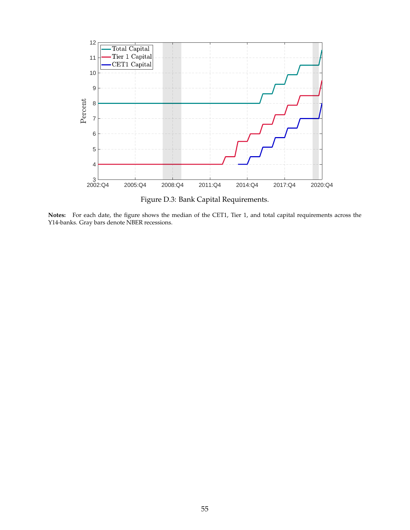<span id="page-55-0"></span>

Figure D.3: Bank Capital Requirements.

**Notes:** For each date, the figure shows the median of the CET1, Tier 1, and total capital requirements across the Y14-banks. Gray bars denote NBER recessions.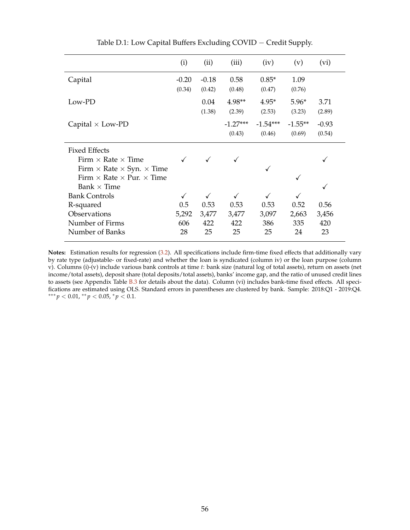<span id="page-56-0"></span>

|                                                | (i)     | (ii)    | (iii)      | (iv)       | (v)       | (vi)    |
|------------------------------------------------|---------|---------|------------|------------|-----------|---------|
| Capital                                        | $-0.20$ | $-0.18$ | 0.58       | $0.85*$    | 1.09      |         |
|                                                | (0.34)  | (0.42)  | (0.48)     | (0.47)     | (0.76)    |         |
| Low-PD                                         |         | 0.04    | $4.98**$   | $4.95*$    | $5.96*$   | 3.71    |
|                                                |         | (1.38)  | (2.39)     | (2.53)     | (3.23)    | (2.89)  |
| Capital $\times$ Low-PD                        |         |         | $-1.27***$ | $-1.54***$ | $-1.55**$ | $-0.93$ |
|                                                |         |         | (0.43)     | (0.46)     | (0.69)    | (0.54)  |
| <b>Fixed Effects</b>                           |         |         |            |            |           |         |
| Firm $\times$ Rate $\times$ Time               |         |         |            |            |           |         |
| Firm $\times$ Rate $\times$ Syn. $\times$ Time |         |         |            |            |           |         |
| Firm $\times$ Rate $\times$ Pur. $\times$ Time |         |         |            |            | ✓         |         |
| Bank $\times$ Time                             |         |         |            |            |           |         |
| <b>Bank Controls</b>                           |         | ✓       |            | ✓          |           |         |
| R-squared                                      | 0.5     | 0.53    | 0.53       | 0.53       | 0.52      | 0.56    |
| Observations                                   | 5,292   | 3,477   | 3,477      | 3,097      | 2,663     | 3,456   |
| Number of Firms                                | 606     | 422     | 422        | 386        | 335       | 420     |
| Number of Banks                                | 28      | 25      | 25         | 25         | 24        | 23      |

Table D.1: Low Capital Buffers Excluding COVID − Credit Supply.

**Notes:** Estimation results for regression [\(3.2\)](#page-18-0). All specifications include firm-time fixed effects that additionally vary by rate type (adjustable- or fixed-rate) and whether the loan is syndicated (column iv) or the loan purpose (column v). Columns (i)-(v) include various bank controls at time *t*: bank size (natural log of total assets), return on assets (net income/total assets), deposit share (total deposits/total assets), banks' income gap, and the ratio of unused credit lines to assets (see Appendix Table [B.3](#page-49-0) for details about the data). Column (vi) includes bank-time fixed effects. All specifications are estimated using OLS. Standard errors in parentheses are clustered by bank. Sample: 2018:Q1 - 2019:Q4. ∗∗∗ *p* < 0.01, ∗∗ *p* < 0.05, <sup>∗</sup> *p* < 0.1.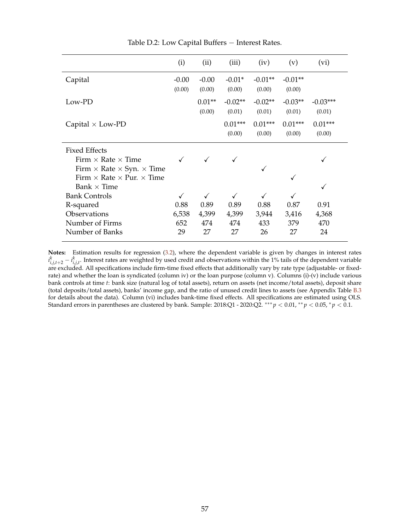<span id="page-57-0"></span>

|                                                          | (i)               | (ii)               | (iii)               | (iv)                | (v)                 | (vi)                 |
|----------------------------------------------------------|-------------------|--------------------|---------------------|---------------------|---------------------|----------------------|
| Capital                                                  | $-0.00$<br>(0.00) | $-0.00$<br>(0.00)  | $-0.01*$<br>(0.00)  | $-0.01**$<br>(0.00) | $-0.01**$<br>(0.00) |                      |
| Low-PD                                                   |                   | $0.01**$<br>(0.00) | $-0.02**$<br>(0.01) | $-0.02**$<br>(0.01) | $-0.03**$<br>(0.01) | $-0.03***$<br>(0.01) |
| Capital $\times$ Low-PD                                  |                   |                    | $0.01***$<br>(0.00) | $0.01***$<br>(0.00) | $0.01***$<br>(0.00) | $0.01***$<br>(0.00)  |
| <b>Fixed Effects</b><br>Firm $\times$ Rate $\times$ Time |                   |                    |                     |                     |                     |                      |
| Firm $\times$ Rate $\times$ Syn. $\times$ Time           |                   |                    |                     |                     |                     |                      |
| Firm $\times$ Rate $\times$ Pur. $\times$ Time           |                   |                    |                     |                     | ✓                   |                      |
| Bank $\times$ Time                                       |                   |                    |                     |                     |                     | √                    |
| <b>Bank Controls</b>                                     |                   | $\checkmark$       |                     |                     |                     |                      |
| R-squared                                                | 0.88              | 0.89               | 0.89                | 0.88                | 0.87                | 0.91                 |
| Observations                                             | 6,538             | 4,399              | 4,399               | 3,944               | 3,416               | 4,368                |
| Number of Firms                                          | 652               | 474                | 474                 | 433                 | 379                 | 470                  |
| Number of Banks                                          | 29                | 27                 | 27                  | 26                  | 27                  | 24                   |

Table D.2: Low Capital Buffers − Interest Rates.

**Notes:** Estimation results for regression [\(3.2\)](#page-18-0), where the dependent variable is given by changes in interest rates  $i^k_{i,j,t+2} - i^k_{i,j,t}$ . Interest rates are weighted by used credit and observations within the 1% tails of the dependent variable are excluded. All specifications include firm-time fixed effects that additionally vary by rate type (adjustable- or fixedrate) and whether the loan is syndicated (column iv) or the loan purpose (column v). Columns (i)-(v) include various bank controls at time *t*: bank size (natural log of total assets), return on assets (net income/total assets), deposit share (total deposits/total assets), banks' income gap, and the ratio of unused credit lines to assets (see Appendix Table [B.3](#page-49-0) for details about the data). Column (vi) includes bank-time fixed effects. All specifications are estimated using OLS. Standard errors in parentheses are clustered by bank. Sample: 2018:Q1 - 2020:Q2. ∗∗∗ *p* < 0.01, ∗∗ *p* < 0.05, <sup>∗</sup> *p* < 0.1.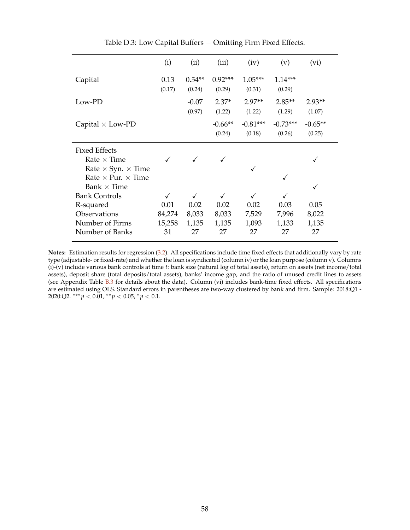<span id="page-58-0"></span>

|                                  | (i)    | (ii)     | (iii)     | (iv)       | (v)        | (vi)      |
|----------------------------------|--------|----------|-----------|------------|------------|-----------|
| Capital                          | 0.13   | $0.54**$ | $0.92***$ | $1.05***$  | $1.14***$  |           |
|                                  | (0.17) | (0.24)   | (0.29)    | (0.31)     | (0.29)     |           |
| Low-PD                           |        | $-0.07$  | $2.37*$   | $2.97**$   | $2.85**$   | $2.93**$  |
|                                  |        | (0.97)   | (1.22)    | (1.22)     | (1.29)     | (1.07)    |
| Capital $\times$ Low-PD          |        |          | $-0.66**$ | $-0.81***$ | $-0.73***$ | $-0.65**$ |
|                                  |        |          | (0.24)    | (0.18)     | (0.26)     | (0.25)    |
| <b>Fixed Effects</b>             |        |          |           |            |            |           |
| Rate $\times$ Time               |        |          |           |            |            |           |
| Rate $\times$ Syn. $\times$ Time |        |          |           |            |            |           |
| Rate $\times$ Pur. $\times$ Time |        |          |           |            |            |           |
| Bank $\times$ Time               |        |          |           |            |            |           |
| <b>Bank Controls</b>             |        | ✓        | ✓         |            |            |           |
| R-squared                        | 0.01   | 0.02     | 0.02      | 0.02       | 0.03       | 0.05      |
| Observations                     | 84,274 | 8,033    | 8,033     | 7,529      | 7,996      | 8,022     |
| Number of Firms                  | 15,258 | 1,135    | 1,135     | 1,093      | 1,133      | 1,135     |
| Number of Banks                  | 31     | 27       | 27        | 27         | 27         | 27        |

Table D.3: Low Capital Buffers − Omitting Firm Fixed Effects.

**Notes:** Estimation results for regression [\(3.2\)](#page-18-0). All specifications include time fixed effects that additionally vary by rate type (adjustable- or fixed-rate) and whether the loan is syndicated (column iv) or the loan purpose (column v). Columns (i)-(v) include various bank controls at time *t*: bank size (natural log of total assets), return on assets (net income/total assets), deposit share (total deposits/total assets), banks' income gap, and the ratio of unused credit lines to assets (see Appendix Table [B.3](#page-49-0) for details about the data). Column (vi) includes bank-time fixed effects. All specifications are estimated using OLS. Standard errors in parentheses are two-way clustered by bank and firm. Sample: 2018:Q1 - 2020:Q2. ∗∗∗ *p* < 0.01, ∗∗ *p* < 0.05, <sup>∗</sup> *p* < 0.1.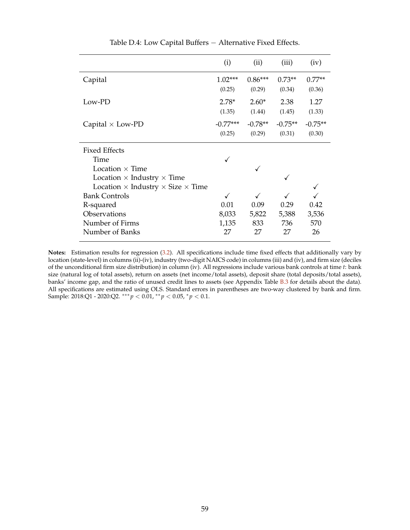<span id="page-59-0"></span>

|                                                                                                                                                                            | (i)                                    | (ii)                 | (iii)                | (iv)                 |
|----------------------------------------------------------------------------------------------------------------------------------------------------------------------------|----------------------------------------|----------------------|----------------------|----------------------|
| Capital                                                                                                                                                                    | $1.02***$<br>(0.25)                    | $0.86***$<br>(0.29)  | $0.73**$<br>(0.34)   | $0.77**$<br>(0.36)   |
| Low-PD                                                                                                                                                                     | $2.78*$<br>(1.35)                      | $2.60*$<br>(1.44)    | 2.38<br>(1.45)       | 1.27<br>(1.33)       |
| Capital $\times$ Low-PD                                                                                                                                                    | $-0.77***$<br>(0.25)                   | $-0.78**$<br>(0.29)  | $-0.75**$<br>(0.31)  | $-0.75**$<br>(0.30)  |
| <b>Fixed Effects</b><br>Time<br>Location $\times$ Time                                                                                                                     |                                        |                      |                      |                      |
| Location $\times$ Industry $\times$ Time<br>Location $\times$ Industry $\times$ Size $\times$ Time<br><b>Bank Controls</b><br>R-squared<br>Observations<br>Number of Firms | $\checkmark$<br>0.01<br>8,033<br>1,135 | 0.09<br>5,822<br>833 | 0.29<br>5,388<br>736 | 0.42<br>3,536<br>570 |
| Number of Banks                                                                                                                                                            | 27                                     | 27                   | 27                   | 26                   |

Table D.4: Low Capital Buffers − Alternative Fixed Effects.

**Notes:** Estimation results for regression [\(3.2\)](#page-18-0). All specifications include time fixed effects that additionally vary by location (state-level) in columns (ii)-(iv), industry (two-digit NAICS code) in columns (iii) and (iv), and firm size (deciles of the unconditional firm size distribution) in column (iv). All regressions include various bank controls at time *t*: bank size (natural log of total assets), return on assets (net income/total assets), deposit share (total deposits/total assets), banks' income gap, and the ratio of unused credit lines to assets (see Appendix Table [B.3](#page-49-0) for details about the data). All specifications are estimated using OLS. Standard errors in parentheses are two-way clustered by bank and firm. Sample: 2018:Q1 - 2020:Q2. ∗∗∗ *p* < 0.01, ∗∗ *p* < 0.05, <sup>∗</sup> *p* < 0.1.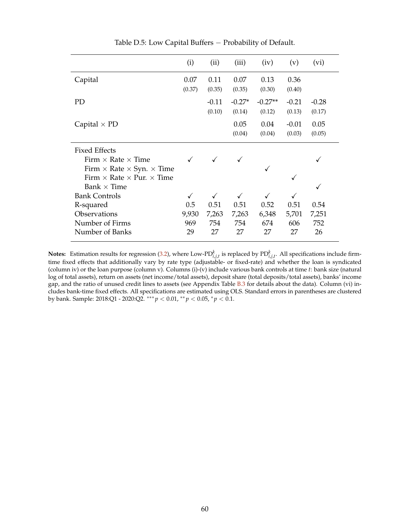<span id="page-60-0"></span>

|                                                                                                            | (i)                 | (ii)                      | (iii)                     | (iv)                      | (v)                  | (vi)                 |
|------------------------------------------------------------------------------------------------------------|---------------------|---------------------------|---------------------------|---------------------------|----------------------|----------------------|
| Capital                                                                                                    | 0.07<br>(0.37)      | 0.11<br>(0.35)            | 0.07<br>(0.35)            | 0.13<br>(0.30)            | 0.36<br>(0.40)       |                      |
| <b>PD</b>                                                                                                  |                     | $-0.11$<br>(0.10)         | $-0.27*$<br>(0.14)        | $-0.27**$<br>(0.12)       | $-0.21$<br>(0.13)    | $-0.28$<br>(0.17)    |
| Capital $\times$ PD                                                                                        |                     |                           | 0.05<br>(0.04)            | 0.04<br>(0.04)            | $-0.01$<br>(0.03)    | 0.05<br>(0.05)       |
| <b>Fixed Effects</b><br>Firm $\times$ Rate $\times$ Time<br>Firm $\times$ Rate $\times$ Syn. $\times$ Time |                     |                           |                           | ✓                         |                      |                      |
| Firm $\times$ Rate $\times$ Pur. $\times$ Time<br>Bank $\times$ Time                                       |                     |                           |                           |                           | ✓                    |                      |
| <b>Bank Controls</b><br>R-squared<br>Observations<br>Number of Firms                                       | 0.5<br>9,930<br>969 | ✓<br>0.51<br>7,263<br>754 | ✓<br>0.51<br>7,263<br>754 | ✓<br>0.52<br>6,348<br>674 | 0.51<br>5,701<br>606 | 0.54<br>7,251<br>752 |
| Number of Banks                                                                                            | 29                  | 27                        | 27                        | 27                        | 27                   | 26                   |

Table D.5: Low Capital Buffers − Probability of Default.

**Notes:** Estimation results for regression [\(3.2\)](#page-18-0), where Low-PD $_{i,j,t}^k$  is replaced by PD $_{i,j,t}^k$ . All specifications include firmtime fixed effects that additionally vary by rate type (adjustable- or fixed-rate) and whether the loan is syndicated (column iv) or the loan purpose (column v). Columns (i)-(v) include various bank controls at time *t*: bank size (natural log of total assets), return on assets (net income/total assets), deposit share (total deposits/total assets), banks' income gap, and the ratio of unused credit lines to assets (see Appendix Table [B.3](#page-49-0) for details about the data). Column (vi) includes bank-time fixed effects. All specifications are estimated using OLS. Standard errors in parentheses are clustered by bank. Sample: 2018:Q1 - 2020:Q2. ∗∗∗ *p* < 0.01, ∗∗ *p* < 0.05, <sup>∗</sup> *p* < 0.1.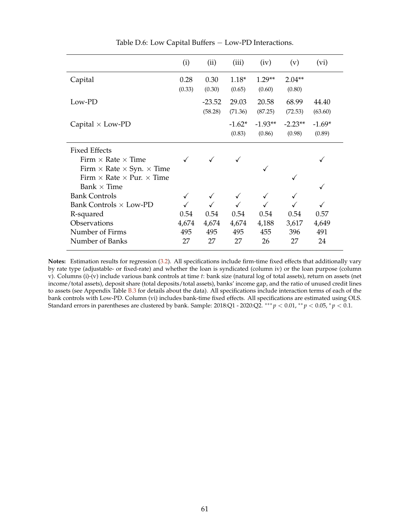<span id="page-61-0"></span>

|                                                                                                                                                              | (i)                        | (ii)                       | (iii)                      | (iv)                       | (v)                        | (vi)                       |
|--------------------------------------------------------------------------------------------------------------------------------------------------------------|----------------------------|----------------------------|----------------------------|----------------------------|----------------------------|----------------------------|
| Capital                                                                                                                                                      | 0.28<br>(0.33)             | 0.30<br>(0.30)             | $1.18*$<br>(0.65)          | $1.29**$<br>(0.60)         | $2.04**$<br>(0.80)         |                            |
| Low-PD                                                                                                                                                       |                            | $-23.52$<br>(58.28)        | 29.03<br>(71.36)           | 20.58<br>(87.25)           | 68.99<br>(72.53)           | 44.40<br>(63.60)           |
| Capital $\times$ Low-PD                                                                                                                                      |                            |                            | $-1.62*$<br>(0.83)         | $-1.93**$<br>(0.86)        | $-2.23**$<br>(0.98)        | $-1.69*$<br>(0.89)         |
| <b>Fixed Effects</b><br>Firm $\times$ Rate $\times$ Time<br>Firm $\times$ Rate $\times$ Syn. $\times$ Time<br>Firm $\times$ Rate $\times$ Pur. $\times$ Time |                            |                            |                            |                            |                            |                            |
| Bank $\times$ Time<br><b>Bank Controls</b><br>Bank Controls $\times$ Low-PD<br>R-squared<br>Observations<br>Number of Firms<br>Number of Banks               | 0.54<br>4,674<br>495<br>27 | 0.54<br>4,674<br>495<br>27 | 0.54<br>4,674<br>495<br>27 | 0.54<br>4,188<br>455<br>26 | 0.54<br>3,617<br>396<br>27 | 0.57<br>4,649<br>491<br>24 |

Table D.6: Low Capital Buffers − Low-PD Interactions.

**Notes:** Estimation results for regression [\(3.2\)](#page-18-0). All specifications include firm-time fixed effects that additionally vary by rate type (adjustable- or fixed-rate) and whether the loan is syndicated (column iv) or the loan purpose (column v). Columns (i)-(v) include various bank controls at time *t*: bank size (natural log of total assets), return on assets (net income/total assets), deposit share (total deposits/total assets), banks' income gap, and the ratio of unused credit lines to assets (see Appendix Table [B.3](#page-49-0) for details about the data). All specifications include interaction terms of each of the bank controls with Low-PD. Column (vi) includes bank-time fixed effects. All specifications are estimated using OLS. Standard errors in parentheses are clustered by bank. Sample: 2018:Q1 - 2020:Q2. ∗∗∗ *p* < 0.01, ∗∗ *p* < 0.05, <sup>∗</sup> *p* < 0.1.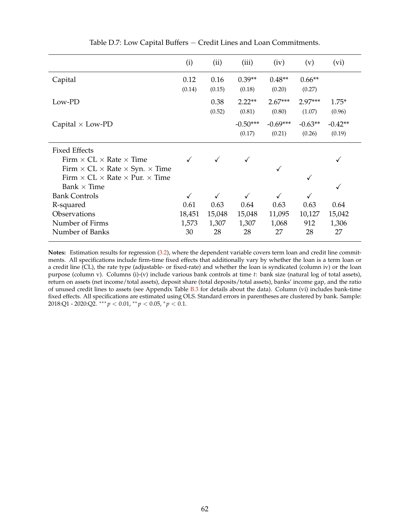<span id="page-62-0"></span>

|                                                            | (i)    | (ii)   | (iii)      | (iv)       | (v)       | (vi)      |
|------------------------------------------------------------|--------|--------|------------|------------|-----------|-----------|
| Capital                                                    | 0.12   | 0.16   | $0.39**$   | $0.48**$   | $0.66**$  |           |
|                                                            | (0.14) | (0.15) | (0.18)     | (0.20)     | (0.27)    |           |
| Low-PD                                                     |        | 0.38   | $2.22**$   | $2.67***$  | $2.97***$ | $1.75*$   |
|                                                            |        | (0.52) | (0.81)     | (0.80)     | (1.07)    | (0.96)    |
| Capital $\times$ Low-PD                                    |        |        | $-0.50***$ | $-0.69***$ | $-0.63**$ | $-0.42**$ |
|                                                            |        |        | (0.17)     | (0.21)     | (0.26)    | (0.19)    |
| <b>Fixed Effects</b>                                       |        |        |            |            |           |           |
| Firm $\times$ CL $\times$ Rate $\times$ Time               |        |        |            |            |           |           |
| Firm $\times$ CL $\times$ Rate $\times$ Syn. $\times$ Time |        |        |            | √          |           |           |
| Firm $\times$ CL $\times$ Rate $\times$ Pur. $\times$ Time |        |        |            |            |           |           |
| Bank $\times$ Time                                         |        |        |            |            |           |           |
| <b>Bank Controls</b>                                       |        | ✓      |            | ✓          |           |           |
| R-squared                                                  | 0.61   | 0.63   | 0.64       | 0.63       | 0.63      | 0.64      |
| Observations                                               | 18,451 | 15,048 | 15,048     | 11,095     | 10,127    | 15,042    |
| Number of Firms                                            | 1,573  | 1,307  | 1,307      | 1,068      | 912       | 1,306     |
| Number of Banks                                            | 30     | 28     | 28         | 27         | 28        | 27        |

Table D.7: Low Capital Buffers − Credit Lines and Loan Commitments.

**Notes:** Estimation results for regression [\(3.2\)](#page-18-0), where the dependent variable covers term loan and credit line commitments. All specifications include firm-time fixed effects that additionally vary by whether the loan is a term loan or a credit line (CL), the rate type (adjustable- or fixed-rate) and whether the loan is syndicated (column iv) or the loan purpose (column v). Columns (i)-(v) include various bank controls at time *t*: bank size (natural log of total assets), return on assets (net income/total assets), deposit share (total deposits/total assets), banks' income gap, and the ratio of unused credit lines to assets (see Appendix Table [B.3](#page-49-0) for details about the data). Column (vi) includes bank-time fixed effects. All specifications are estimated using OLS. Standard errors in parentheses are clustered by bank. Sample: 2018:Q1 - 2020:Q2. ∗∗∗ *p* < 0.01, ∗∗ *p* < 0.05, <sup>∗</sup> *p* < 0.1.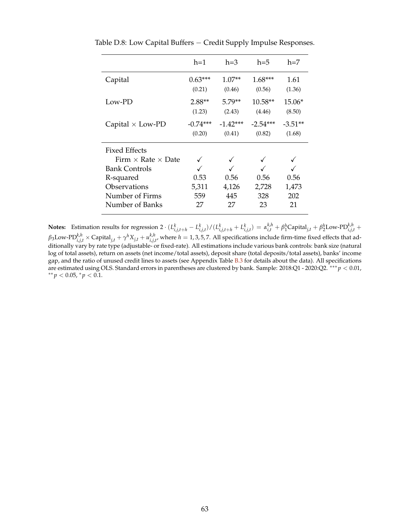|                                  | $h=1$                           | $h=3$                          | $h=5$                          | $h=7$               |
|----------------------------------|---------------------------------|--------------------------------|--------------------------------|---------------------|
| Capital                          | $0.63***$<br>(0.21)             | $1.07**$<br>(0.46)             | $1.68***$<br>(0.56)            | 1.61<br>(1.36)      |
| Low-PD                           | $2.88**$                        | $5.79**$                       | $10.58**$                      | 15.06*              |
| Capital $\times$ Low-PD          | (1.23)<br>$-(0.74***$<br>(0.20) | (2.43)<br>$-1.42***$<br>(0.41) | (4.46)<br>$-2.54***$<br>(0.82) | (8.50)<br>$-3.51**$ |
| Fixed Effects                    |                                 |                                |                                | (1.68)              |
| Firm $\times$ Rate $\times$ Date |                                 |                                |                                |                     |
| <b>Bank Controls</b>             |                                 |                                |                                |                     |
| R-squared                        | 0.53                            | 0.56                           | 0.56                           | 0.56                |
| Observations                     | 5,311                           | 4,126                          | 2,728                          | 1,473               |
| Number of Firms                  | 559                             | 445                            | 328                            | 202                 |
| Number of Banks                  | 27                              | 27                             | 23                             | 21                  |

<span id="page-63-0"></span>Table D.8: Low Capital Buffers − Credit Supply Impulse Responses.

**Notes:** Estimation results for regression 2  $(L_{i,j,t+h}^k - L_{i,j,t}^k)/(L_{i,j,t+h}^k + L_{i,j,t}^k) = \alpha_{i,t}^{k,h} + \beta_1^h$ Capital $_{j,t} + \beta_2^h$ Low-PD $_{i,j,t}^{k,h}$  +  $\beta_3$ Low-PD $_{i,j,t}^{k,h}$   $\times$  Capital $_{j,t}$  +  $\gamma^h X_{j,t}$  +  $u_{i,j,t'}^{k,h}$ , where  $h=1,3,5,7.$  All specifications include firm-time fixed effects that additionally vary by rate type (adjustable- or fixed-rate). All estimations include various bank controls: bank size (natural log of total assets), return on assets (net income/total assets), deposit share (total deposits/total assets), banks' income gap, and the ratio of unused credit lines to assets (see Appendix Table [B.3](#page-49-0) for details about the data). All specifications are estimated using OLS. Standard errors in parentheses are clustered by bank. Sample: 2018:Q1 - 2020:Q2. ∗∗∗ *p* < 0.01, ∗∗ *p* < 0.05, <sup>∗</sup> *p* < 0.1.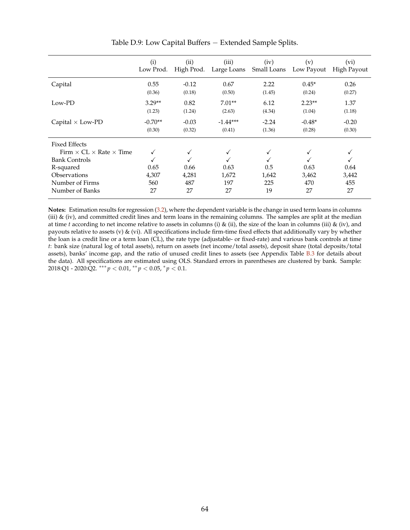<span id="page-64-0"></span>

|                                              | (i)<br>Low Prod. | (ii)<br>High Prod. | (iii)<br>Large Loans | (iv)<br>Small Loans | (v)<br>Low Payout | (vi)<br>High Payout |
|----------------------------------------------|------------------|--------------------|----------------------|---------------------|-------------------|---------------------|
| Capital                                      | 0.55             | $-0.12$            | 0.67                 | 2.22                | $0.45*$           | 0.26                |
|                                              | (0.36)           | (0.18)             | (0.50)               | (1.45)              | (0.24)            | (0.27)              |
| Low-PD                                       | $3.29**$         | 0.82               | $7.01**$             | 6.12                | $2.23**$          | 1.37                |
|                                              | (1.23)           | (1.24)             | (2.63)               | (4.34)              | (1.04)            | (1.18)              |
| Capital $\times$ Low-PD                      | $-0.70**$        | $-0.03$            | $-1.44***$           | $-2.24$             | $-0.48*$          | $-0.20$             |
|                                              | (0.30)           | (0.32)             | (0.41)               | (1.36)              | (0.28)            | (0.30)              |
| Fixed Effects                                |                  |                    |                      |                     |                   |                     |
| Firm $\times$ CL $\times$ Rate $\times$ Time |                  | √                  |                      |                     | ✓                 |                     |
| <b>Bank Controls</b>                         |                  |                    |                      |                     |                   |                     |
| R-squared                                    | 0.65             | 0.66               | 0.63                 | 0.5                 | 0.63              | 0.64                |
| Observations                                 | 4,307            | 4,281              | 1,672                | 1,642               | 3,462             | 3,442               |
| Number of Firms                              | 560              | 487                | 197                  | 225                 | 470               | 455                 |
| Number of Banks                              | 27               | 27                 | 27                   | 19                  | 27                | 27                  |

Table D.9: Low Capital Buffers − Extended Sample Splits.

**Notes:** Estimation results for regression [\(3.2\)](#page-18-0), where the dependent variable is the change in used term loans in columns (iii)  $\&$  (iv), and committed credit lines and term loans in the remaining columns. The samples are split at the median at time *t* according to net income relative to assets in columns (i) & (ii), the size of the loan in columns (iii) & (iv), and payouts relative to assets (v)  $\&$  (vi). All specifications include firm-time fixed effects that additionally vary by whether the loan is a credit line or a term loan (CL), the rate type (adjustable- or fixed-rate) and various bank controls at time *t*: bank size (natural log of total assets), return on assets (net income/total assets), deposit share (total deposits/total assets), banks' income gap, and the ratio of unused credit lines to assets (see Appendix Table [B.3](#page-49-0) for details about the data). All specifications are estimated using OLS. Standard errors in parentheses are clustered by bank. Sample: 2018:Q1 - 2020:Q2. ∗∗∗ *p* < 0.01, ∗∗ *p* < 0.05, <sup>∗</sup> *p* < 0.1.